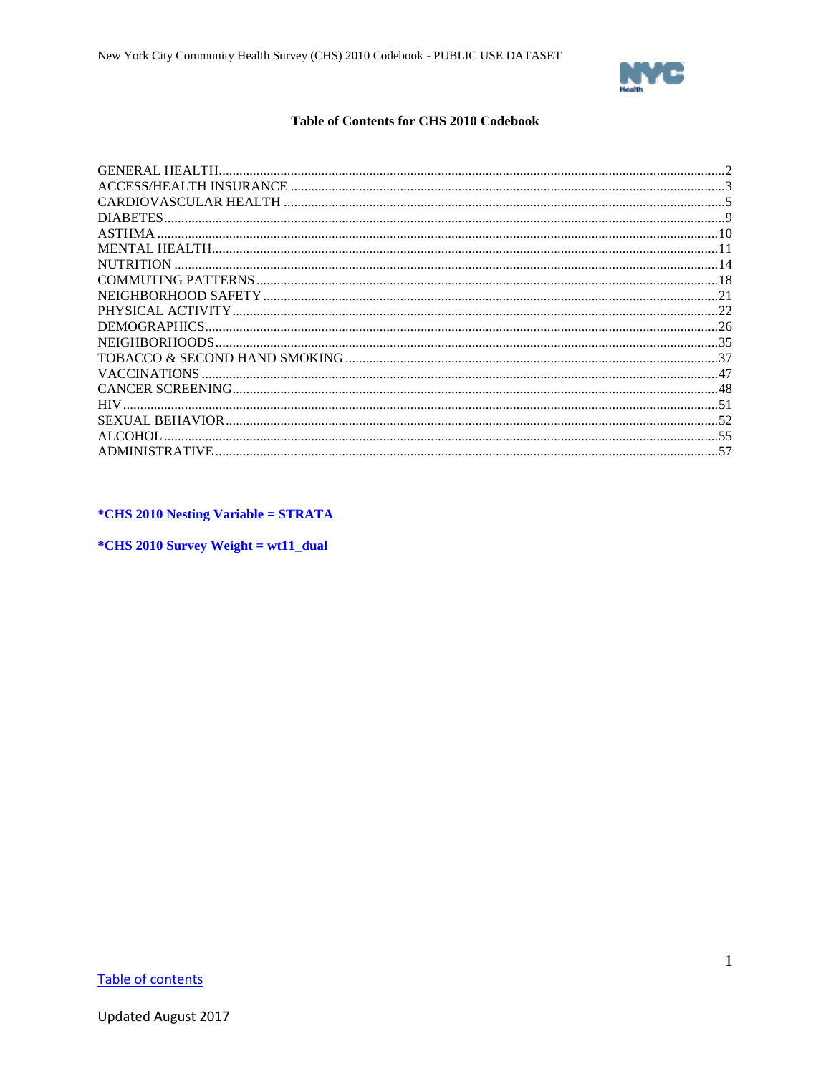

## **Table of Contents for CHS 2010 Codebook**

<span id="page-0-1"></span><span id="page-0-0"></span>

| DIABETES.           |  |
|---------------------|--|
| <b>ASTHMA</b>       |  |
|                     |  |
| <b>NUTRITION</b>    |  |
|                     |  |
|                     |  |
|                     |  |
| DEMOGRAPHICS.       |  |
|                     |  |
|                     |  |
| <b>VACCINATIONS</b> |  |
|                     |  |
| <b>HIV</b>          |  |
|                     |  |
| ALCOHOL             |  |
|                     |  |
|                     |  |

*\*CHS 2010 Nesting Variable = STRATA* 

\*CHS 2010 Survey Weight = wt11\_dual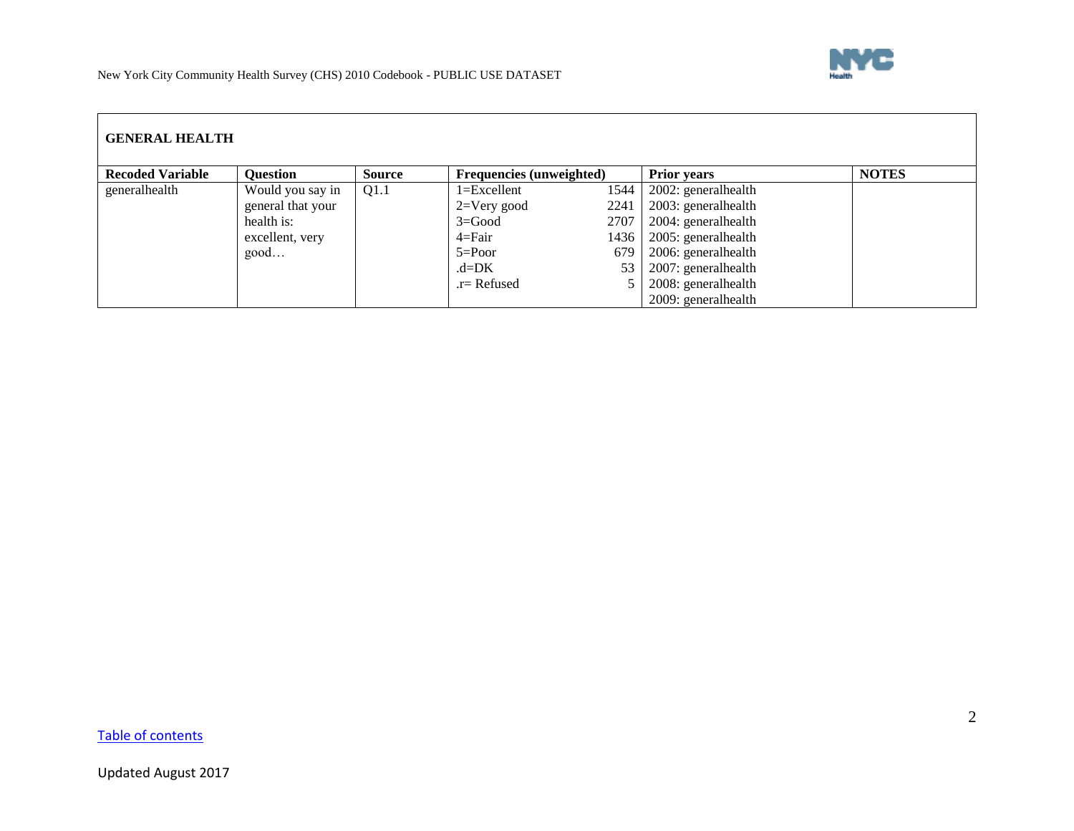

<span id="page-1-0"></span>

| <b>GENERAL HEALTH</b>   |                   |               |                                 |      |                     |              |  |  |
|-------------------------|-------------------|---------------|---------------------------------|------|---------------------|--------------|--|--|
| <b>Recoded Variable</b> | Question          | <b>Source</b> | <b>Frequencies (unweighted)</b> |      | <b>Prior years</b>  | <b>NOTES</b> |  |  |
| generalhealth           | Would you say in  | Q1.1          | 1=Excellent                     | 1544 | 2002: generalhealth |              |  |  |
|                         | general that your |               | $2=V$ ery good                  | 2241 | 2003: generalhealth |              |  |  |
|                         | health is:        |               | $3 = Good$                      | 2707 | 2004: generalhealth |              |  |  |
|                         | excellent, very   |               | $4 = \text{Fair}$               | 1436 | 2005: generalhealth |              |  |  |
|                         | good              |               | $5 = Poor$                      | 679  | 2006: generalhealth |              |  |  |
|                         |                   |               | $d = DK$                        | 53   | 2007: generalhealth |              |  |  |
|                         |                   |               | $r =$ Refused                   |      | 2008: generalhealth |              |  |  |
|                         |                   |               |                                 |      | 2009: generalhealth |              |  |  |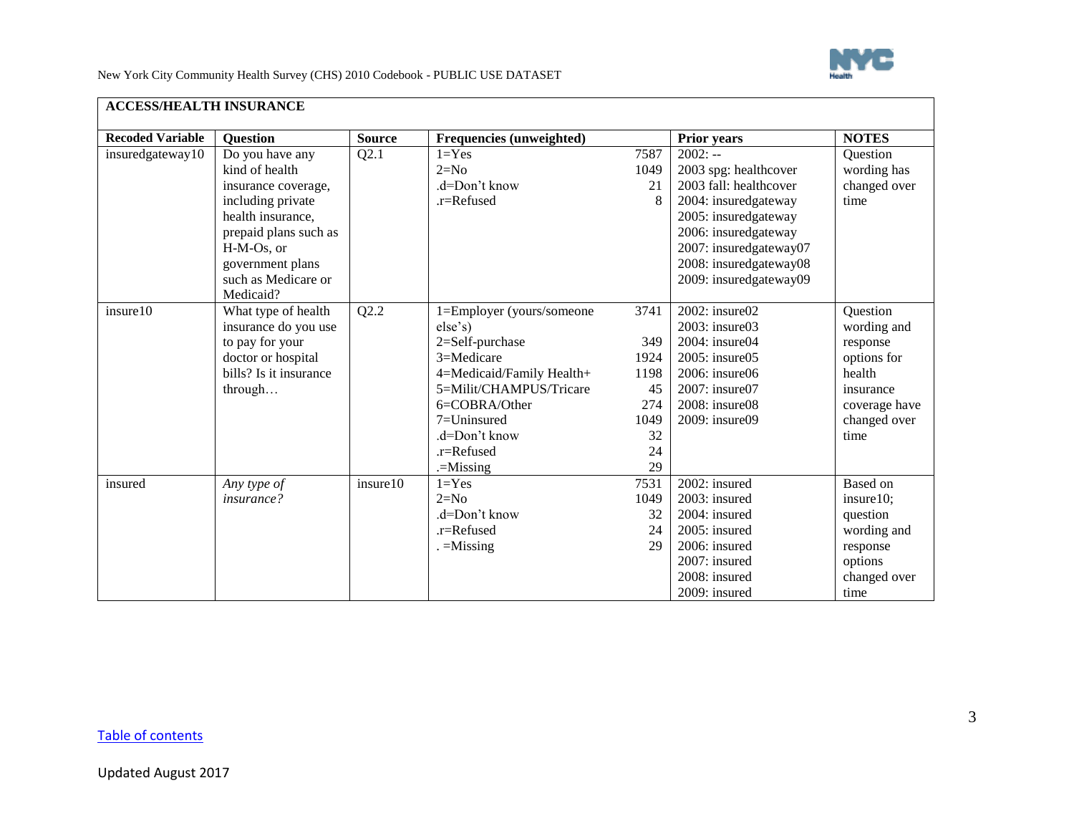

<span id="page-2-0"></span>

| <b>ACCESS/HEALTH INSURANCE</b> |                                                                                                                                                                                                   |               |                                                                                                                                                                                                             |                                                                    |                                                                                                                                                                                                                    |                                                                                                                    |
|--------------------------------|---------------------------------------------------------------------------------------------------------------------------------------------------------------------------------------------------|---------------|-------------------------------------------------------------------------------------------------------------------------------------------------------------------------------------------------------------|--------------------------------------------------------------------|--------------------------------------------------------------------------------------------------------------------------------------------------------------------------------------------------------------------|--------------------------------------------------------------------------------------------------------------------|
| <b>Recoded Variable</b>        | <b>Question</b>                                                                                                                                                                                   | <b>Source</b> | Frequencies (unweighted)                                                                                                                                                                                    |                                                                    | Prior years                                                                                                                                                                                                        | <b>NOTES</b>                                                                                                       |
| insuredgateway10               | Do you have any<br>kind of health<br>insurance coverage,<br>including private<br>health insurance,<br>prepaid plans such as<br>H-M-Os, or<br>government plans<br>such as Medicare or<br>Medicaid? | Q2.1          | $1 = Yes$<br>$2=N0$<br>.d=Don't know<br>.r=Refused                                                                                                                                                          | 7587<br>1049<br>21<br>8                                            | $2002: -$<br>2003 spg: healthcover<br>2003 fall: healthcover<br>2004: insuredgateway<br>2005: insuredgateway<br>2006: insuredgateway<br>2007: insuredgateway07<br>2008: insuredgateway08<br>2009: insuredgateway09 | Question<br>wording has<br>changed over<br>time                                                                    |
| insure10                       | What type of health<br>insurance do you use<br>to pay for your<br>doctor or hospital<br>bills? Is it insurance<br>through                                                                         | Q2.2          | 1=Employer (yours/someone<br>else's)<br>2=Self-purchase<br>3=Medicare<br>4=Medicaid/Family Health+<br>5=Milit/CHAMPUS/Tricare<br>6=COBRA/Other<br>7=Uninsured<br>.d=Don't know<br>.r=Refused<br>$=$ Missing | 3741<br>349<br>1924<br>1198<br>45<br>274<br>1049<br>32<br>24<br>29 | 2002: insure02<br>2003: insure03<br>2004: insure04<br>2005: insure05<br>$2006$ : insure $06$<br>2007: insure07<br>2008: insure08<br>2009: insure09                                                                 | Question<br>wording and<br>response<br>options for<br>health<br>insurance<br>coverage have<br>changed over<br>time |
| insured                        | Any type of<br><i>insurance?</i>                                                                                                                                                                  | insure10      | $1 = Yes$<br>$2=N0$<br>.d=Don't know<br>.r=Refused<br>$=$ Missing                                                                                                                                           | 7531<br>1049<br>32<br>24<br>29                                     | 2002: insured<br>2003: insured<br>2004: insured<br>2005: insured<br>2006: insured<br>2007: insured<br>2008: insured<br>2009: insured                                                                               | Based on<br>insure10;<br>question<br>wording and<br>response<br>options<br>changed over<br>time                    |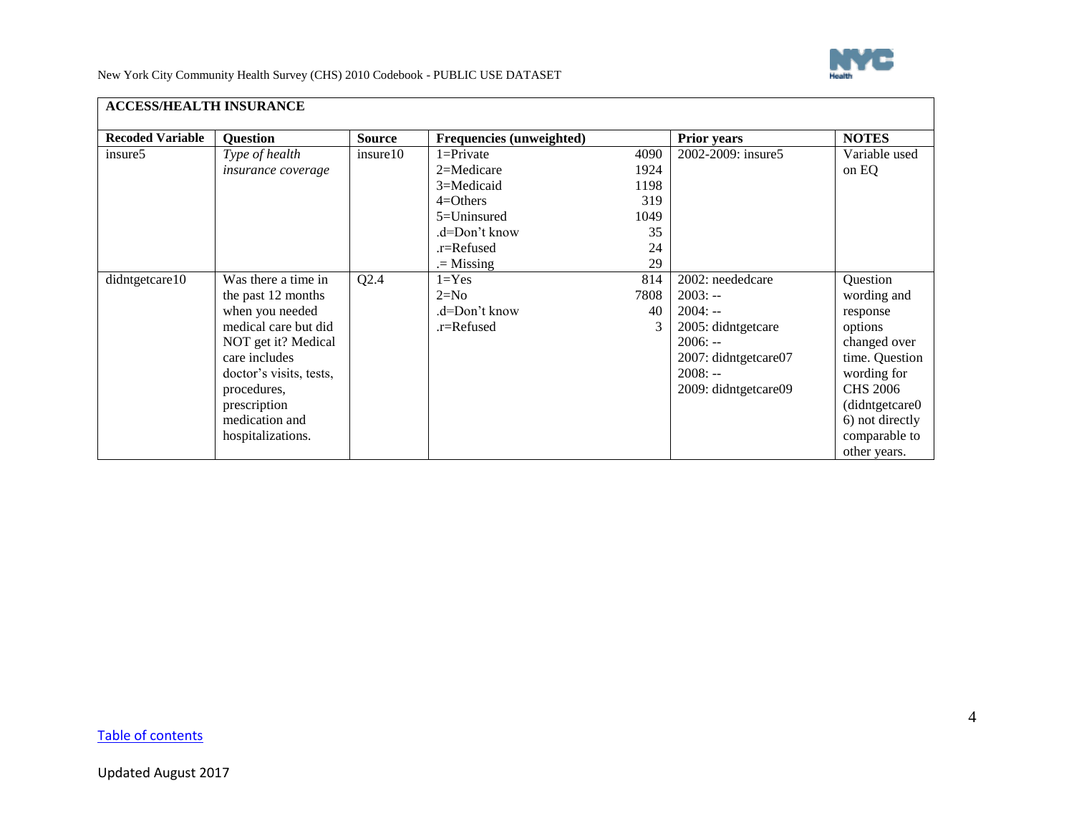

| <b>ACCESS/HEALTH INSURANCE</b> |                           |               |                                 |      |                      |                 |
|--------------------------------|---------------------------|---------------|---------------------------------|------|----------------------|-----------------|
| <b>Recoded Variable</b>        | <b>Question</b>           | <b>Source</b> | <b>Frequencies (unweighted)</b> |      | <b>Prior years</b>   | <b>NOTES</b>    |
| insure5                        | Type of health            | insure10      | $1 =$ Private                   | 4090 | 2002-2009: insure5   | Variable used   |
|                                | <i>insurance coverage</i> |               | 2=Medicare                      | 1924 |                      | on EQ           |
|                                |                           |               | 3=Medicaid                      | 1198 |                      |                 |
|                                |                           |               | $4 = Others$                    | 319  |                      |                 |
|                                |                           |               | $5=$ Uninsured                  | 1049 |                      |                 |
|                                |                           |               | .d=Don't know                   | 35   |                      |                 |
|                                |                           |               | .r=Refused                      | 24   |                      |                 |
|                                |                           |               | $=$ Missing                     | 29   |                      |                 |
| didntgetcare10                 | Was there a time in       | Q2.4          | $1 = Yes$                       | 814  | 2002: neededcare     | Question        |
|                                | the past 12 months        |               | $2=N0$                          | 7808 | $2003: -$            | wording and     |
|                                | when you needed           |               | .d=Don't know                   | 40   | $2004: -$            | response        |
|                                | medical care but did      |               | .r=Refused                      | 3    | 2005: didntgetcare   | options         |
|                                | NOT get it? Medical       |               |                                 |      | $2006: -$            | changed over    |
|                                | care includes             |               |                                 |      | 2007: didntgetcare07 | time. Question  |
|                                | doctor's visits, tests,   |               |                                 |      | $2008: -$            | wording for     |
|                                | procedures,               |               |                                 |      | 2009: didntgetcare09 | <b>CHS 2006</b> |
|                                | prescription              |               |                                 |      |                      | (didntgetcare0) |
|                                | medication and            |               |                                 |      |                      | 6) not directly |
|                                | hospitalizations.         |               |                                 |      |                      | comparable to   |
|                                |                           |               |                                 |      |                      | other years.    |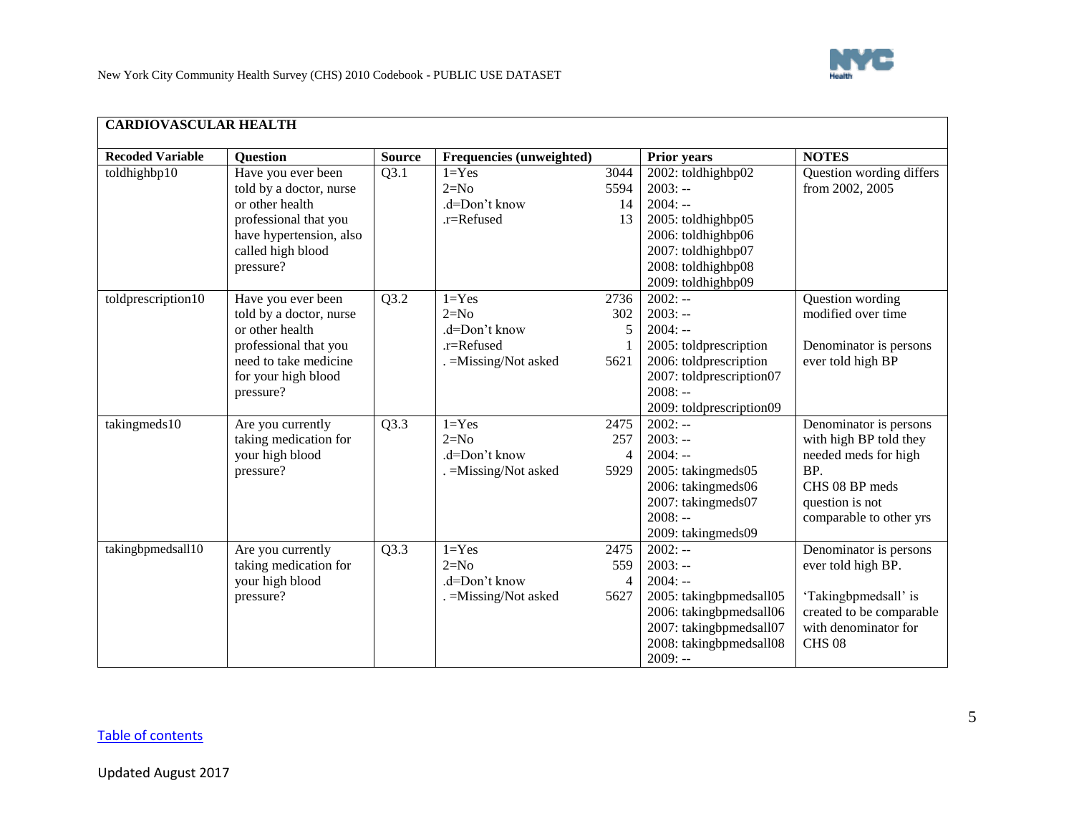

<span id="page-4-0"></span>

| <b>Recoded Variable</b> | <b>Question</b>         | <b>Source</b> | Frequencies (unweighted) |                | <b>Prior years</b>       | <b>NOTES</b>             |
|-------------------------|-------------------------|---------------|--------------------------|----------------|--------------------------|--------------------------|
| toldhighbp10            | Have you ever been      | Q3.1          | $1 = Yes$                | 3044           | 2002: toldhighbp02       | Question wording differs |
|                         | told by a doctor, nurse |               | $2=N0$                   | 5594           | $2003: -$                | from 2002, 2005          |
|                         | or other health         |               | .d=Don't know            | 14             | $2004: -$                |                          |
|                         | professional that you   |               | .r=Refused               | 13             | 2005: toldhighbp05       |                          |
|                         | have hypertension, also |               |                          |                | 2006: toldhighbp06       |                          |
|                         | called high blood       |               |                          |                | 2007: toldhighbp07       |                          |
|                         | pressure?               |               |                          |                | 2008: toldhighbp08       |                          |
|                         |                         |               |                          |                | 2009: toldhighbp09       |                          |
| toldprescription10      | Have you ever been      | Q3.2          | $1 = Yes$                | 2736           | $2002: -$                | Question wording         |
|                         | told by a doctor, nurse |               | $2=N0$                   | 302            | $2003: -$                | modified over time       |
|                         | or other health         |               | .d=Don't know            | 5              | $2004: -$                |                          |
|                         | professional that you   |               | .r=Refused               |                | 2005: toldprescription   | Denominator is persons   |
|                         | need to take medicine   |               | . = Missing/Not asked    | 5621           | 2006: toldprescription   | ever told high BP        |
|                         | for your high blood     |               |                          |                | 2007: toldprescription07 |                          |
|                         | pressure?               |               |                          |                | $2008: -$                |                          |
|                         |                         |               |                          |                | 2009: toldprescription09 |                          |
| takingmeds10            | Are you currently       | Q3.3          | $1 = Yes$                | 2475           | $2002: -$                | Denominator is persons   |
|                         | taking medication for   |               | $2=N0$                   | 257            | $2003: -$                | with high BP told they   |
|                         | your high blood         |               | .d=Don't know            | $\overline{4}$ | $2004: -$                | needed meds for high     |
|                         | pressure?               |               | . = Missing/Not asked    | 5929           | 2005: takingmeds05       | BP.                      |
|                         |                         |               |                          |                | 2006: takingmeds06       | CHS 08 BP meds           |
|                         |                         |               |                          |                | 2007: takingmeds07       | question is not          |
|                         |                         |               |                          |                | $2008: -$                | comparable to other yrs  |
|                         |                         |               |                          |                | 2009: takingmeds09       |                          |
| takingbpmedsall10       | Are you currently       | Q3.3          | $1 = Yes$                | 2475           | $2002: -$                | Denominator is persons   |
|                         | taking medication for   |               | $2=N0$                   | 559            | $2003: -$                | ever told high BP.       |
|                         | your high blood         |               | .d=Don't know            | 4              | $2004: -$                |                          |
|                         | pressure?               |               | . = Missing/Not asked    | 5627           | 2005: takingbpmedsall05  | 'Takingbpmedsall' is     |
|                         |                         |               |                          |                | 2006: takingbpmedsall06  | created to be comparable |
|                         |                         |               |                          |                | 2007: takingbpmedsall07  | with denominator for     |
|                         |                         |               |                          |                | 2008: takingbpmedsall08  | <b>CHS 08</b>            |
|                         |                         |               |                          |                | $2009: -$                |                          |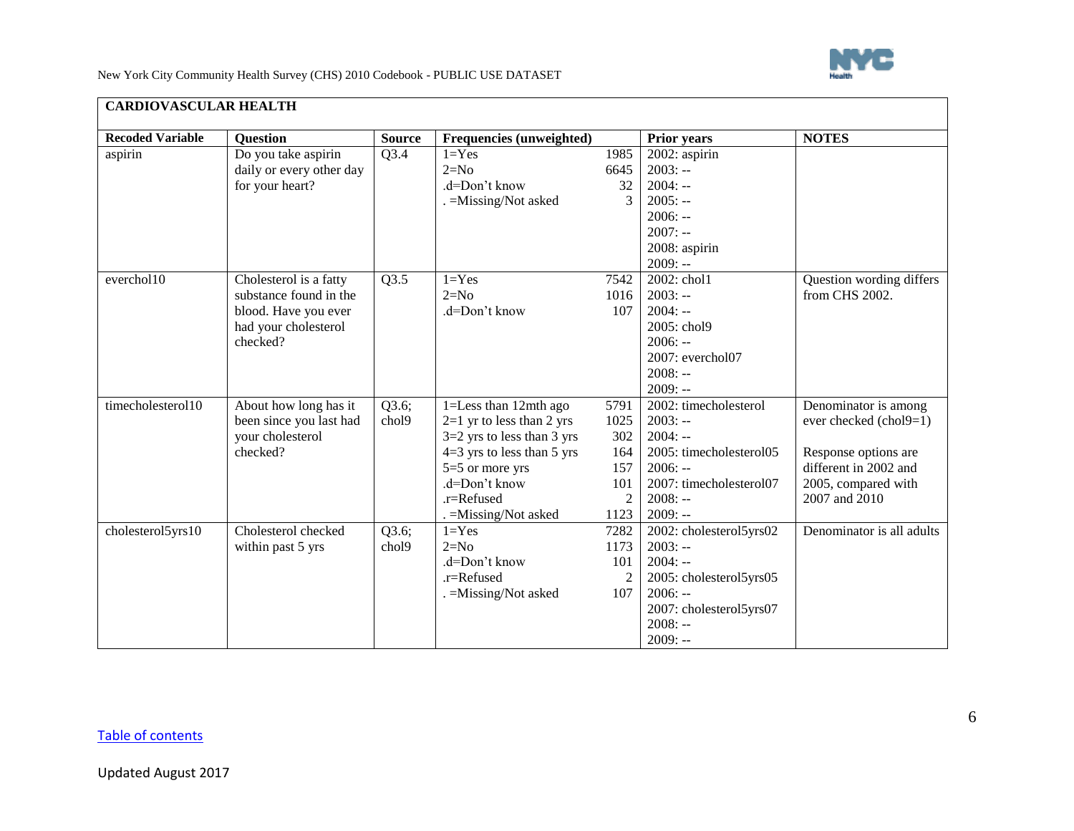

| <b>Recoded Variable</b> | <b>Question</b>          | <b>Source</b> | Frequencies (unweighted)     |                | <b>Prior years</b>       | <b>NOTES</b>              |
|-------------------------|--------------------------|---------------|------------------------------|----------------|--------------------------|---------------------------|
| aspirin                 | Do you take aspirin      | Q3.4          | $1 = Yes$                    | 1985           | 2002: aspirin            |                           |
|                         | daily or every other day |               | $2=N0$                       | 6645           | $2003: -$                |                           |
|                         | for your heart?          |               | .d=Don't know                | 32             | $2004: -$                |                           |
|                         |                          |               | . = Missing/Not asked        | 3              | $2005: -$                |                           |
|                         |                          |               |                              |                | $2006: -$                |                           |
|                         |                          |               |                              |                | $2007: -$                |                           |
|                         |                          |               |                              |                | 2008: aspirin            |                           |
|                         |                          |               |                              |                | $2009: -$                |                           |
| everchol10              | Cholesterol is a fatty   | Q3.5          | $1 = Yes$                    | 7542           | 2002: chol1              | Question wording differs  |
|                         | substance found in the   |               | $2=N0$                       | 1016           | $2003: -$                | from CHS 2002.            |
|                         | blood. Have you ever     |               | .d=Don't know                | 107            | $2004: -$                |                           |
|                         | had your cholesterol     |               |                              |                | 2005: chol9              |                           |
|                         | checked?                 |               |                              |                | $2006: -$                |                           |
|                         |                          |               |                              |                | 2007: everchol07         |                           |
|                         |                          |               |                              |                | $2008: -$                |                           |
|                         |                          |               |                              |                | $2009: -$                |                           |
| timecholesterol10       | About how long has it    | Q3.6;         | 1=Less than 12mth ago        | 5791           | $2002$ : timecholesterol | Denominator is among      |
|                         | been since you last had  | chol9         | $2=1$ yr to less than 2 yrs  | 1025           | $2003: -$                | ever checked (chol9=1)    |
|                         | your cholesterol         |               | $3=2$ yrs to less than 3 yrs | 302            | $2004: -$                |                           |
|                         | checked?                 |               | $4=3$ yrs to less than 5 yrs | 164            | 2005: timecholesterol05  | Response options are      |
|                         |                          |               | $5=5$ or more yrs            | 157            | $2006: -$                | different in 2002 and     |
|                         |                          |               | .d=Don't know                | 101            | 2007: timecholesterol07  | 2005, compared with       |
|                         |                          |               | $.r =$ Refused               | $\overline{2}$ | $2008: -$                | 2007 and 2010             |
|                         |                          |               | . = Missing/Not asked        | 1123           | $2009: -$                |                           |
| cholesterol5yrs10       | Cholesterol checked      | Q3.6;         | $1 = Yes$                    | 7282           | 2002: cholesterol5yrs02  | Denominator is all adults |
|                         | within past 5 yrs        | chol9         | $2=N0$                       | 1173           | $2003: -$                |                           |
|                         |                          |               | .d=Don't know                | 101            | $2004: -$                |                           |
|                         |                          |               | $.r =$ Refused               |                | 2005: cholesterol5yrs05  |                           |
|                         |                          |               | . = Missing/Not asked        | 107            | $2006: -$                |                           |
|                         |                          |               |                              |                | 2007: cholesterol5yrs07  |                           |
|                         |                          |               |                              |                | $2008: -$                |                           |
|                         |                          |               |                              |                | $2009: -$                |                           |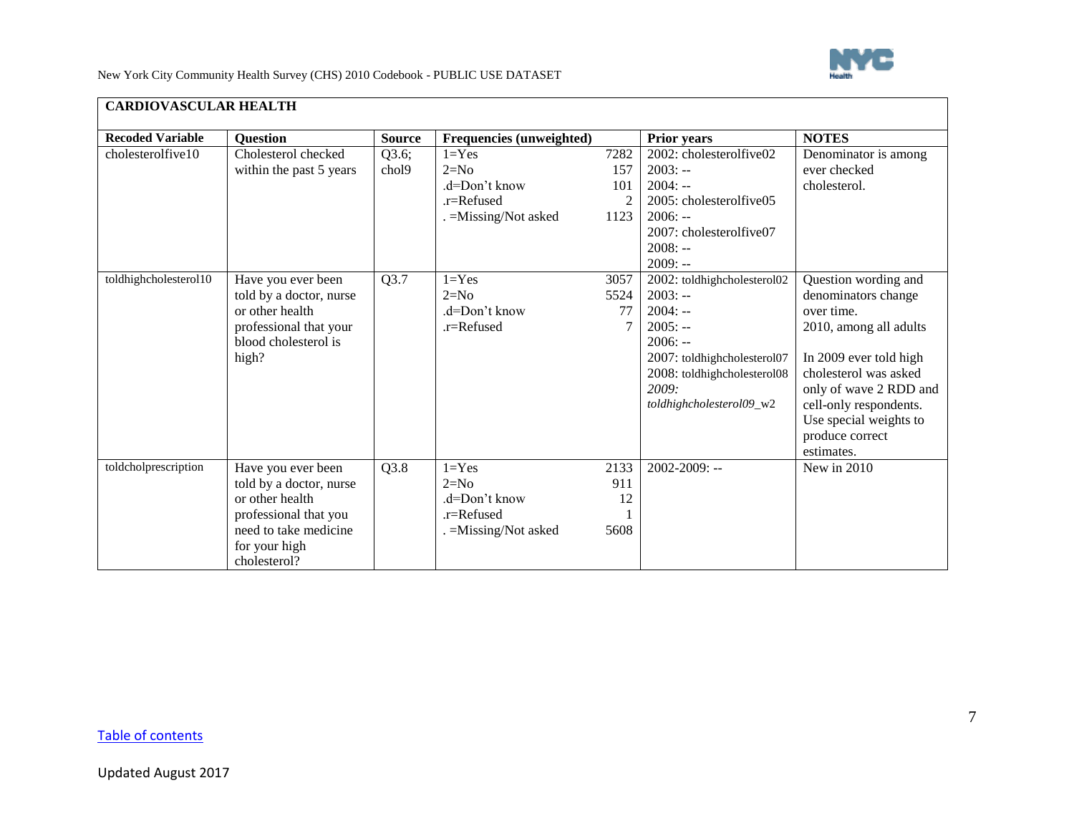

| <b>CARDIOVASCULAR HEALTH</b> |                                                                                                                                                     |                |                                                                              |                                              |                                                                                                                                                                                                 |                                                                                                                                                                                                                                                       |
|------------------------------|-----------------------------------------------------------------------------------------------------------------------------------------------------|----------------|------------------------------------------------------------------------------|----------------------------------------------|-------------------------------------------------------------------------------------------------------------------------------------------------------------------------------------------------|-------------------------------------------------------------------------------------------------------------------------------------------------------------------------------------------------------------------------------------------------------|
| <b>Recoded Variable</b>      | <b>Question</b>                                                                                                                                     | <b>Source</b>  | Frequencies (unweighted)                                                     |                                              | Prior years                                                                                                                                                                                     | <b>NOTES</b>                                                                                                                                                                                                                                          |
| cholesterolfive10            | Cholesterol checked<br>within the past 5 years                                                                                                      | Q3.6;<br>chol9 | $1 = Yes$<br>$2=N0$<br>$d=Don't know$<br>.r=Refused<br>. = Missing/Not asked | 7282<br>157<br>101<br>$\mathfrak{D}$<br>1123 | 2002: cholesterolfive02<br>$2003: -$<br>$2004: -$<br>2005: cholesterolfive05<br>$2006: -$<br>2007: cholesterolfive07<br>$2008: -$                                                               | Denominator is among<br>ever checked<br>cholesterol.                                                                                                                                                                                                  |
| toldhighcholesterol10        | Have you ever been<br>told by a doctor, nurse<br>or other health<br>professional that your<br>blood cholesterol is<br>high?                         | Q3.7           | $1 = Yes$<br>$2=N0$<br>.d=Don't know<br>.r=Refused                           | 3057<br>5524<br>77                           | $2009: -$<br>2002: toldhighcholesterol02<br>$2003: -$<br>$2004: -$<br>$2005: -$<br>$2006: -$<br>2007: toldhighcholesterol07<br>2008: toldhighcholesterol08<br>2009:<br>toldhighcholesterol09_w2 | Question wording and<br>denominators change<br>over time.<br>2010, among all adults<br>In 2009 ever told high<br>cholesterol was asked<br>only of wave 2 RDD and<br>cell-only respondents.<br>Use special weights to<br>produce correct<br>estimates. |
| toldcholprescription         | Have you ever been<br>told by a doctor, nurse<br>or other health<br>professional that you<br>need to take medicine<br>for your high<br>cholesterol? | Q3.8           | $1 = Yes$<br>$2=N0$<br>d=Don't know<br>.r=Refused<br>. = Missing/Not asked   | 2133<br>911<br>12<br>5608                    | 2002-2009: --                                                                                                                                                                                   | New in $2010$                                                                                                                                                                                                                                         |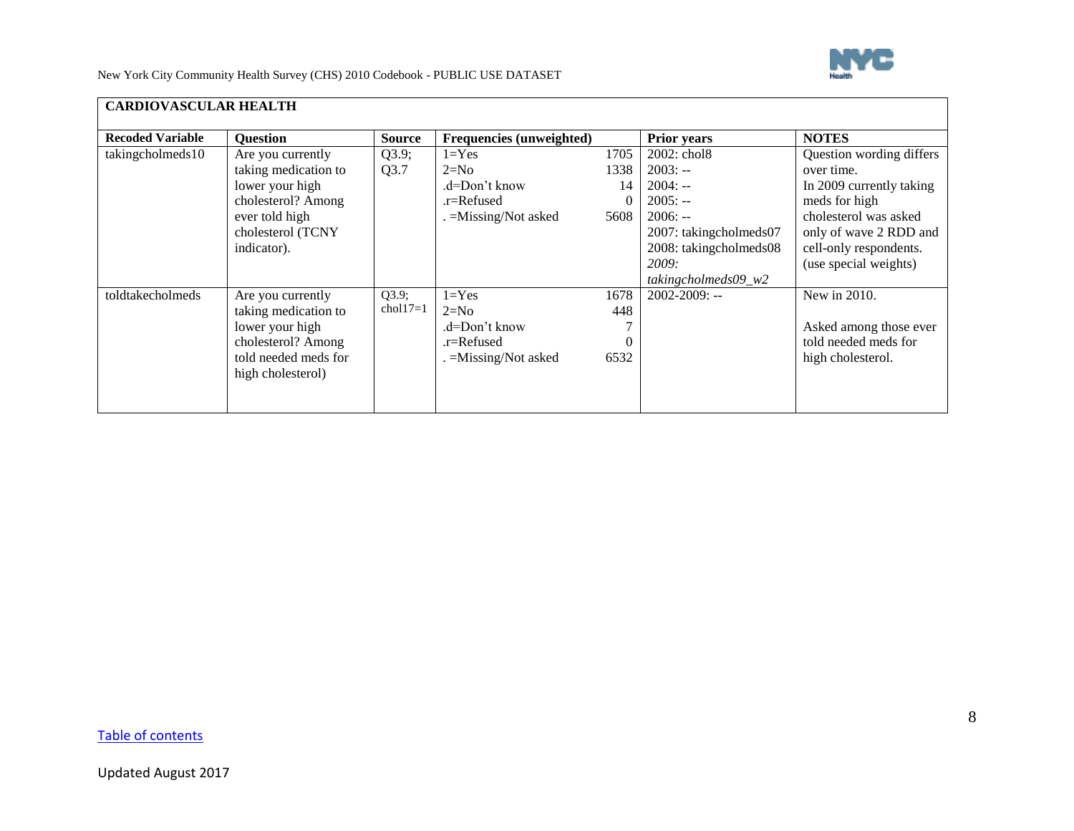

| <b>CARDIOVASCULAR HEALTH</b> |                      |               |                          |          |                          |                          |
|------------------------------|----------------------|---------------|--------------------------|----------|--------------------------|--------------------------|
| <b>Recoded Variable</b>      | <b>Question</b>      | <b>Source</b> | Frequencies (unweighted) |          | Prior years              | <b>NOTES</b>             |
| takingcholmeds10             | Are you currently    | Q3.9;         | $1 = Yes$                | 1705     | 2002: chol8              | Question wording differs |
|                              | taking medication to | Q3.7          | $2=N0$                   | 1338     | $2003: -$                | over time.               |
|                              | lower your high      |               | .d=Don't know            | 14       | $2004: -$                | In 2009 currently taking |
|                              | cholesterol? Among   |               | .r=Refused               | $\Omega$ | $2005: -$                | meds for high            |
|                              | ever told high       |               | . = Missing/Not asked    | 5608     | $2006: -$                | cholesterol was asked    |
|                              | cholesterol (TCNY    |               |                          |          | 2007: takingcholmeds07   | only of wave 2 RDD and   |
|                              | indicator).          |               |                          |          | 2008: takingcholmeds08   | cell-only respondents.   |
|                              |                      |               |                          |          | 2009:                    | (use special weights)    |
|                              |                      |               |                          |          | takingcholmeds $09_{w2}$ |                          |
| toldtakecholmeds             | Are you currently    | Q3.9;         | $1 = Yes$                | 1678     | 2002-2009: --            | New in 2010.             |
|                              | taking medication to | $chol17=1$    | $2=N0$                   | 448      |                          |                          |
|                              | lower your high      |               | .d=Don't know            |          |                          | Asked among those ever   |
|                              | cholesterol? Among   |               | .r=Refused               |          |                          | told needed meds for     |
|                              | told needed meds for |               | . =Missing/Not asked     | 6532     |                          | high cholesterol.        |
|                              | high cholesterol)    |               |                          |          |                          |                          |
|                              |                      |               |                          |          |                          |                          |
|                              |                      |               |                          |          |                          |                          |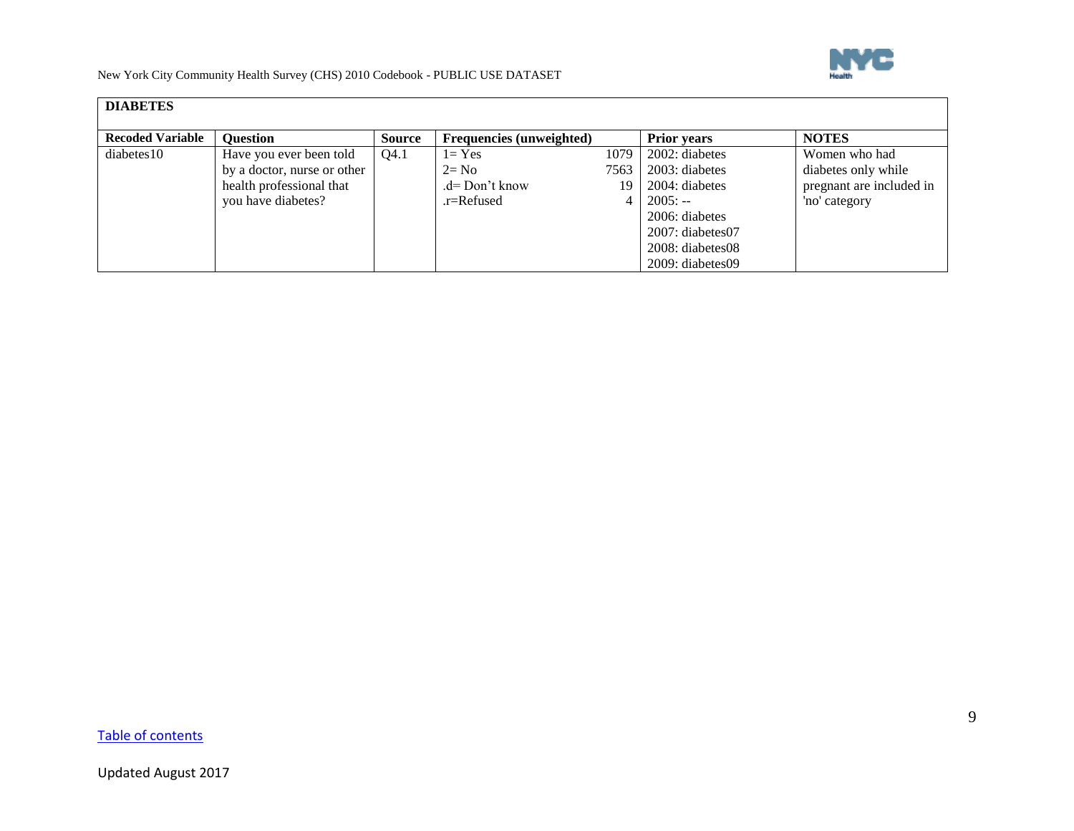

<span id="page-8-0"></span>

| <b>DIABETES</b>         |                             |               |                                 |      |                        |                          |
|-------------------------|-----------------------------|---------------|---------------------------------|------|------------------------|--------------------------|
| <b>Recoded Variable</b> | <b>Ouestion</b>             | <b>Source</b> | <b>Frequencies</b> (unweighted) |      | <b>Prior years</b>     | <b>NOTES</b>             |
| diabetes10              | Have you ever been told     | Q4.1          | $1 = Yes$                       | 1079 | 2002: diabetes         | Women who had            |
|                         | by a doctor, nurse or other |               | $2=$ No                         | 7563 | 2003: diabetes         | diabetes only while      |
|                         | health professional that    |               | .d= Don't know                  | 19   | 2004: diabetes         | pregnant are included in |
|                         | you have diabetes?          |               | .r=Refused                      |      | $2005: -$              | 'no' category            |
|                         |                             |               |                                 |      | 2006: diabetes         |                          |
|                         |                             |               |                                 |      | $2007$ : diabetes $07$ |                          |
|                         |                             |               |                                 |      | 2008: diabetes08       |                          |
|                         |                             |               |                                 |      | $2009:$ diabetes 09    |                          |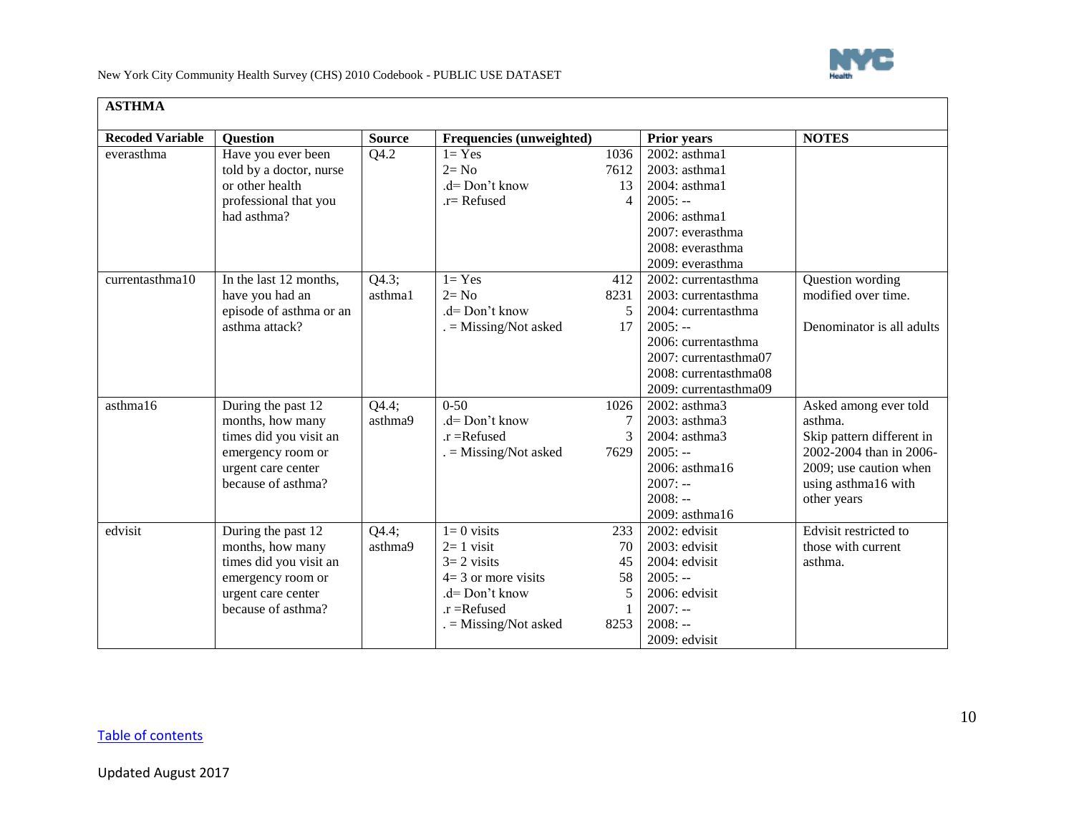

<span id="page-9-0"></span>

| <b>ASTHMA</b>           |                                                                                                                                   |                  |                                                                                                                                          |                                      |                                                                                                                                                                                  |                                                                                                                                                          |
|-------------------------|-----------------------------------------------------------------------------------------------------------------------------------|------------------|------------------------------------------------------------------------------------------------------------------------------------------|--------------------------------------|----------------------------------------------------------------------------------------------------------------------------------------------------------------------------------|----------------------------------------------------------------------------------------------------------------------------------------------------------|
| <b>Recoded Variable</b> | <b>Question</b>                                                                                                                   | <b>Source</b>    | Frequencies (unweighted)                                                                                                                 |                                      | <b>Prior years</b>                                                                                                                                                               | <b>NOTES</b>                                                                                                                                             |
| everasthma              | Have you ever been<br>told by a doctor, nurse<br>or other health<br>professional that you<br>had asthma?                          | Q4.2             | $1 = Yes$<br>$2 = No$<br>.d= Don't know<br>.r= Refused                                                                                   | 1036<br>7612<br>13<br>$\overline{4}$ | 2002: asthma1<br>2003: asthma1<br>2004: asthma1<br>$2005: -$<br>2006: asthma1<br>2007: everasthma<br>2008: everasthma<br>2009: everasthma                                        |                                                                                                                                                          |
| currentasthma10         | In the last 12 months,<br>have you had an<br>episode of asthma or an<br>asthma attack?                                            | Q4.3;<br>asthma1 | $1 = Yes$<br>$2 = No$<br>$d=$ Don't know<br>$=$ Missing/Not asked                                                                        | 412<br>8231<br>17                    | 2002: currentasthma<br>2003: currentasthma<br>2004: currentasthma<br>$2005: -$<br>2006: currentasthma<br>2007: currentasthma07<br>2008: currentasthma08<br>2009: currentasthma09 | Question wording<br>modified over time.<br>Denominator is all adults                                                                                     |
| asthma16                | During the past 12<br>months, how many<br>times did you visit an<br>emergency room or<br>urgent care center<br>because of asthma? | Q4.4;<br>asthma9 | $0 - 50$<br>$d = Don't know$<br>$.r =$ Refused<br>$=$ Missing/Not asked                                                                  | 1026<br>7629                         | 2002: asthma3<br>2003: asthma3<br>2004: asthma3<br>$2005: -$<br>2006: asthma16<br>$2007: -$<br>$2008: -$<br>2009: asthma16                                                       | Asked among ever told<br>asthma.<br>Skip pattern different in<br>2002-2004 than in 2006-<br>2009; use caution when<br>using asthma16 with<br>other years |
| edvisit                 | During the past 12<br>months, how many<br>times did you visit an<br>emergency room or<br>urgent care center<br>because of asthma? | Q4.4;<br>asthma9 | $1=0$ visits<br>$2=1$ visit<br>$3=2$ visits<br>$4=3$ or more visits<br>.d= Don't know<br>$\mathbf{r}$ = Refused<br>$=$ Missing/Not asked | 233<br>70<br>45<br>58<br>8253        | 2002: edvisit<br>2003: edvisit<br>2004: edvisit<br>$2005: -$<br>2006: edvisit<br>$2007: -$<br>$2008: -$<br>2009: edvisit                                                         | Edvisit restricted to<br>those with current<br>asthma.                                                                                                   |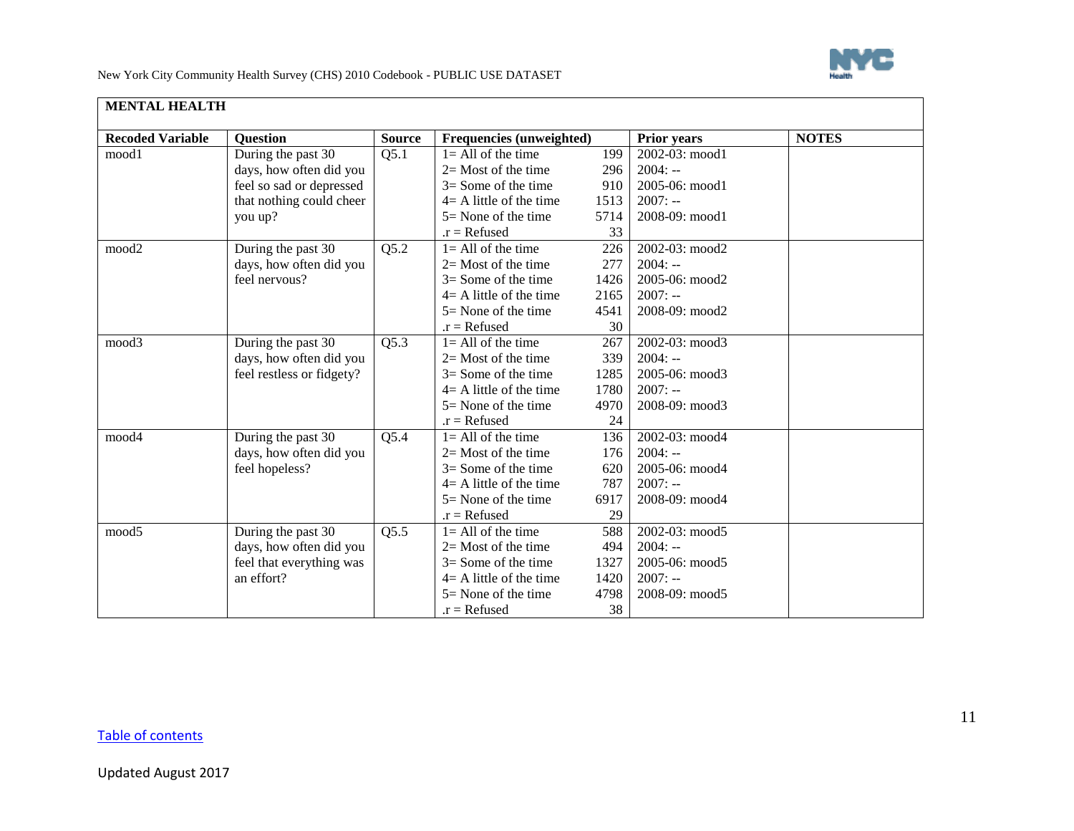

<span id="page-10-0"></span>

| <b>Recoded Variable</b> | <b>Question</b>           | <b>Source</b> | Frequencies (unweighted)   |      | <b>Prior years</b> | <b>NOTES</b> |
|-------------------------|---------------------------|---------------|----------------------------|------|--------------------|--------------|
| mood1                   | During the past 30        | Q5.1          | $1 = All$ of the time      | 199  | 2002-03: mood1     |              |
|                         | days, how often did you   |               | $2=$ Most of the time      | 296  | $2004: -$          |              |
|                         | feel so sad or depressed  |               | $3=$ Some of the time      | 910  | 2005-06: mood1     |              |
|                         | that nothing could cheer  |               | $4 = A$ little of the time | 1513 | $2007: -$          |              |
|                         | you up?                   |               | $5 =$ None of the time     | 5714 | 2008-09: mood1     |              |
|                         |                           |               | $.r = Refused$             | 33   |                    |              |
| mood2                   | During the past 30        | Q5.2          | $l = All of the time$      | 226  | 2002-03: mood2     |              |
|                         | days, how often did you   |               | $2=$ Most of the time      | 277  | $2004: -$          |              |
|                         | feel nervous?             |               | $3=$ Some of the time      | 1426 | 2005-06: mood2     |              |
|                         |                           |               | $4 = A$ little of the time | 2165 | $2007: -$          |              |
|                         |                           |               | $5 =$ None of the time     | 4541 | 2008-09: mood2     |              |
|                         |                           |               | $.r = Refused$             | 30   |                    |              |
| mood3                   | During the past 30        | Q5.3          | $l = All$ of the time      | 267  | 2002-03: mood3     |              |
|                         | days, how often did you   |               | $2=$ Most of the time      | 339  | $2004: -$          |              |
|                         | feel restless or fidgety? |               | $3 =$ Some of the time     | 1285 | 2005-06: mood3     |              |
|                         |                           |               | $4 = A$ little of the time | 1780 | $2007: -$          |              |
|                         |                           |               | $5 =$ None of the time     | 4970 | 2008-09: mood3     |              |
|                         |                           |               | $.r = Refused$             | 24   |                    |              |
| mood4                   | During the past 30        | Q5.4          | $l = All$ of the time      | 136  | 2002-03: mood4     |              |
|                         | days, how often did you   |               | $2=$ Most of the time      | 176  | $2004: -$          |              |
|                         | feel hopeless?            |               | $3=$ Some of the time      | 620  | 2005-06: mood4     |              |
|                         |                           |               | $4=$ A little of the time  | 787  | $2007: -$          |              |
|                         |                           |               | $5 =$ None of the time     | 6917 | 2008-09: mood4     |              |
|                         |                           |               | $.r = Refused$             | 29   |                    |              |
| mood <sub>5</sub>       | During the past 30        | Q5.5          | $l = All$ of the time      | 588  | 2002-03: mood5     |              |
|                         | days, how often did you   |               | $2=$ Most of the time      | 494  | $2004: -$          |              |
|                         | feel that everything was  |               | $3=$ Some of the time      | 1327 | 2005-06: mood5     |              |
|                         | an effort?                |               | $4 = A$ little of the time | 1420 | $2007: -$          |              |
|                         |                           |               | $5 =$ None of the time     | 4798 | 2008-09: mood5     |              |
|                         |                           |               | $.r = Refused$             | 38   |                    |              |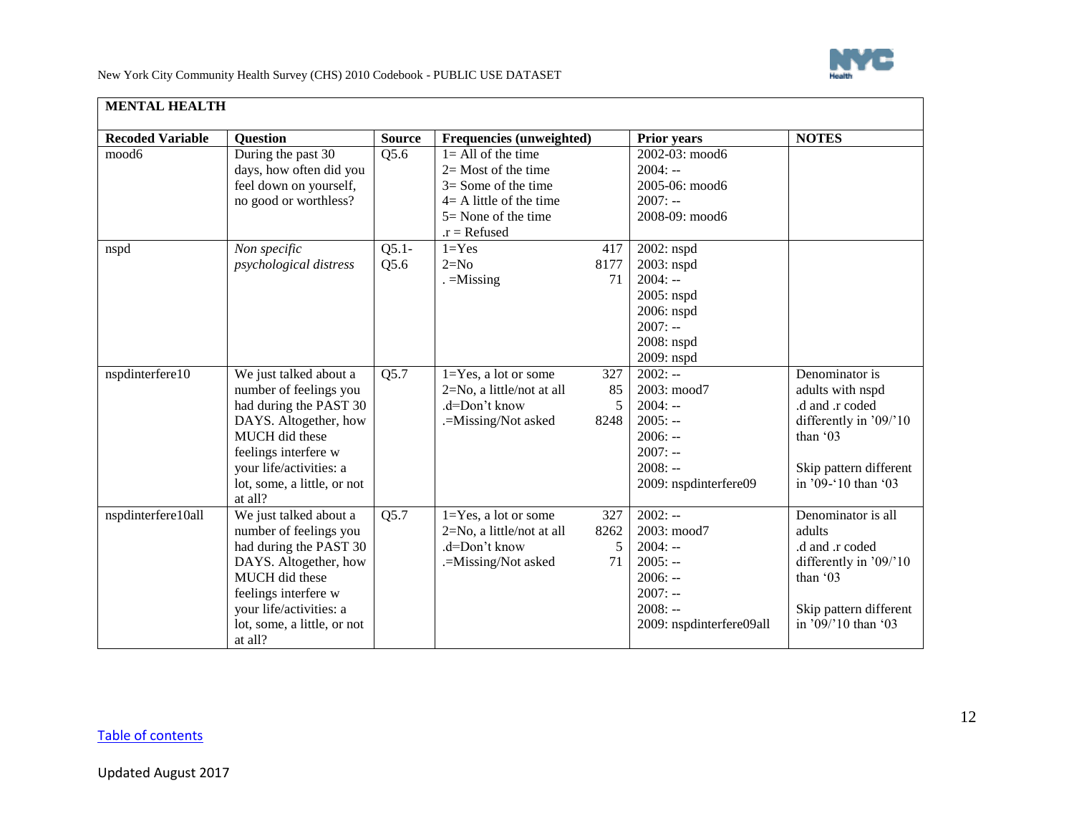

| <b>MENTAL HEALTH</b>    |                             |               |                            |      |                          |                        |
|-------------------------|-----------------------------|---------------|----------------------------|------|--------------------------|------------------------|
| <b>Recoded Variable</b> | <b>Question</b>             | <b>Source</b> | Frequencies (unweighted)   |      | <b>Prior years</b>       | <b>NOTES</b>           |
| mood6                   | During the past 30          | Q5.6          | $1 = All of the time$      |      | 2002-03: mood6           |                        |
|                         | days, how often did you     |               | $2=$ Most of the time      |      | $2004: -$                |                        |
|                         | feel down on yourself,      |               | $3 =$ Some of the time     |      | 2005-06: mood6           |                        |
|                         | no good or worthless?       |               | $4 = A$ little of the time |      | $2007: -$                |                        |
|                         |                             |               | $5 =$ None of the time     |      | 2008-09: mood6           |                        |
|                         |                             |               | $.r = Refused$             |      |                          |                        |
| nspd                    | Non specific                | $Q5.1-$       | $1 = Yes$                  | 417  | 2002: nspd               |                        |
|                         | psychological distress      | Q5.6          | $2=N0$                     | 8177 | 2003: nspd               |                        |
|                         |                             |               | $=$ Missing                | 71   | $2004: -$                |                        |
|                         |                             |               |                            |      | 2005: nspd               |                        |
|                         |                             |               |                            |      | 2006: nspd               |                        |
|                         |                             |               |                            |      | $2007: -$                |                        |
|                         |                             |               |                            |      | 2008: nspd               |                        |
|                         |                             |               |                            |      | 2009: nspd               |                        |
| nspdinterfere10         | We just talked about a      | Q5.7          | $1 = Yes$ , a lot or some  | 327  | $2002: -$                | Denominator is         |
|                         | number of feelings you      |               | 2=No, a little/not at all  | 85   | 2003: mood7              | adults with nspd       |
|                         | had during the PAST 30      |               | .d=Don't know              | 5    | $2004: -$                | .d and .r coded        |
|                         | DAYS. Altogether, how       |               | .=Missing/Not asked        | 8248 | $2005: -$                | differently in '09/'10 |
|                         | MUCH did these              |               |                            |      | $2006: -$                | than '03               |
|                         | feelings interfere w        |               |                            |      | $2007: -$                |                        |
|                         | your life/activities: a     |               |                            |      | $2008: -$                | Skip pattern different |
|                         | lot, some, a little, or not |               |                            |      | 2009: nspdinterfere09    | in '09-'10 than '03    |
|                         | at all?                     |               |                            |      |                          |                        |
| nspdinterfere10all      | We just talked about a      | Q5.7          | $1 = Yes$ , a lot or some  | 327  | $2002: -$                | Denominator is all     |
|                         | number of feelings you      |               | 2=No, a little/not at all  | 8262 | 2003: mood7              | adults                 |
|                         | had during the PAST 30      |               | .d=Don't know              | 5    | $2004: -$                | .d and .r coded        |
|                         | DAYS. Altogether, how       |               | .=Missing/Not asked        | 71   | $2005: -$                | differently in '09/'10 |
|                         | MUCH did these              |               |                            |      | $2006: -$                | than '03               |
|                         | feelings interfere w        |               |                            |      | $2007: -$                |                        |
|                         | your life/activities: a     |               |                            |      | $2008: -$                | Skip pattern different |
|                         | lot, some, a little, or not |               |                            |      | 2009: nspdinterfere09all | in '09/'10 than '03    |
|                         | at all?                     |               |                            |      |                          |                        |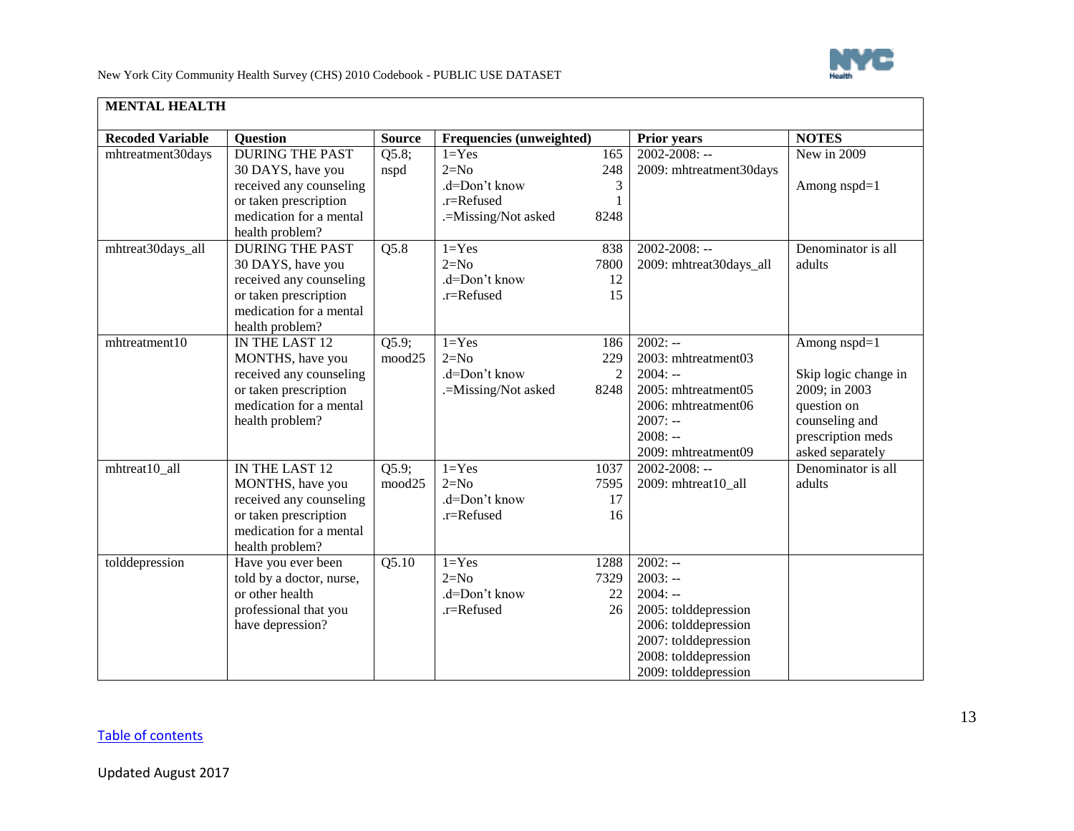

| <b>MENTAL HEALTH</b>    |                                             |                 |                                 |                |                         |                      |
|-------------------------|---------------------------------------------|-----------------|---------------------------------|----------------|-------------------------|----------------------|
| <b>Recoded Variable</b> | <b>Ouestion</b>                             | <b>Source</b>   | <b>Frequencies (unweighted)</b> |                | <b>Prior years</b>      | <b>NOTES</b>         |
| mhtreatment30days       | <b>DURING THE PAST</b>                      | Q5.8;           | $1 = Yes$                       | 165            | $2002 - 2008$ : --      | New in 2009          |
|                         | 30 DAYS, have you                           | nspd            | $2=N0$                          | 248            | 2009: mhtreatment30days |                      |
|                         | received any counseling                     |                 | .d=Don't know                   | 3              |                         | Among nspd=1         |
|                         | or taken prescription                       |                 | .r=Refused                      | 1              |                         |                      |
|                         | medication for a mental                     |                 | .=Missing/Not asked             | 8248           |                         |                      |
|                         | health problem?                             |                 |                                 |                |                         |                      |
| mhtreat30days_all       | <b>DURING THE PAST</b>                      | Q5.8            | $1 = Yes$                       | 838            | $2002 - 2008$ : --      | Denominator is all   |
|                         | 30 DAYS, have you                           |                 | $2=N0$                          | 7800           | 2009: mhtreat30days_all | adults               |
|                         | received any counseling                     |                 | .d=Don't know                   | 12             |                         |                      |
|                         | or taken prescription                       |                 | .r=Refused                      | 15             |                         |                      |
|                         | medication for a mental                     |                 |                                 |                |                         |                      |
|                         | health problem?                             |                 | $1 = Yes$                       |                | $2002: -$               |                      |
| mhtreatment10           | IN THE LAST 12                              | Q5.9;<br>mood25 | $2=N0$                          | 186<br>229     | 2003: mhtreatment03     | Among nspd=1         |
|                         | MONTHS, have you<br>received any counseling |                 | .d=Don't know                   | $\overline{2}$ | $2004: -$               | Skip logic change in |
|                         | or taken prescription                       |                 | .=Missing/Not asked             | 8248           | 2005: mhtreatment05     | 2009; in 2003        |
|                         | medication for a mental                     |                 |                                 |                | 2006: mhtreatment06     | question on          |
|                         | health problem?                             |                 |                                 |                | $2007: -$               | counseling and       |
|                         |                                             |                 |                                 |                | $2008: -$               | prescription meds    |
|                         |                                             |                 |                                 |                | 2009: mhtreatment09     | asked separately     |
| mhtreat10_all           | IN THE LAST 12                              | Q5.9            | $1 = Yes$                       | 1037           | $2002 - 2008$ : --      | Denominator is all   |
|                         | MONTHS, have you                            | mood25          | $2=N0$                          | 7595           | 2009: mhtreat10_all     | adults               |
|                         | received any counseling                     |                 | .d=Don't know                   | 17             |                         |                      |
|                         | or taken prescription                       |                 | .r=Refused                      | 16             |                         |                      |
|                         | medication for a mental                     |                 |                                 |                |                         |                      |
|                         | health problem?                             |                 |                                 |                |                         |                      |
| tolddepression          | Have you ever been                          | Q5.10           | $1 = Yes$                       | 1288           | $2002: -$               |                      |
|                         | told by a doctor, nurse,                    |                 | $2=N0$                          | 7329           | $2003: -$               |                      |
|                         | or other health                             |                 | .d=Don't know                   | 22             | $2004: -$               |                      |
|                         | professional that you                       |                 | .r=Refused                      | 26             | 2005: tolddepression    |                      |
|                         | have depression?                            |                 |                                 |                | 2006: tolddepression    |                      |
|                         |                                             |                 |                                 |                | 2007: tolddepression    |                      |
|                         |                                             |                 |                                 |                | 2008: tolddepression    |                      |
|                         |                                             |                 |                                 |                | 2009: tolddepression    |                      |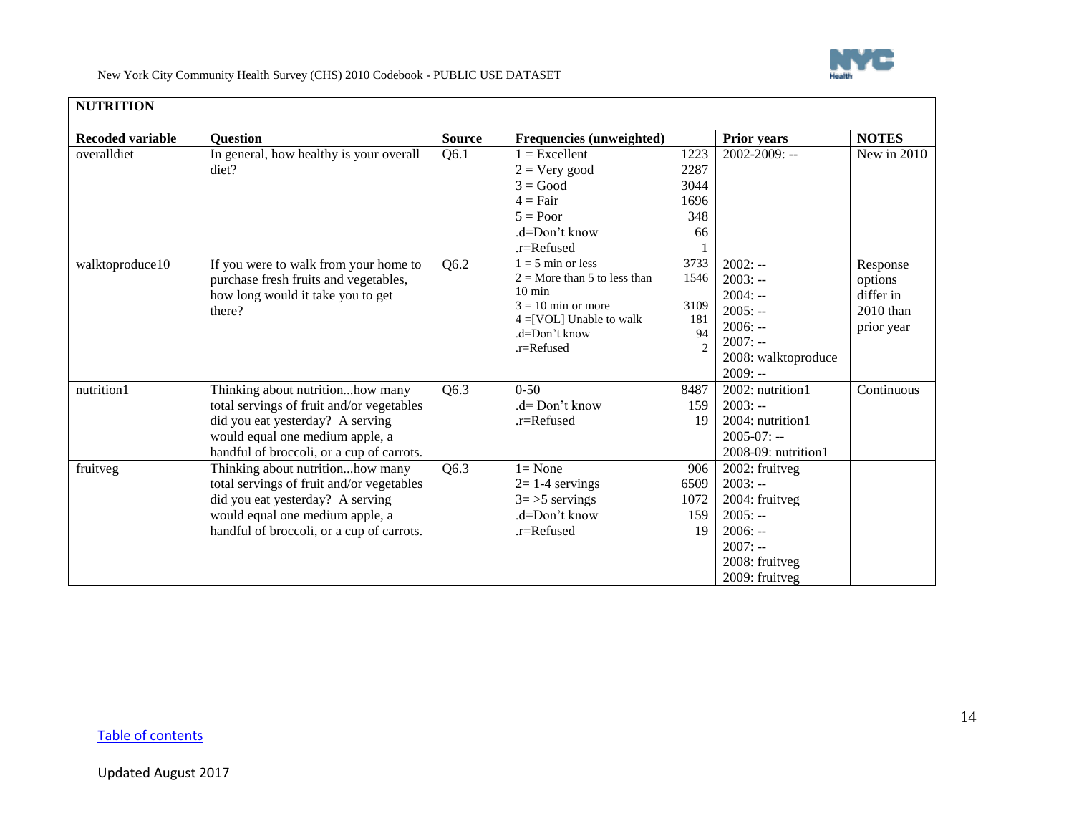

<span id="page-13-0"></span>

| <b>Recoded variable</b> | <b>Question</b>                                                                                                                                                                                   | <b>Source</b> | Frequencies (unweighted)                                                                                                                                       |                                                             | Prior years                                                                                                              | <b>NOTES</b>                                                |
|-------------------------|---------------------------------------------------------------------------------------------------------------------------------------------------------------------------------------------------|---------------|----------------------------------------------------------------------------------------------------------------------------------------------------------------|-------------------------------------------------------------|--------------------------------------------------------------------------------------------------------------------------|-------------------------------------------------------------|
| overalldiet             | In general, how healthy is your overall<br>diet?                                                                                                                                                  | Q6.1          | $1 =$ Excellent<br>$2 = V$ ery good<br>$3 = Good$<br>$4 = Fair$<br>$5 = Poor$<br>$d=Don't know$<br>.r=Refused                                                  | 1223<br>2287<br>3044<br>1696<br>348<br>66                   | 2002-2009: --                                                                                                            | New in 2010                                                 |
| walktoproduce10         | If you were to walk from your home to<br>purchase fresh fruits and vegetables,<br>how long would it take you to get<br>there?                                                                     | Q6.2          | $1 = 5$ min or less<br>$2 =$ More than 5 to less than<br>$10 \text{ min}$<br>$3 = 10$ min or more<br>$4 = [VOL]$ Unable to walk<br>.d=Don't know<br>.r=Refused | 3733<br>1546<br>3109<br>181<br>94<br>$\mathcal{D}_{\alpha}$ | $2002: -$<br>$2003: -$<br>$2004: -$<br>$2005: -$<br>$2006: -$<br>$2007: -$<br>2008: walktoproduce<br>$2009: -$           | Response<br>options<br>differ in<br>2010 than<br>prior year |
| nutrition1              | Thinking about nutritionhow many<br>total servings of fruit and/or vegetables<br>did you eat yesterday? A serving<br>would equal one medium apple, a<br>handful of broccoli, or a cup of carrots. | Q6.3          | $0 - 50$<br>$d = Don't know$<br>.r=Refused                                                                                                                     | 8487<br>159<br>19                                           | 2002: nutrition1<br>$2003: -$<br>2004: nutrition1<br>$2005 - 07$ : --<br>$2008-09$ : nutrition1                          | Continuous                                                  |
| fruitveg                | Thinking about nutritionhow many<br>total servings of fruit and/or vegetables<br>did you eat yesterday? A serving<br>would equal one medium apple, a<br>handful of broccoli, or a cup of carrots. | Q6.3          | $l = None$<br>$2=1-4$ servings<br>$3 = \ge 5$ servings<br>.d=Don't know<br>$.r =$ Refused                                                                      | 906<br>6509<br>1072<br>159<br>19                            | 2002: fruitveg<br>$2003: -$<br>2004: fruitveg<br>$2005: -$<br>$2006: -$<br>$2007: -$<br>2008: fruitveg<br>2009: fruitveg |                                                             |

## [Table of contents](#page-0-1)

г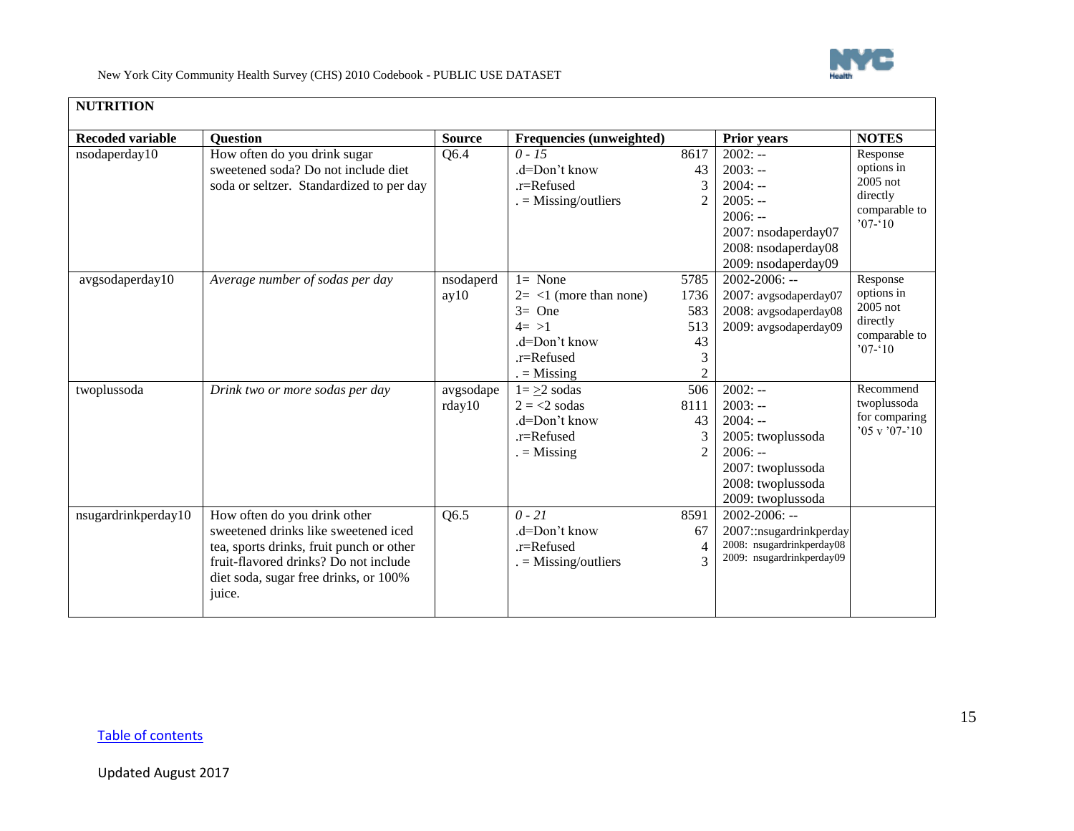

| <b>NUTRITION</b>        |                                                                                                                                                                                                              |                     |                                                                                                                                       |                                                         |                                                                                                                                      |                                                                                |
|-------------------------|--------------------------------------------------------------------------------------------------------------------------------------------------------------------------------------------------------------|---------------------|---------------------------------------------------------------------------------------------------------------------------------------|---------------------------------------------------------|--------------------------------------------------------------------------------------------------------------------------------------|--------------------------------------------------------------------------------|
| <b>Recoded variable</b> | <b>Question</b>                                                                                                                                                                                              | <b>Source</b>       | Frequencies (unweighted)                                                                                                              |                                                         | Prior years                                                                                                                          | <b>NOTES</b>                                                                   |
| nsodaperday10           | How often do you drink sugar<br>sweetened soda? Do not include diet<br>soda or seltzer. Standardized to per day                                                                                              | Q6.4                | $0 - 15$<br>$d=Don't know$<br>.r=Refused<br>$=$ Missing/outliers                                                                      | 8617<br>43<br>3<br>$\overline{c}$                       | $2002: -$<br>$2003: -$<br>$2004: -$<br>$2005: -$<br>$2006: -$<br>2007: nsodaperday07<br>2008: nsodaperday08<br>2009: nsodaperday09   | Response<br>options in<br>$2005$ not<br>directly<br>comparable to<br>$07 - 10$ |
| avgsodaperday10         | Average number of sodas per day                                                                                                                                                                              | nsodaperd<br>ay10   | $\overline{1}$ None<br>$2 = \langle 1 \rangle$ (more than none)<br>$3=$ One<br>$4 = >1$<br>.d=Don't know<br>.r=Refused<br>$=$ Missing | 5785<br>1736<br>583<br>513<br>43<br>3<br>$\overline{c}$ | $2002 - 2006$ : --<br>2007: avgsodaperday07<br>2008: avgsodaperday08<br>2009: avgsodaperday09                                        | Response<br>options in<br>$2005$ not<br>directly<br>comparable to<br>$07 - 10$ |
| twoplussoda             | Drink two or more sodas per day                                                                                                                                                                              | avgsodape<br>rday10 | $1 = \geq 2$ sodas<br>$2 = 2$ sodas<br>$d=Don't know$<br>.r=Refused<br>$=$ Missing                                                    | 506<br>8111<br>43<br>$\overline{2}$                     | $2002: -$<br>$2003: -$<br>$2004: -$<br>2005: twoplussoda<br>$2006: -$<br>2007: twoplussoda<br>2008: twoplussoda<br>2009: twoplussoda | Recommend<br>twoplussoda<br>for comparing<br>$05 \times 07 - 10$               |
| nsugardrinkperday10     | How often do you drink other<br>sweetened drinks like sweetened iced<br>tea, sports drinks, fruit punch or other<br>fruit-flavored drinks? Do not include<br>diet soda, sugar free drinks, or 100%<br>juice. | Q6.5                | $0 - 21$<br>.d=Don't know<br>.r=Refused<br>$=$ Missing/outliers                                                                       | 8591<br>67<br>4<br>3                                    | $2002 - 2006$ : --<br>2007::nsugardrinkperday<br>2008: nsugardrinkperday08<br>2009: nsugardrinkperday09                              |                                                                                |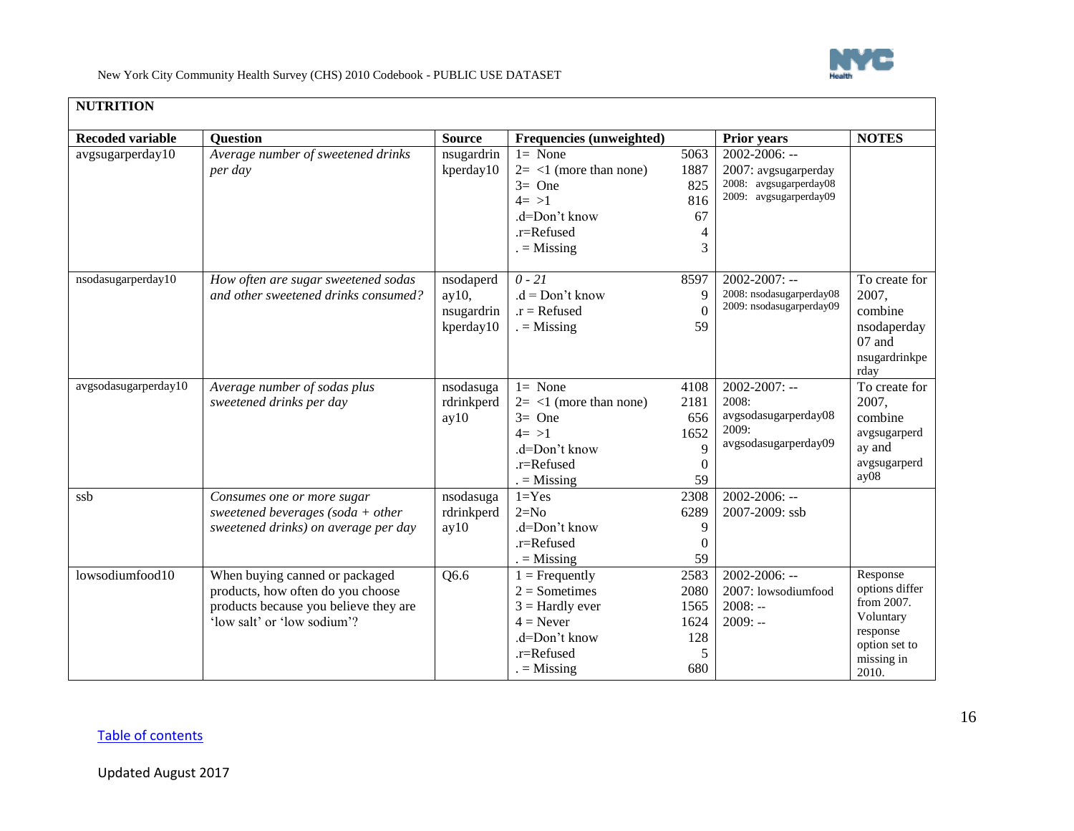

| <b>NUTRITION</b>        |                                                                      |               |                                     |              |                               |                            |
|-------------------------|----------------------------------------------------------------------|---------------|-------------------------------------|--------------|-------------------------------|----------------------------|
| <b>Recoded variable</b> | <b>Ouestion</b>                                                      | <b>Source</b> | Frequencies (unweighted)            |              | <b>Prior years</b>            | <b>NOTES</b>               |
| avgsugarperday10        | Average number of sweetened drinks                                   | nsugardrin    | $l = None$                          | 5063         | $2002 - 2006$ : --            |                            |
|                         | per day                                                              | kperday10     | $2 = 1$ (more than none)            | 1887         | 2007: avgsugarperday          |                            |
|                         |                                                                      |               | $3=$ One                            | 825          | 2008: avgsugarperday08        |                            |
|                         |                                                                      |               | $4 = >1$                            | 816          | 2009: avgsugarperday09        |                            |
|                         |                                                                      |               | $d=Don't know$                      | 67           |                               |                            |
|                         |                                                                      |               | .r=Refused                          | 4            |                               |                            |
|                         |                                                                      |               | $=$ Missing                         | 3            |                               |                            |
| nsodasugarperday10      | How often are sugar sweetened sodas                                  | nsodaperd     | $0 - 21$                            | 8597         | $2002 - 2007$ : --            | To create for              |
|                         | and other sweetened drinks consumed?                                 | ay10,         | $.d = Don't know$                   | 9            | 2008: nsodasugarperday08      | 2007,                      |
|                         |                                                                      | nsugardrin    | $.r = Refused$                      | $\Omega$     | 2009: nsodasugarperday09      | combine                    |
|                         |                                                                      | kperday10     | $=$ Missing                         | 59           |                               | nsodaperday                |
|                         |                                                                      |               |                                     |              |                               | 07 and                     |
|                         |                                                                      |               |                                     |              |                               | nsugardrinkpe              |
|                         |                                                                      |               |                                     |              |                               | rday                       |
| avgsodasugarperday10    | Average number of sodas plus<br>sweetened drinks per day             | nsodasuga     | $l = None$                          | 4108         | $2002 - 2007$ : --            | To create for              |
|                         |                                                                      | rdrinkperd    | $2 = 1$ (more than none)            | 2181         | 2008:                         | 2007.                      |
|                         |                                                                      | ay10          | $3=$ One                            | 656          | avgsodasugarperday08<br>2009: | combine                    |
|                         |                                                                      |               | $4 = >1$                            | 1652         | avgsodasugarperday09          | avgsugarperd               |
|                         |                                                                      |               | .d=Don't know                       | 9            |                               | ay and                     |
|                         |                                                                      |               | .r=Refused                          | $\mathbf{0}$ |                               | avgsugarperd<br>ay08       |
|                         |                                                                      |               | $=$ Missing                         | 59           |                               |                            |
| ssb                     | Consumes one or more sugar                                           | nsodasuga     | $1 = Yes$                           | 2308         | $2002 - 2006$ : --            |                            |
|                         | sweetened beverages (soda + other                                    | rdrinkperd    | $2=N0$                              | 6289         | 2007-2009: ssb                |                            |
|                         | sweetened drinks) on average per day                                 | ay10          | .d=Don't know                       | 9            |                               |                            |
|                         |                                                                      |               | $.r =$ Refused                      | $\Omega$     |                               |                            |
|                         |                                                                      |               | $=$ Missing                         | 59           | $2002 - 2006$ : --            |                            |
| lowsodiumfood10         | When buying canned or packaged                                       | Q6.6          | $1 =$ Frequently<br>$2 =$ Sometimes | 2583         | 2007: lowsodiumfood           | Response<br>options differ |
|                         | products, how often do you choose                                    |               |                                     | 2080         | $2008: -$                     | from 2007.                 |
|                         | products because you believe they are<br>'low salt' or 'low sodium'? |               | $3 =$ Hardly ever<br>$4 =$ Never    | 1565<br>1624 | $2009: -$                     | Voluntary                  |
|                         |                                                                      |               | .d=Don't know                       | 128          |                               | response                   |
|                         |                                                                      |               | .r=Refused                          | 5            |                               | option set to              |
|                         |                                                                      |               |                                     | 680          |                               | missing in                 |
|                         |                                                                      |               | $=$ Missing                         |              |                               | 2010.                      |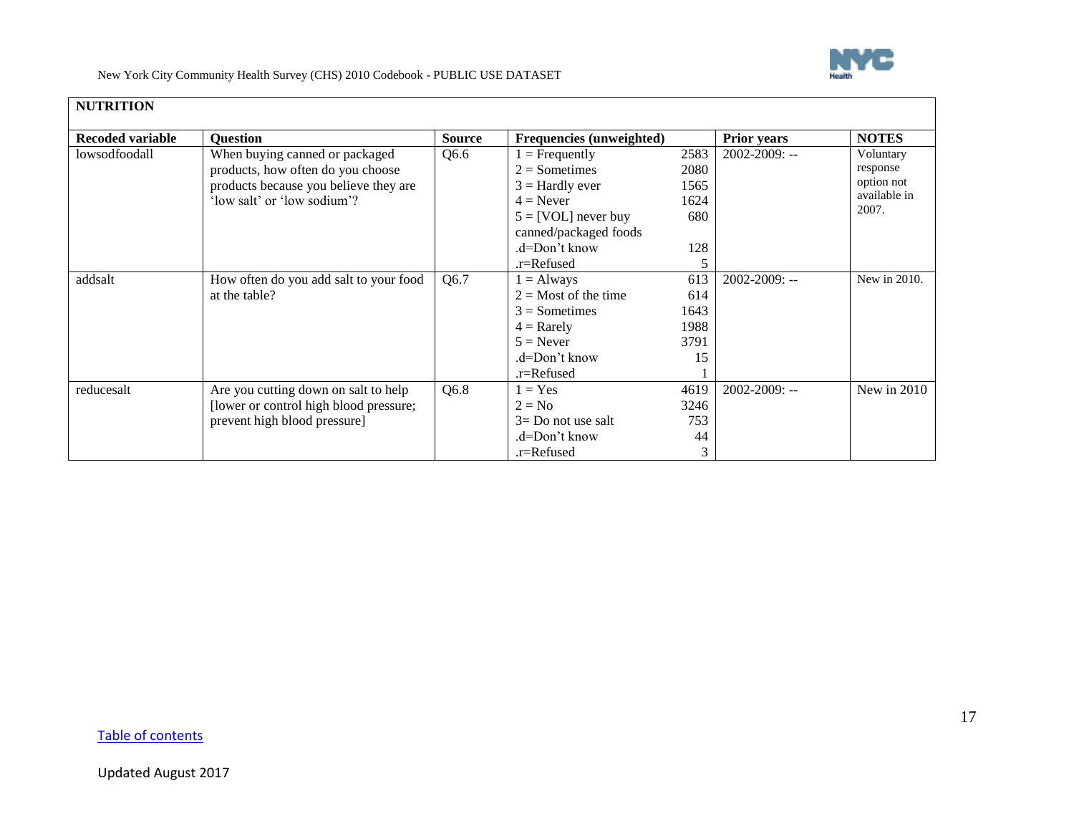

| <b>NUTRITION</b>        |                                        |               |                                 |      |                    |                       |
|-------------------------|----------------------------------------|---------------|---------------------------------|------|--------------------|-----------------------|
| <b>Recoded variable</b> | <b>Question</b>                        | <b>Source</b> | <b>Frequencies (unweighted)</b> |      | <b>Prior years</b> | <b>NOTES</b>          |
| lowsodfoodall           | When buying canned or packaged         | Q6.6          | $1 =$ Frequently                | 2583 | $2002 - 2009$ : -- | Voluntary             |
|                         | products, how often do you choose      |               | $2 =$ Sometimes                 | 2080 |                    | response              |
|                         | products because you believe they are  |               | $3 =$ Hardly ever               | 1565 |                    | option not            |
|                         | 'low salt' or 'low sodium'?            |               | $4 =$ Never                     | 1624 |                    | available in<br>2007. |
|                         |                                        |               | $5 = [VOL]$ never buy           | 680  |                    |                       |
|                         |                                        |               | canned/packaged foods           |      |                    |                       |
|                         |                                        |               | $d=Don't know$                  | 128  |                    |                       |
|                         |                                        |               | .r=Refused                      |      |                    |                       |
| addsalt                 | How often do you add salt to your food | Q6.7          | $1 =$ Always                    | 613  | $2002 - 2009$ : -- | New in 2010.          |
|                         | at the table?                          |               | $2 =$ Most of the time          | 614  |                    |                       |
|                         |                                        |               | $3 =$ Sometimes                 | 1643 |                    |                       |
|                         |                                        |               | $4 =$ Rarely                    | 1988 |                    |                       |
|                         |                                        |               | $5 =$ Never                     | 3791 |                    |                       |
|                         |                                        |               | .d=Don't know                   | 15   |                    |                       |
|                         |                                        |               | .r=Refused                      |      |                    |                       |
| reducesalt              | Are you cutting down on salt to help   | Q6.8          | $1 = Yes$                       | 4619 | $2002 - 2009$ : -- | New in $2010$         |
|                         | [lower or control high blood pressure; |               | $2 = No$                        | 3246 |                    |                       |
|                         | prevent high blood pressure]           |               | $3=$ Do not use salt            | 753  |                    |                       |
|                         |                                        |               | $d=Don't know$                  | 44   |                    |                       |
|                         |                                        |               | .r=Refused                      |      |                    |                       |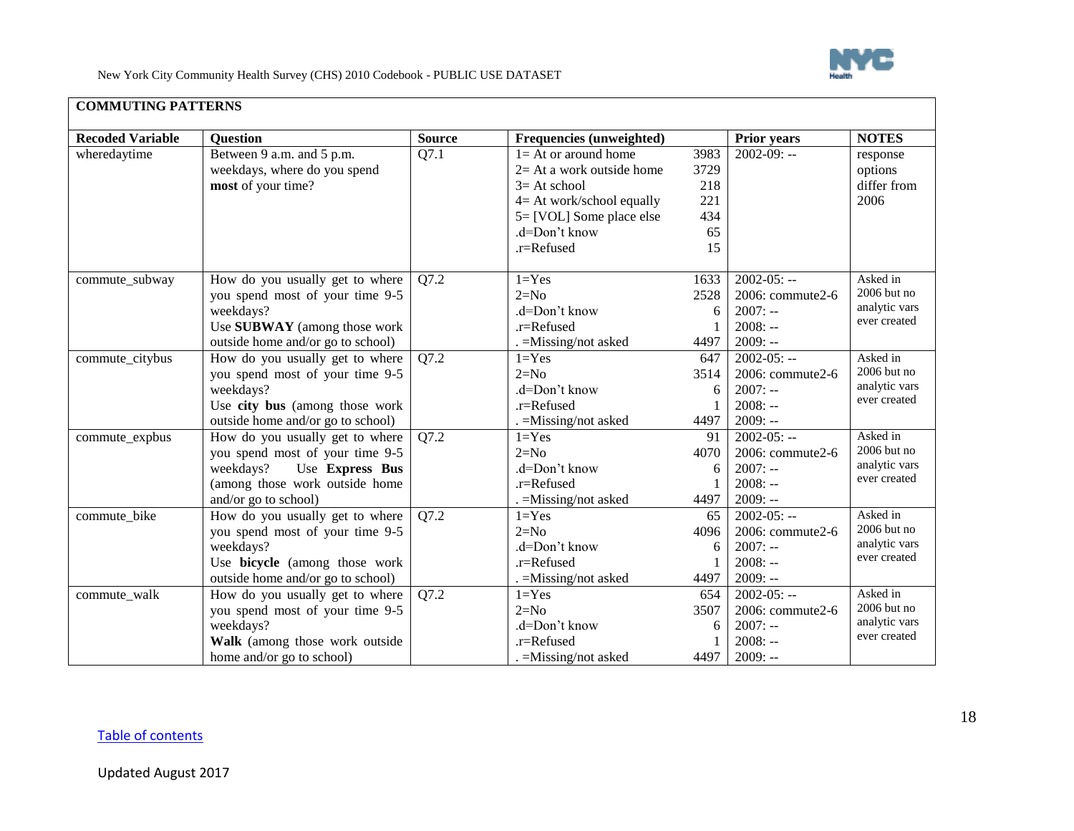

| <b>COMMUTING PATTERNS</b> |  |
|---------------------------|--|
|---------------------------|--|

<span id="page-17-0"></span>

| <b>Recoded Variable</b> | <b>Ouestion</b>                   | <b>Source</b> | Frequencies (unweighted)    |      | <b>Prior years</b> | <b>NOTES</b>  |
|-------------------------|-----------------------------------|---------------|-----------------------------|------|--------------------|---------------|
| wheredaytime            | Between 9 a.m. and 5 p.m.         | Q7.1          | $1 = At$ or around home     | 3983 | $2002 - 09: -$     | response      |
|                         | weekdays, where do you spend      |               | $2=$ At a work outside home | 3729 |                    | options       |
|                         | most of your time?                |               | $3=At school$               | 218  |                    | differ from   |
|                         |                                   |               | 4= At work/school equally   | 221  |                    | 2006          |
|                         |                                   |               | 5= [VOL] Some place else    | 434  |                    |               |
|                         |                                   |               | .d=Don't know               | 65   |                    |               |
|                         |                                   |               | .r=Refused                  | 15   |                    |               |
|                         |                                   |               |                             |      |                    |               |
| commute_subway          | How do you usually get to where   | Q7.2          | $1 = Yes$                   | 1633 | $2002 - 05: -$     | Asked in      |
|                         | you spend most of your time 9-5   |               | $2=N0$                      | 2528 | 2006: commute2-6   | 2006 but no   |
|                         | weekdays?                         |               | .d=Don't know               | 6    | $2007: -$          | analytic vars |
|                         | Use SUBWAY (among those work      |               | $.r =$ Refused              |      | $2008: -$          | ever created  |
|                         | outside home and/or go to school) |               | . = Missing/not asked       | 4497 | $2009: -$          |               |
| commute_citybus         | How do you usually get to where   | Q7.2          | $1 = Yes$                   | 647  | $2002 - 05: -$     | Asked in      |
|                         | you spend most of your time 9-5   |               | $2=N0$                      | 3514 | 2006: commute2-6   | 2006 but no   |
|                         | weekdays?                         |               | .d=Don't know               | 6    | $2007: -$          | analytic vars |
|                         | Use city bus (among those work    |               | .r=Refused                  |      | $2008: -$          | ever created  |
|                         | outside home and/or go to school) |               | . = Missing/not asked       | 4497 | $2009: -$          |               |
| commute_expbus          | How do you usually get to where   | Q7.2          | $1 = Yes$                   | 91   | $2002 - 05: -$     | Asked in      |
|                         | you spend most of your time 9-5   |               | $2=N0$                      | 4070 | 2006: commute2-6   | 2006 but no   |
|                         | Use Express Bus<br>weekdays?      |               | $d=Don't know$              | 6    | $2007: -$          | analytic vars |
|                         | (among those work outside home    |               | $.r =$ Refused              |      | $2008: -$          | ever created  |
|                         | and/or go to school)              |               | . = Missing/not asked       | 4497 | $2009: -$          |               |
| commute_bike            | How do you usually get to where   | Q7.2          | $1 = Yes$                   | 65   | $2002 - 05: -$     | Asked in      |
|                         | you spend most of your time 9-5   |               | $2=N0$                      | 4096 | 2006: commute2-6   | $2006$ but no |
|                         | weekdays?                         |               | .d=Don't know               | 6    | $2007: -$          | analytic vars |
|                         | Use bicycle (among those work     |               | $.r =$ Refused              |      | $2008: -$          | ever created  |
|                         | outside home and/or go to school) |               | . = Missing/not asked       | 4497 | $2009: -$          |               |
| commute_walk            | How do you usually get to where   | Q7.2          | $1 = Yes$                   | 654  | $2002 - 05: -$     | Asked in      |
|                         | you spend most of your time 9-5   |               | $2=N0$                      | 3507 | 2006: commute2-6   | 2006 but no   |
|                         | weekdays?                         |               | .d=Don't know               | 6    | $2007: -$          | analytic vars |
|                         | Walk (among those work outside    |               | .r=Refused                  |      | $2008: -$          | ever created  |
|                         | home and/or go to school)         |               | $=$ Missing/not asked       | 4497 | $2009: -$          |               |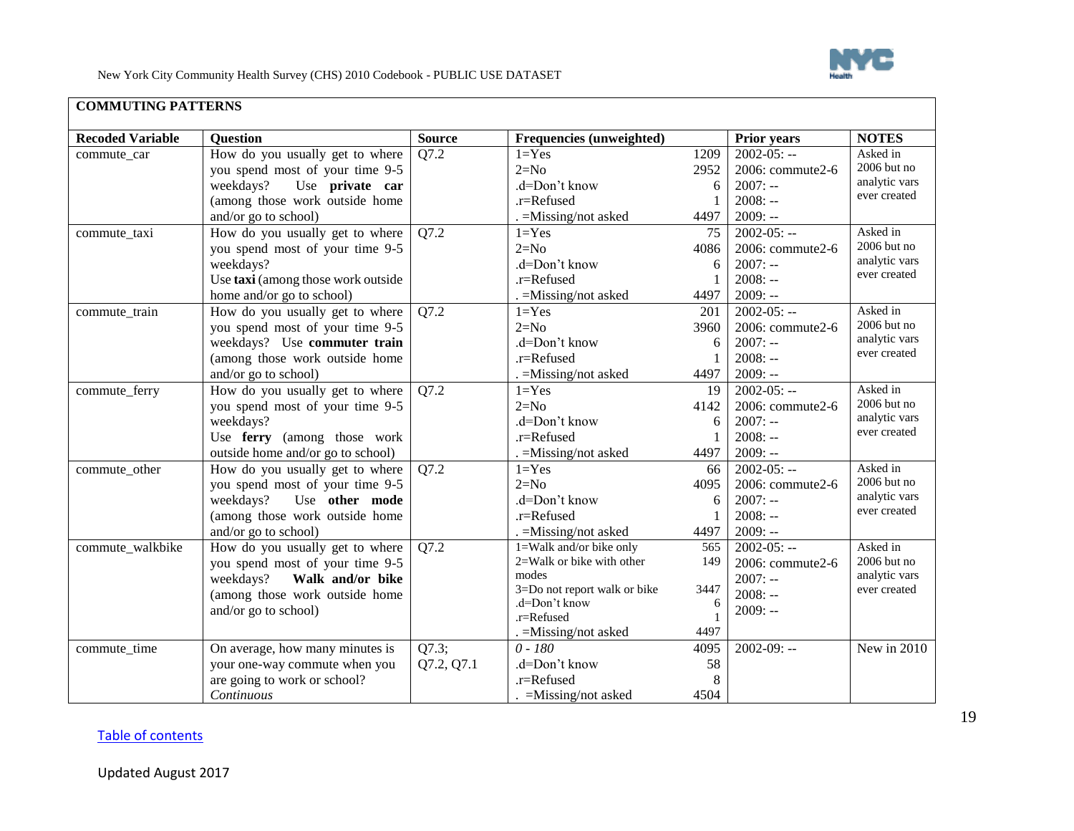

| <b>COMMUTING PATTERNS</b> |  |
|---------------------------|--|
|---------------------------|--|

| <b>Recoded Variable</b><br><b>Question</b><br><b>Source</b><br>Frequencies (unweighted)<br>Prior years<br><b>NOTES</b><br>How do you usually get to where<br>$2002 - 05: -$<br>Asked in<br>Q7.2<br>$1 = Yes$<br>1209<br>commute_car<br>2006 but no<br>$2=N0$<br>you spend most of your time 9-5<br>2952<br>2006: commute2-6<br>analytic vars<br>.d=Don't know<br>weekdays?<br>Use private car<br>$2007: -$<br>6<br>ever created<br>$2008: -$<br>(among those work outside home<br>.r=Refused<br>and/or go to school)<br>$2009: -$<br>. = Missing/not asked<br>4497<br>Asked in<br>$2002 - 05: -$<br>How do you usually get to where<br>Q7.2<br>$1 = Yes$<br>75<br>commute_taxi<br>$2006$ but no<br>$2=N0$<br>you spend most of your time 9-5<br>4086<br>2006: commute2-6<br>analytic vars<br>.d=Don't know<br>$2007: -$<br>weekdays?<br>6<br>ever created<br>$2008: -$<br>Use taxi (among those work outside<br>.r=Refused<br>$2009: -$<br>home and/or go to school)<br>. = Missing/not asked<br>4497<br>Asked in<br>$2002 - 05: -$<br>Q7.2<br>How do you usually get to where<br>$1 = Yes$<br>201<br>commute_train<br>2006 but no<br>$2=N0$<br>2006: commute2-6<br>you spend most of your time 9-5<br>3960<br>analytic vars<br>weekdays? Use commuter train<br>.d=Don't know<br>$2007: -$<br>6<br>ever created<br>(among those work outside home<br>.r=Refused<br>$2008: -$<br>and/or go to school)<br>4497<br>$2009: -$<br>$=$ Missing/not asked<br>$2002 - 05: -$<br>Asked in<br>How do you usually get to where<br>Q7.2<br>$1 = Yes$<br>commute_ferry<br>19<br>2006 but no<br>$2=N0$<br>2006: commute2-6<br>you spend most of your time 9-5<br>4142<br>analytic vars<br>weekdays?<br>.d=Don't know<br>$2007: -$<br>6<br>ever created<br>Use ferry (among those work<br>.r=Refused<br>$2008: -$<br>$2009: -$<br>outside home and/or go to school)<br>4497<br>. =Missing/not asked<br>Asked in<br>$2002 - 05: -$<br>How do you usually get to where<br>Q7.2<br>$1 = Yes$<br>commute_other<br>66<br>2006 but no<br>$2=N0$<br>you spend most of your time 9-5<br>4095<br>2006: commute2-6<br>analytic vars<br>Use other mode<br>.d=Don't know<br>$2007: -$<br>weekdays?<br>6<br>ever created<br>(among those work outside home<br>$2008: -$<br>.r=Refused<br>$2009: -$<br>and/or go to school)<br>4497<br>$=$ Missing/not asked<br>1=Walk and/or bike only<br>$2002 - 05: -$<br>Asked in<br>commute_walkbike<br>How do you usually get to where<br>Q7.2<br>565<br>2006 but no<br>2=Walk or bike with other<br>149<br>2006: commute2-6<br>you spend most of your time 9-5<br>analytic vars<br>modes<br>weekdays?<br>Walk and/or bike<br>$2007: -$<br>3=Do not report walk or bike<br>3447<br>ever created<br>$2008: -$<br>(among those work outside home<br>.d=Don't know<br>6<br>and/or go to school)<br>$2009: -$<br>.r=Refused<br>4497<br>. = Missing/not asked<br>Q7.3;<br>$2002 - 09: -$<br>$0 - 180$<br>New in 2010<br>On average, how many minutes is<br>4095<br>commute_time<br>Q7.2, Q7.1<br>.d=Don't know<br>58<br>your one-way commute when you<br>are going to work or school?<br>8<br>.r=Refused |            |                       |      |  |
|--------------------------------------------------------------------------------------------------------------------------------------------------------------------------------------------------------------------------------------------------------------------------------------------------------------------------------------------------------------------------------------------------------------------------------------------------------------------------------------------------------------------------------------------------------------------------------------------------------------------------------------------------------------------------------------------------------------------------------------------------------------------------------------------------------------------------------------------------------------------------------------------------------------------------------------------------------------------------------------------------------------------------------------------------------------------------------------------------------------------------------------------------------------------------------------------------------------------------------------------------------------------------------------------------------------------------------------------------------------------------------------------------------------------------------------------------------------------------------------------------------------------------------------------------------------------------------------------------------------------------------------------------------------------------------------------------------------------------------------------------------------------------------------------------------------------------------------------------------------------------------------------------------------------------------------------------------------------------------------------------------------------------------------------------------------------------------------------------------------------------------------------------------------------------------------------------------------------------------------------------------------------------------------------------------------------------------------------------------------------------------------------------------------------------------------------------------------------------------------------------------------------------------------------------------------------------------------------------------------------------------------------------------------------------------------------------------------------------------------------------------------------------------------------------------------------------------------------------------------------------------------------------------------------------------------------------------------------------------------------------------------------------------------------------------------------------------------------------------------|------------|-----------------------|------|--|
|                                                                                                                                                                                                                                                                                                                                                                                                                                                                                                                                                                                                                                                                                                                                                                                                                                                                                                                                                                                                                                                                                                                                                                                                                                                                                                                                                                                                                                                                                                                                                                                                                                                                                                                                                                                                                                                                                                                                                                                                                                                                                                                                                                                                                                                                                                                                                                                                                                                                                                                                                                                                                                                                                                                                                                                                                                                                                                                                                                                                                                                                                                              |            |                       |      |  |
|                                                                                                                                                                                                                                                                                                                                                                                                                                                                                                                                                                                                                                                                                                                                                                                                                                                                                                                                                                                                                                                                                                                                                                                                                                                                                                                                                                                                                                                                                                                                                                                                                                                                                                                                                                                                                                                                                                                                                                                                                                                                                                                                                                                                                                                                                                                                                                                                                                                                                                                                                                                                                                                                                                                                                                                                                                                                                                                                                                                                                                                                                                              |            |                       |      |  |
|                                                                                                                                                                                                                                                                                                                                                                                                                                                                                                                                                                                                                                                                                                                                                                                                                                                                                                                                                                                                                                                                                                                                                                                                                                                                                                                                                                                                                                                                                                                                                                                                                                                                                                                                                                                                                                                                                                                                                                                                                                                                                                                                                                                                                                                                                                                                                                                                                                                                                                                                                                                                                                                                                                                                                                                                                                                                                                                                                                                                                                                                                                              |            |                       |      |  |
|                                                                                                                                                                                                                                                                                                                                                                                                                                                                                                                                                                                                                                                                                                                                                                                                                                                                                                                                                                                                                                                                                                                                                                                                                                                                                                                                                                                                                                                                                                                                                                                                                                                                                                                                                                                                                                                                                                                                                                                                                                                                                                                                                                                                                                                                                                                                                                                                                                                                                                                                                                                                                                                                                                                                                                                                                                                                                                                                                                                                                                                                                                              |            |                       |      |  |
|                                                                                                                                                                                                                                                                                                                                                                                                                                                                                                                                                                                                                                                                                                                                                                                                                                                                                                                                                                                                                                                                                                                                                                                                                                                                                                                                                                                                                                                                                                                                                                                                                                                                                                                                                                                                                                                                                                                                                                                                                                                                                                                                                                                                                                                                                                                                                                                                                                                                                                                                                                                                                                                                                                                                                                                                                                                                                                                                                                                                                                                                                                              |            |                       |      |  |
|                                                                                                                                                                                                                                                                                                                                                                                                                                                                                                                                                                                                                                                                                                                                                                                                                                                                                                                                                                                                                                                                                                                                                                                                                                                                                                                                                                                                                                                                                                                                                                                                                                                                                                                                                                                                                                                                                                                                                                                                                                                                                                                                                                                                                                                                                                                                                                                                                                                                                                                                                                                                                                                                                                                                                                                                                                                                                                                                                                                                                                                                                                              |            |                       |      |  |
|                                                                                                                                                                                                                                                                                                                                                                                                                                                                                                                                                                                                                                                                                                                                                                                                                                                                                                                                                                                                                                                                                                                                                                                                                                                                                                                                                                                                                                                                                                                                                                                                                                                                                                                                                                                                                                                                                                                                                                                                                                                                                                                                                                                                                                                                                                                                                                                                                                                                                                                                                                                                                                                                                                                                                                                                                                                                                                                                                                                                                                                                                                              |            |                       |      |  |
|                                                                                                                                                                                                                                                                                                                                                                                                                                                                                                                                                                                                                                                                                                                                                                                                                                                                                                                                                                                                                                                                                                                                                                                                                                                                                                                                                                                                                                                                                                                                                                                                                                                                                                                                                                                                                                                                                                                                                                                                                                                                                                                                                                                                                                                                                                                                                                                                                                                                                                                                                                                                                                                                                                                                                                                                                                                                                                                                                                                                                                                                                                              |            |                       |      |  |
|                                                                                                                                                                                                                                                                                                                                                                                                                                                                                                                                                                                                                                                                                                                                                                                                                                                                                                                                                                                                                                                                                                                                                                                                                                                                                                                                                                                                                                                                                                                                                                                                                                                                                                                                                                                                                                                                                                                                                                                                                                                                                                                                                                                                                                                                                                                                                                                                                                                                                                                                                                                                                                                                                                                                                                                                                                                                                                                                                                                                                                                                                                              |            |                       |      |  |
|                                                                                                                                                                                                                                                                                                                                                                                                                                                                                                                                                                                                                                                                                                                                                                                                                                                                                                                                                                                                                                                                                                                                                                                                                                                                                                                                                                                                                                                                                                                                                                                                                                                                                                                                                                                                                                                                                                                                                                                                                                                                                                                                                                                                                                                                                                                                                                                                                                                                                                                                                                                                                                                                                                                                                                                                                                                                                                                                                                                                                                                                                                              |            |                       |      |  |
|                                                                                                                                                                                                                                                                                                                                                                                                                                                                                                                                                                                                                                                                                                                                                                                                                                                                                                                                                                                                                                                                                                                                                                                                                                                                                                                                                                                                                                                                                                                                                                                                                                                                                                                                                                                                                                                                                                                                                                                                                                                                                                                                                                                                                                                                                                                                                                                                                                                                                                                                                                                                                                                                                                                                                                                                                                                                                                                                                                                                                                                                                                              |            |                       |      |  |
|                                                                                                                                                                                                                                                                                                                                                                                                                                                                                                                                                                                                                                                                                                                                                                                                                                                                                                                                                                                                                                                                                                                                                                                                                                                                                                                                                                                                                                                                                                                                                                                                                                                                                                                                                                                                                                                                                                                                                                                                                                                                                                                                                                                                                                                                                                                                                                                                                                                                                                                                                                                                                                                                                                                                                                                                                                                                                                                                                                                                                                                                                                              |            |                       |      |  |
|                                                                                                                                                                                                                                                                                                                                                                                                                                                                                                                                                                                                                                                                                                                                                                                                                                                                                                                                                                                                                                                                                                                                                                                                                                                                                                                                                                                                                                                                                                                                                                                                                                                                                                                                                                                                                                                                                                                                                                                                                                                                                                                                                                                                                                                                                                                                                                                                                                                                                                                                                                                                                                                                                                                                                                                                                                                                                                                                                                                                                                                                                                              |            |                       |      |  |
|                                                                                                                                                                                                                                                                                                                                                                                                                                                                                                                                                                                                                                                                                                                                                                                                                                                                                                                                                                                                                                                                                                                                                                                                                                                                                                                                                                                                                                                                                                                                                                                                                                                                                                                                                                                                                                                                                                                                                                                                                                                                                                                                                                                                                                                                                                                                                                                                                                                                                                                                                                                                                                                                                                                                                                                                                                                                                                                                                                                                                                                                                                              |            |                       |      |  |
|                                                                                                                                                                                                                                                                                                                                                                                                                                                                                                                                                                                                                                                                                                                                                                                                                                                                                                                                                                                                                                                                                                                                                                                                                                                                                                                                                                                                                                                                                                                                                                                                                                                                                                                                                                                                                                                                                                                                                                                                                                                                                                                                                                                                                                                                                                                                                                                                                                                                                                                                                                                                                                                                                                                                                                                                                                                                                                                                                                                                                                                                                                              |            |                       |      |  |
|                                                                                                                                                                                                                                                                                                                                                                                                                                                                                                                                                                                                                                                                                                                                                                                                                                                                                                                                                                                                                                                                                                                                                                                                                                                                                                                                                                                                                                                                                                                                                                                                                                                                                                                                                                                                                                                                                                                                                                                                                                                                                                                                                                                                                                                                                                                                                                                                                                                                                                                                                                                                                                                                                                                                                                                                                                                                                                                                                                                                                                                                                                              |            |                       |      |  |
|                                                                                                                                                                                                                                                                                                                                                                                                                                                                                                                                                                                                                                                                                                                                                                                                                                                                                                                                                                                                                                                                                                                                                                                                                                                                                                                                                                                                                                                                                                                                                                                                                                                                                                                                                                                                                                                                                                                                                                                                                                                                                                                                                                                                                                                                                                                                                                                                                                                                                                                                                                                                                                                                                                                                                                                                                                                                                                                                                                                                                                                                                                              |            |                       |      |  |
|                                                                                                                                                                                                                                                                                                                                                                                                                                                                                                                                                                                                                                                                                                                                                                                                                                                                                                                                                                                                                                                                                                                                                                                                                                                                                                                                                                                                                                                                                                                                                                                                                                                                                                                                                                                                                                                                                                                                                                                                                                                                                                                                                                                                                                                                                                                                                                                                                                                                                                                                                                                                                                                                                                                                                                                                                                                                                                                                                                                                                                                                                                              |            |                       |      |  |
|                                                                                                                                                                                                                                                                                                                                                                                                                                                                                                                                                                                                                                                                                                                                                                                                                                                                                                                                                                                                                                                                                                                                                                                                                                                                                                                                                                                                                                                                                                                                                                                                                                                                                                                                                                                                                                                                                                                                                                                                                                                                                                                                                                                                                                                                                                                                                                                                                                                                                                                                                                                                                                                                                                                                                                                                                                                                                                                                                                                                                                                                                                              |            |                       |      |  |
|                                                                                                                                                                                                                                                                                                                                                                                                                                                                                                                                                                                                                                                                                                                                                                                                                                                                                                                                                                                                                                                                                                                                                                                                                                                                                                                                                                                                                                                                                                                                                                                                                                                                                                                                                                                                                                                                                                                                                                                                                                                                                                                                                                                                                                                                                                                                                                                                                                                                                                                                                                                                                                                                                                                                                                                                                                                                                                                                                                                                                                                                                                              |            |                       |      |  |
|                                                                                                                                                                                                                                                                                                                                                                                                                                                                                                                                                                                                                                                                                                                                                                                                                                                                                                                                                                                                                                                                                                                                                                                                                                                                                                                                                                                                                                                                                                                                                                                                                                                                                                                                                                                                                                                                                                                                                                                                                                                                                                                                                                                                                                                                                                                                                                                                                                                                                                                                                                                                                                                                                                                                                                                                                                                                                                                                                                                                                                                                                                              |            |                       |      |  |
|                                                                                                                                                                                                                                                                                                                                                                                                                                                                                                                                                                                                                                                                                                                                                                                                                                                                                                                                                                                                                                                                                                                                                                                                                                                                                                                                                                                                                                                                                                                                                                                                                                                                                                                                                                                                                                                                                                                                                                                                                                                                                                                                                                                                                                                                                                                                                                                                                                                                                                                                                                                                                                                                                                                                                                                                                                                                                                                                                                                                                                                                                                              |            |                       |      |  |
|                                                                                                                                                                                                                                                                                                                                                                                                                                                                                                                                                                                                                                                                                                                                                                                                                                                                                                                                                                                                                                                                                                                                                                                                                                                                                                                                                                                                                                                                                                                                                                                                                                                                                                                                                                                                                                                                                                                                                                                                                                                                                                                                                                                                                                                                                                                                                                                                                                                                                                                                                                                                                                                                                                                                                                                                                                                                                                                                                                                                                                                                                                              |            |                       |      |  |
|                                                                                                                                                                                                                                                                                                                                                                                                                                                                                                                                                                                                                                                                                                                                                                                                                                                                                                                                                                                                                                                                                                                                                                                                                                                                                                                                                                                                                                                                                                                                                                                                                                                                                                                                                                                                                                                                                                                                                                                                                                                                                                                                                                                                                                                                                                                                                                                                                                                                                                                                                                                                                                                                                                                                                                                                                                                                                                                                                                                                                                                                                                              |            |                       |      |  |
|                                                                                                                                                                                                                                                                                                                                                                                                                                                                                                                                                                                                                                                                                                                                                                                                                                                                                                                                                                                                                                                                                                                                                                                                                                                                                                                                                                                                                                                                                                                                                                                                                                                                                                                                                                                                                                                                                                                                                                                                                                                                                                                                                                                                                                                                                                                                                                                                                                                                                                                                                                                                                                                                                                                                                                                                                                                                                                                                                                                                                                                                                                              |            |                       |      |  |
|                                                                                                                                                                                                                                                                                                                                                                                                                                                                                                                                                                                                                                                                                                                                                                                                                                                                                                                                                                                                                                                                                                                                                                                                                                                                                                                                                                                                                                                                                                                                                                                                                                                                                                                                                                                                                                                                                                                                                                                                                                                                                                                                                                                                                                                                                                                                                                                                                                                                                                                                                                                                                                                                                                                                                                                                                                                                                                                                                                                                                                                                                                              |            |                       |      |  |
|                                                                                                                                                                                                                                                                                                                                                                                                                                                                                                                                                                                                                                                                                                                                                                                                                                                                                                                                                                                                                                                                                                                                                                                                                                                                                                                                                                                                                                                                                                                                                                                                                                                                                                                                                                                                                                                                                                                                                                                                                                                                                                                                                                                                                                                                                                                                                                                                                                                                                                                                                                                                                                                                                                                                                                                                                                                                                                                                                                                                                                                                                                              |            |                       |      |  |
|                                                                                                                                                                                                                                                                                                                                                                                                                                                                                                                                                                                                                                                                                                                                                                                                                                                                                                                                                                                                                                                                                                                                                                                                                                                                                                                                                                                                                                                                                                                                                                                                                                                                                                                                                                                                                                                                                                                                                                                                                                                                                                                                                                                                                                                                                                                                                                                                                                                                                                                                                                                                                                                                                                                                                                                                                                                                                                                                                                                                                                                                                                              |            |                       |      |  |
|                                                                                                                                                                                                                                                                                                                                                                                                                                                                                                                                                                                                                                                                                                                                                                                                                                                                                                                                                                                                                                                                                                                                                                                                                                                                                                                                                                                                                                                                                                                                                                                                                                                                                                                                                                                                                                                                                                                                                                                                                                                                                                                                                                                                                                                                                                                                                                                                                                                                                                                                                                                                                                                                                                                                                                                                                                                                                                                                                                                                                                                                                                              |            |                       |      |  |
|                                                                                                                                                                                                                                                                                                                                                                                                                                                                                                                                                                                                                                                                                                                                                                                                                                                                                                                                                                                                                                                                                                                                                                                                                                                                                                                                                                                                                                                                                                                                                                                                                                                                                                                                                                                                                                                                                                                                                                                                                                                                                                                                                                                                                                                                                                                                                                                                                                                                                                                                                                                                                                                                                                                                                                                                                                                                                                                                                                                                                                                                                                              |            |                       |      |  |
|                                                                                                                                                                                                                                                                                                                                                                                                                                                                                                                                                                                                                                                                                                                                                                                                                                                                                                                                                                                                                                                                                                                                                                                                                                                                                                                                                                                                                                                                                                                                                                                                                                                                                                                                                                                                                                                                                                                                                                                                                                                                                                                                                                                                                                                                                                                                                                                                                                                                                                                                                                                                                                                                                                                                                                                                                                                                                                                                                                                                                                                                                                              |            |                       |      |  |
|                                                                                                                                                                                                                                                                                                                                                                                                                                                                                                                                                                                                                                                                                                                                                                                                                                                                                                                                                                                                                                                                                                                                                                                                                                                                                                                                                                                                                                                                                                                                                                                                                                                                                                                                                                                                                                                                                                                                                                                                                                                                                                                                                                                                                                                                                                                                                                                                                                                                                                                                                                                                                                                                                                                                                                                                                                                                                                                                                                                                                                                                                                              |            |                       |      |  |
|                                                                                                                                                                                                                                                                                                                                                                                                                                                                                                                                                                                                                                                                                                                                                                                                                                                                                                                                                                                                                                                                                                                                                                                                                                                                                                                                                                                                                                                                                                                                                                                                                                                                                                                                                                                                                                                                                                                                                                                                                                                                                                                                                                                                                                                                                                                                                                                                                                                                                                                                                                                                                                                                                                                                                                                                                                                                                                                                                                                                                                                                                                              |            |                       |      |  |
|                                                                                                                                                                                                                                                                                                                                                                                                                                                                                                                                                                                                                                                                                                                                                                                                                                                                                                                                                                                                                                                                                                                                                                                                                                                                                                                                                                                                                                                                                                                                                                                                                                                                                                                                                                                                                                                                                                                                                                                                                                                                                                                                                                                                                                                                                                                                                                                                                                                                                                                                                                                                                                                                                                                                                                                                                                                                                                                                                                                                                                                                                                              |            |                       |      |  |
|                                                                                                                                                                                                                                                                                                                                                                                                                                                                                                                                                                                                                                                                                                                                                                                                                                                                                                                                                                                                                                                                                                                                                                                                                                                                                                                                                                                                                                                                                                                                                                                                                                                                                                                                                                                                                                                                                                                                                                                                                                                                                                                                                                                                                                                                                                                                                                                                                                                                                                                                                                                                                                                                                                                                                                                                                                                                                                                                                                                                                                                                                                              |            |                       |      |  |
|                                                                                                                                                                                                                                                                                                                                                                                                                                                                                                                                                                                                                                                                                                                                                                                                                                                                                                                                                                                                                                                                                                                                                                                                                                                                                                                                                                                                                                                                                                                                                                                                                                                                                                                                                                                                                                                                                                                                                                                                                                                                                                                                                                                                                                                                                                                                                                                                                                                                                                                                                                                                                                                                                                                                                                                                                                                                                                                                                                                                                                                                                                              | Continuous | $=$ Missing/not asked | 4504 |  |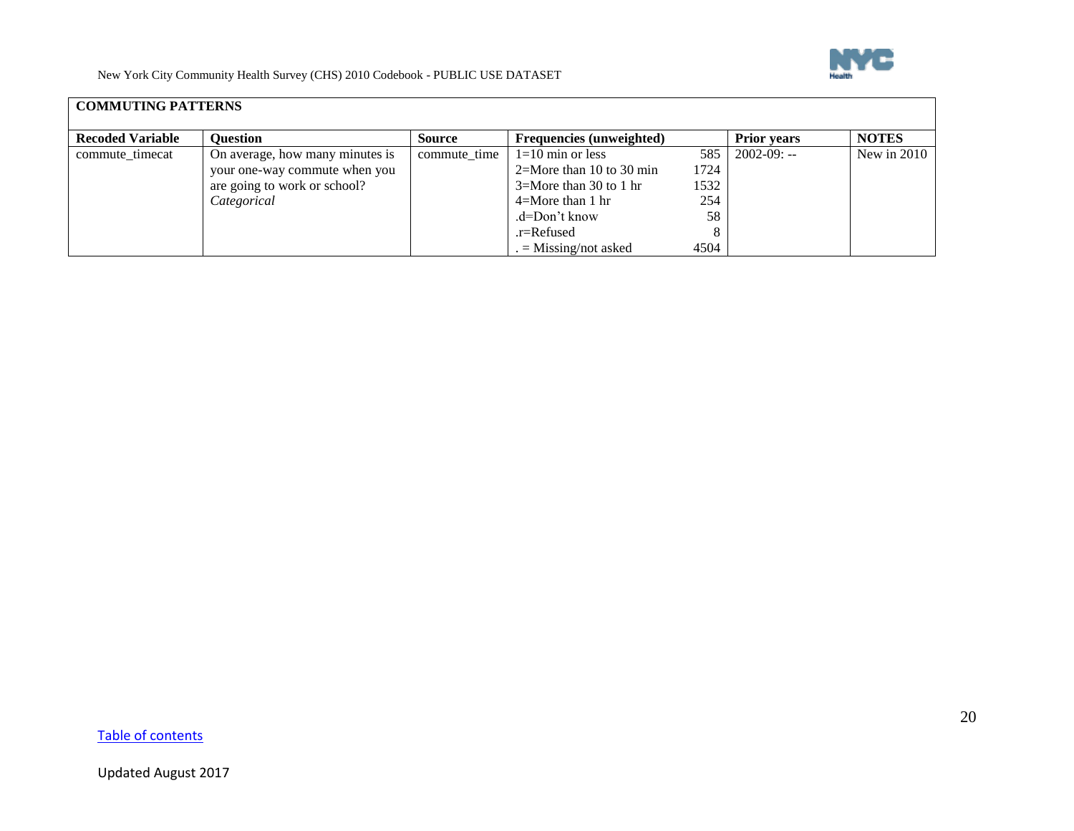

## **COMMUTING PATTERNS**

| <b>Recoded Variable</b> | <b>Ouestion</b>                 | Source       | Frequencies (unweighted)    |      | <b>Prior vears</b>  | <b>NOTES</b>  |
|-------------------------|---------------------------------|--------------|-----------------------------|------|---------------------|---------------|
| commute_timecat         | On average, how many minutes is | commute time | $1=10$ min or less          |      | $585$   2002-09: -- | New in $2010$ |
|                         | your one-way commute when you   |              | $2=$ More than 10 to 30 min | 1724 |                     |               |
|                         | are going to work or school?    |              | $3=$ More than 30 to 1 hr   | 1532 |                     |               |
|                         | Categorical                     |              | $4 =$ More than 1 hr        | 254  |                     |               |
|                         |                                 |              | $d=Don't know$              | 58   |                     |               |
|                         |                                 |              | $.r =$ Refused              |      |                     |               |
|                         |                                 |              | $=$ Missing/not asked       | 4504 |                     |               |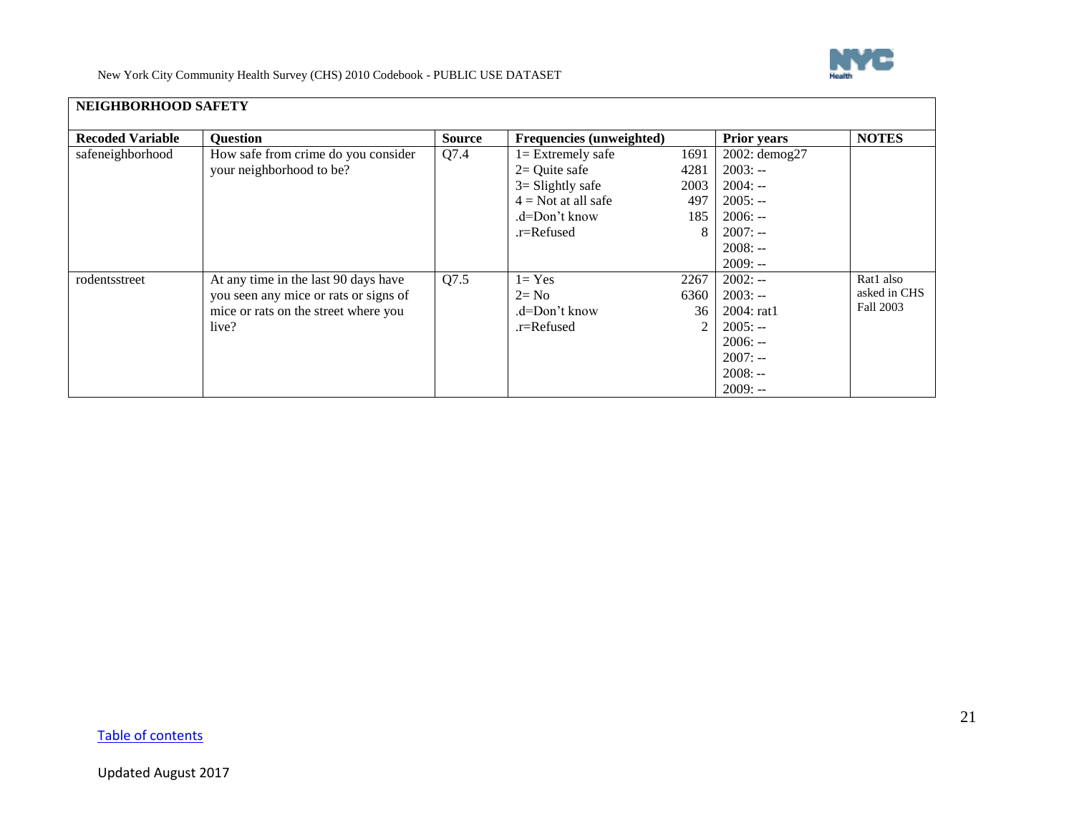

<span id="page-20-0"></span>

| <b>Recoded Variable</b> | <b>Question</b>                                                               | <b>Source</b> | <b>Frequencies (unweighted)</b> |                | <b>Prior years</b> | <b>NOTES</b> |
|-------------------------|-------------------------------------------------------------------------------|---------------|---------------------------------|----------------|--------------------|--------------|
| safeneighborhood        | How safe from crime do you consider                                           | Q7.4          | $l =$ Extremely safe            | 1691           | 2002: demog27      |              |
|                         | your neighborhood to be?                                                      |               | $2=$ Quite safe                 | 4281           | $2003: -$          |              |
|                         |                                                                               |               | $3 =$ Slightly safe             | 2003           | $2004: -$          |              |
|                         |                                                                               |               | $4 = Not$ at all safe           | 497            | $2005: -$          |              |
|                         |                                                                               |               | .d=Don't know                   | 185            | $2006: -$          |              |
|                         |                                                                               |               | .r=Refused                      | 8              | $2007: -$          |              |
|                         |                                                                               |               |                                 |                | $2008: -$          |              |
|                         |                                                                               |               |                                 |                | $2009: -$          |              |
| rodentsstreet           | At any time in the last 90 days have                                          | Q7.5          | $l = Yes$                       | 2267           | $2002: -$          | Rat1 also    |
|                         | you seen any mice or rats or signs of<br>mice or rats on the street where you |               | $2 = No$                        | 6360           | $2003: -$          | asked in CHS |
|                         |                                                                               |               | .d=Don't know                   | 36             | 2004:rat1          | Fall 2003    |
|                         | live?                                                                         |               | .r=Refused                      | $\mathfrak{D}$ | $2005: -$          |              |
|                         |                                                                               |               |                                 |                | $2006: -$          |              |
|                         |                                                                               |               |                                 |                | $2007: -$          |              |
|                         |                                                                               |               |                                 |                | $2008: -$          |              |
|                         |                                                                               |               |                                 |                | $2009: -$          |              |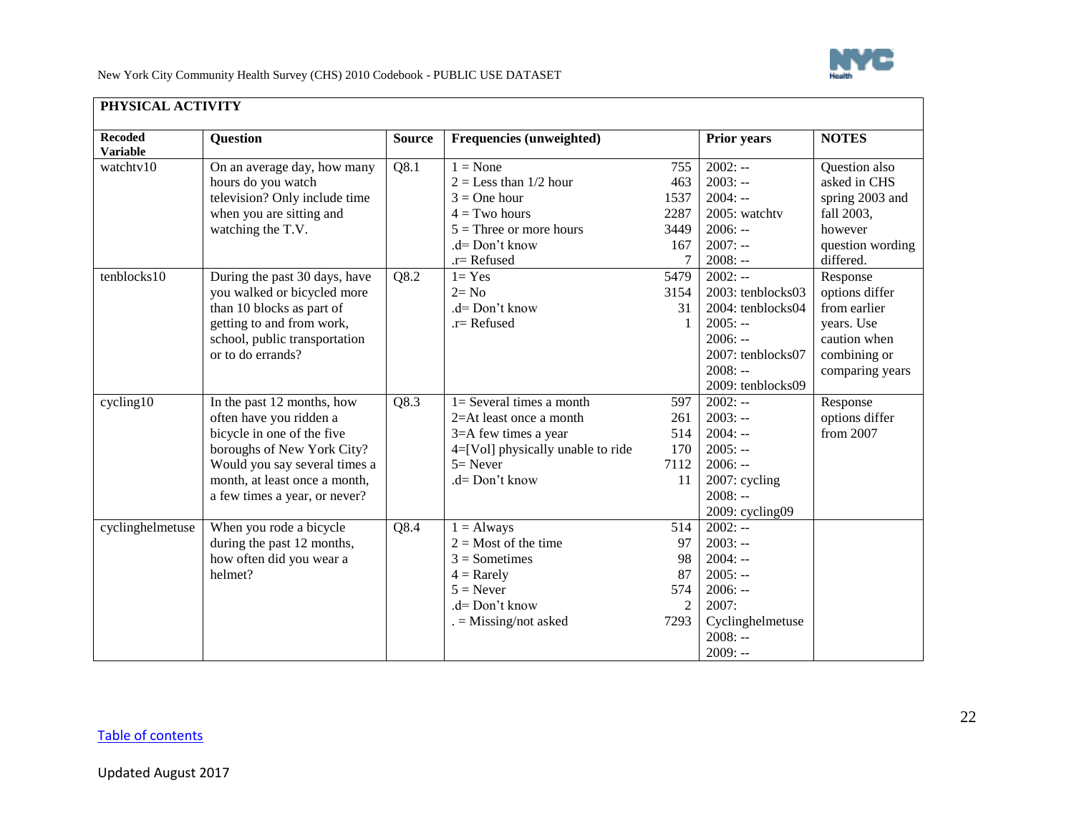

<span id="page-21-0"></span>

| <b>Recoded</b><br><b>Variable</b> | <b>Question</b>               | <b>Source</b> | <b>Frequencies (unweighted)</b>   |                | <b>Prior years</b> | <b>NOTES</b>     |
|-----------------------------------|-------------------------------|---------------|-----------------------------------|----------------|--------------------|------------------|
| watchtv10                         | On an average day, how many   | Q8.1          | $1 = None$                        | 755            | $2002: -$          | Question also    |
|                                   | hours do you watch            |               | $2 =$ Less than $1/2$ hour        | 463            | $2003: -$          | asked in CHS     |
|                                   | television? Only include time |               | $3 =$ One hour                    | 1537           | $2004: -$          | spring 2003 and  |
|                                   | when you are sitting and      |               | $4 = Two hours$                   | 2287           | 2005: watchtv      | fall 2003,       |
|                                   | watching the T.V.             |               | $5 =$ Three or more hours         | 3449           | $2006: -$          | however          |
|                                   |                               |               | $d = Don't know$                  | 167            | $2007: -$          | question wording |
|                                   |                               |               | $.r =$ Refused                    |                | $2008: -$          | differed.        |
| tenblocks10                       | During the past 30 days, have | Q8.2          | $1 = Yes$                         | 5479           | $2002: -$          | Response         |
|                                   | you walked or bicycled more   |               | $2 = No$                          | 3154           | 2003: tenblocks03  | options differ   |
|                                   | than 10 blocks as part of     |               | .d= Don't know                    | 31             | 2004: tenblocks04  | from earlier     |
|                                   | getting to and from work,     |               | $.r =$ Refused                    | 1              | $2005: -$          | years. Use       |
|                                   | school, public transportation |               |                                   |                | $2006: -$          | caution when     |
|                                   | or to do errands?             |               |                                   |                | 2007: tenblocks07  | combining or     |
|                                   |                               |               |                                   |                | $2008: -$          | comparing years  |
|                                   |                               |               |                                   |                | 2009: tenblocks09  |                  |
| cycling10                         | In the past 12 months, how    | Q8.3          | $1 =$ Several times a month       | 597            | $2002: -$          | Response         |
|                                   | often have you ridden a       |               | 2=At least once a month           | 261            | $2003: -$          | options differ   |
|                                   | bicycle in one of the five    |               | 3=A few times a year              | 514            | $2004: -$          | from 2007        |
|                                   | boroughs of New York City?    |               | 4=[Vol] physically unable to ride | 170            | $2005: -$          |                  |
|                                   | Would you say several times a |               | $5 =$ Never                       | 7112           | $2006: -$          |                  |
|                                   | month, at least once a month, |               | .d= Don't know                    | 11             | 2007: cycling      |                  |
|                                   | a few times a year, or never? |               |                                   |                | $2008: -$          |                  |
|                                   |                               |               |                                   |                | 2009: cycling09    |                  |
| cyclinghelmetuse                  | When you rode a bicycle       | Q8.4          | $1 =$ Always                      | 514            | $2002: -$          |                  |
|                                   | during the past 12 months,    |               | $2 =$ Most of the time            | 97             | $2003: -$          |                  |
|                                   | how often did you wear a      |               | $3 =$ Sometimes                   | 98             | $2004: -$          |                  |
|                                   | helmet?                       |               | $4 =$ Rarely                      | 87             | $2005: -$          |                  |
|                                   |                               |               | $5 =$ Never                       | 574            | $2006: -$          |                  |
|                                   |                               |               | .d= Don't know                    | $\overline{2}$ | 2007:              |                  |
|                                   |                               |               | $=$ Missing/not asked             | 7293           | Cyclinghelmetuse   |                  |
|                                   |                               |               |                                   |                | $2008: -$          |                  |
|                                   |                               |               |                                   |                | $2009: -$          |                  |

### **PHYSICAL ACTIVITY**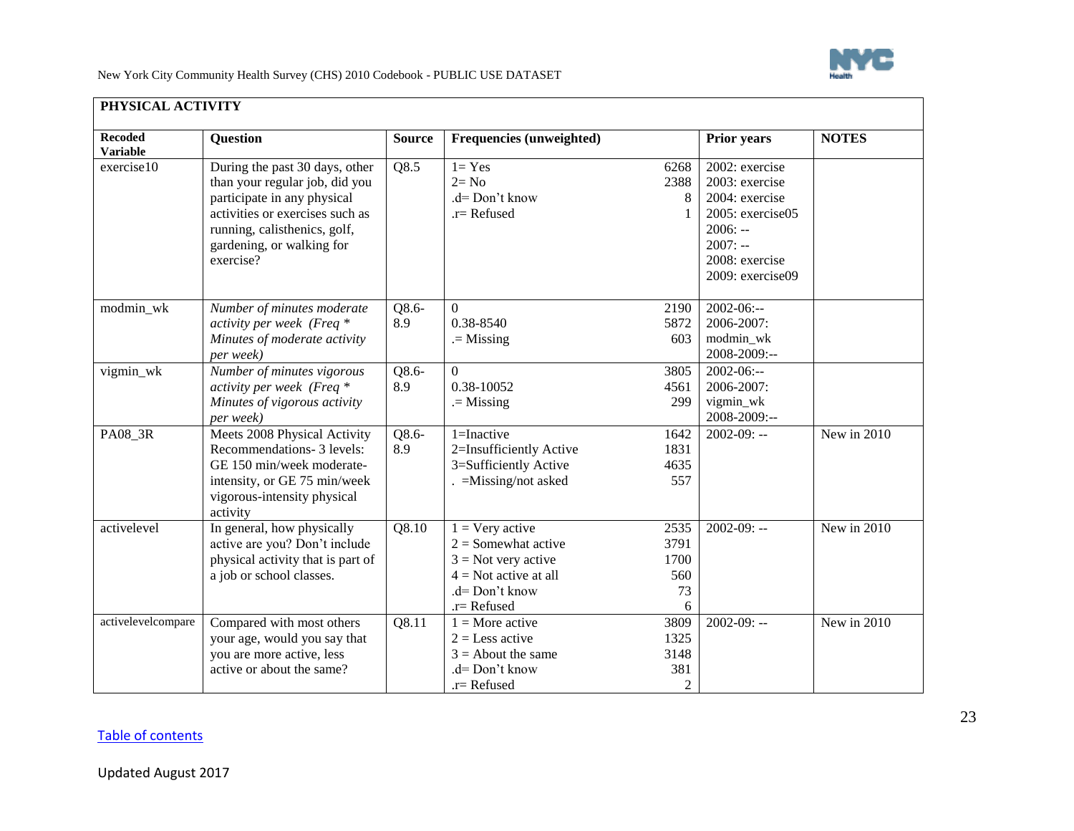

| <b>Recoded</b><br><b>Variable</b> | <b>Question</b>                   | <b>Source</b> | <b>Frequencies (unweighted)</b> |                | Prior years      | <b>NOTES</b> |
|-----------------------------------|-----------------------------------|---------------|---------------------------------|----------------|------------------|--------------|
| exercise10                        | During the past 30 days, other    | Q8.5          | $1 = Yes$                       | 6268           | 2002: exercise   |              |
|                                   | than your regular job, did you    |               | $2 = No$                        | 2388           | 2003: exercise   |              |
|                                   | participate in any physical       |               | $d = Don't know$                | 8              | 2004: exercise   |              |
|                                   | activities or exercises such as   |               | $r =$ Refused                   |                | 2005: exercise05 |              |
|                                   | running, calisthenics, golf,      |               |                                 |                | $2006: -$        |              |
|                                   | gardening, or walking for         |               |                                 |                | $2007: -$        |              |
|                                   | exercise?                         |               |                                 |                | 2008: exercise   |              |
|                                   |                                   |               |                                 |                | 2009: exercise09 |              |
| modmin_wk                         | Number of minutes moderate        | Q8.6-         | $\overline{0}$                  | 2190           | $2002 - 06:-$    |              |
|                                   | activity per week (Freq *         | 8.9           | 0.38-8540                       | 5872           | 2006-2007:       |              |
|                                   | Minutes of moderate activity      |               | $=$ Missing                     | 603            | modmin_wk        |              |
|                                   | per week)                         |               |                                 |                | 2008-2009:--     |              |
| vigmin_wk                         | Number of minutes vigorous        | $Q8.6-$       | $\overline{0}$                  | 3805           | $2002 - 06:-$    |              |
|                                   | activity per week (Freq *         | 8.9           | 0.38-10052                      | 4561           | 2006-2007:       |              |
|                                   | Minutes of vigorous activity      |               | $=$ Missing                     | 299            | vigmin_wk        |              |
|                                   | per week)                         |               |                                 |                | 2008-2009:--     |              |
| PA08_3R                           | Meets 2008 Physical Activity      | $Q8.6-$       | 1=Inactive                      | 1642           | $2002 - 09: -$   | New in 2010  |
|                                   | Recommendations- 3 levels:        | 8.9           | 2=Insufficiently Active         | 1831           |                  |              |
|                                   | GE 150 min/week moderate-         |               | 3=Sufficiently Active           | 4635           |                  |              |
|                                   | intensity, or GE 75 min/week      |               | $=Missing/not$ asked            | 557            |                  |              |
|                                   | vigorous-intensity physical       |               |                                 |                |                  |              |
|                                   | activity                          |               |                                 |                |                  |              |
| activelevel                       | In general, how physically        | Q8.10         | $1 = \text{Very active}$        | 2535           | $2002 - 09: -$   | New in 2010  |
|                                   | active are you? Don't include     |               | $2 =$ Somewhat active           | 3791           |                  |              |
|                                   | physical activity that is part of |               | $3 = Not very active$           | 1700           |                  |              |
|                                   | a job or school classes.          |               | $4 = Not$ active at all         | 560            |                  |              |
|                                   |                                   |               | $d = Don't know$                | 73             |                  |              |
|                                   |                                   |               | $.r =$ Refused                  | 6              |                  |              |
| activelevelcompare                | Compared with most others         | Q8.11         | $1 =$ More active               | 3809           | $2002 - 09: -$   | New in 2010  |
|                                   | your age, would you say that      |               | $2 =$ Less active               | 1325           |                  |              |
|                                   | you are more active, less         |               | $3 =$ About the same            | 3148           |                  |              |
|                                   | active or about the same?         |               | .d= Don't know                  | 381            |                  |              |
|                                   |                                   |               | $.r =$ Refused                  | $\overline{2}$ |                  |              |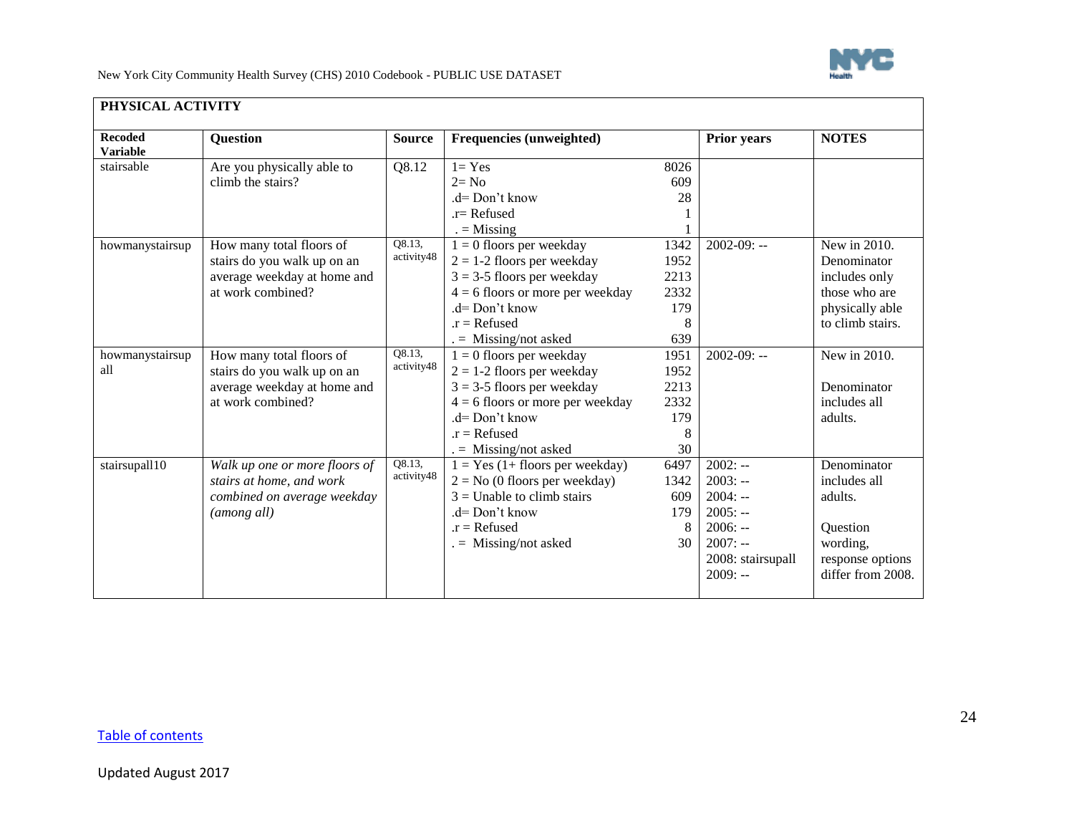

| <b>Recoded</b><br><b>Variable</b> | <b>Question</b>                                                                                             | <b>Source</b>        | <b>Frequencies (unweighted)</b>                                                                                                                                                                 |                                                 | Prior years                                                                                                  | <b>NOTES</b>                                                                                            |
|-----------------------------------|-------------------------------------------------------------------------------------------------------------|----------------------|-------------------------------------------------------------------------------------------------------------------------------------------------------------------------------------------------|-------------------------------------------------|--------------------------------------------------------------------------------------------------------------|---------------------------------------------------------------------------------------------------------|
| stairsable                        | Are you physically able to<br>climb the stairs?                                                             | Q8.12                | $1 = Yes$<br>$2 = No$<br>$d = Don't know$                                                                                                                                                       | 8026<br>609<br>28                               |                                                                                                              |                                                                                                         |
|                                   |                                                                                                             |                      | $r =$ Refused<br>$=$ Missing                                                                                                                                                                    |                                                 |                                                                                                              |                                                                                                         |
| howmanystairsup                   | How many total floors of<br>stairs do you walk up on an<br>average weekday at home and<br>at work combined? | O8.13,<br>activity48 | $1 = 0$ floors per weekday<br>$2 = 1-2$ floors per weekday<br>$3 = 3-5$ floors per weekday<br>$4 = 6$ floors or more per weekday<br>$d = Don't know$<br>$.r = Refused$<br>$=$ Missing/not asked | 1342<br>1952<br>2213<br>2332<br>179<br>8<br>639 | $2002 - 09: -$                                                                                               | New in 2010.<br>Denominator<br>includes only<br>those who are<br>physically able<br>to climb stairs.    |
| howmanystairsup<br>all            | How many total floors of<br>stairs do you walk up on an<br>average weekday at home and<br>at work combined? | Q8.13,<br>activity48 | $1 = 0$ floors per weekday<br>$2 = 1-2$ floors per weekday<br>$3 = 3-5$ floors per weekday<br>$4 = 6$ floors or more per weekday<br>$d = Don't know$<br>$.r = Refused$<br>$=$ Missing/not asked | 1951<br>1952<br>2213<br>2332<br>179<br>8<br>30  | $2002 - 09: -$                                                                                               | New in 2010.<br>Denominator<br>includes all<br>adults.                                                  |
| stairsupall10                     | Walk up one or more floors of<br>stairs at home, and work<br>combined on average weekday<br>(among all)     | Q8.13,<br>activity48 | $1 = Yes (1 + floors per weekday)$<br>$2 = No$ (0 floors per weekday)<br>$3 =$ Unable to climb stairs<br>.d= Don't know<br>$.r = Refused$<br>$=$ Missing/not asked                              | 6497<br>1342<br>609<br>179<br>8<br>30           | $2002: -$<br>$2003: -$<br>$2004: -$<br>$2005: -$<br>$2006: -$<br>$2007: -$<br>2008: stairsupall<br>$2009: -$ | Denominator<br>includes all<br>adults.<br>Question<br>wording,<br>response options<br>differ from 2008. |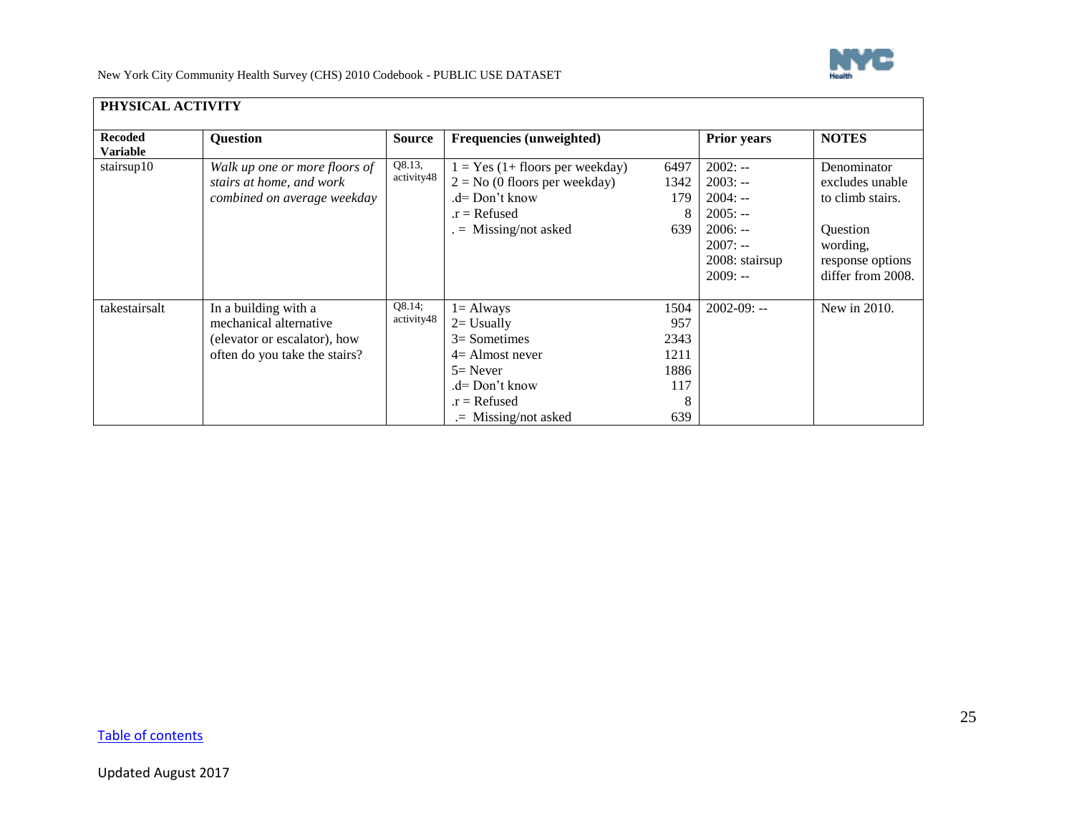

| PHYSICAL ACTIVITY                 |                                                                                                                 |                      |                                                                                                                                                |                                                   |                                                                                                           |                                                                                                                     |
|-----------------------------------|-----------------------------------------------------------------------------------------------------------------|----------------------|------------------------------------------------------------------------------------------------------------------------------------------------|---------------------------------------------------|-----------------------------------------------------------------------------------------------------------|---------------------------------------------------------------------------------------------------------------------|
| <b>Recoded</b><br><b>Variable</b> | <b>Question</b>                                                                                                 | <b>Source</b>        | Frequencies (unweighted)                                                                                                                       |                                                   | <b>Prior years</b>                                                                                        | <b>NOTES</b>                                                                                                        |
| stairsup10                        | Walk up one or more floors of<br>stairs at home, and work<br>combined on average weekday                        | Q8.13,<br>activity48 | $1 = Yes (1 + floors per weekday)$<br>$2 = No$ (0 floors per weekday)<br>$d=Don't know$<br>$.r = Refused$<br>$=$ Missing/not asked             | 6497<br>1342<br>179<br>8<br>639                   | $2002: -$<br>$2003: -$<br>$2004: -$<br>$2005: -$<br>$2006: -$<br>$2007: -$<br>2008: stairsup<br>$2009: -$ | Denominator<br>excludes unable<br>to climb stairs.<br>Question<br>wording,<br>response options<br>differ from 2008. |
| takestairsalt                     | In a building with a<br>mechanical alternative<br>(elevator or escalator), how<br>often do you take the stairs? | Q8.14;<br>activity48 | $l =$ Always<br>$2=$ Usually<br>$3=$ Sometimes<br>$4=$ Almost never<br>$5=$ Never<br>.d= Don't know<br>$.r = Refused$<br>$=$ Missing/not asked | 1504<br>957<br>2343<br>1211<br>1886<br>117<br>639 | $2002 - 09: -$                                                                                            | New in 2010.                                                                                                        |

## **PHYSICAL ACTIVITY**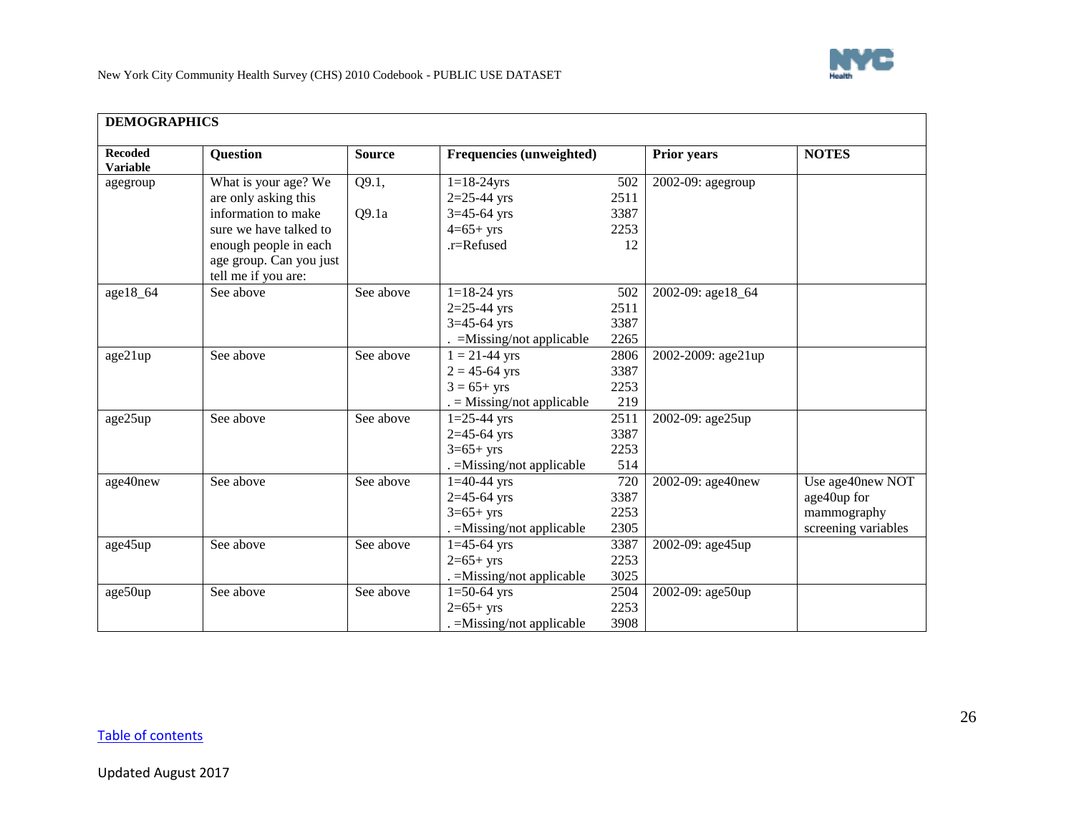

<span id="page-25-0"></span>

| <b>Recoded</b>  | <b>Question</b>         | <b>Source</b> | Frequencies (unweighted)   |      | <b>Prior years</b> | <b>NOTES</b>        |
|-----------------|-------------------------|---------------|----------------------------|------|--------------------|---------------------|
| <b>Variable</b> |                         |               |                            |      |                    |                     |
| agegroup        | What is your age? We    | Q9.1,         | $1 = 18 - 24$ yrs          | 502  | 2002-09: agegroup  |                     |
|                 | are only asking this    |               | $2=25-44$ yrs              | 2511 |                    |                     |
|                 | information to make     | Q9.1a         | $3=45-64$ yrs              | 3387 |                    |                     |
|                 | sure we have talked to  |               | $4=65+yrs$                 | 2253 |                    |                     |
|                 | enough people in each   |               | .r=Refused                 | 12   |                    |                     |
|                 | age group. Can you just |               |                            |      |                    |                     |
|                 | tell me if you are:     |               |                            |      |                    |                     |
| age18_64        | See above               | See above     | $1=18-24$ yrs              | 502  | 2002-09: age18 64  |                     |
|                 |                         |               | $2=25-44$ yrs              | 2511 |                    |                     |
|                 |                         |               | $3=45-64$ yrs              | 3387 |                    |                     |
|                 |                         |               | $=$ Missing/not applicable | 2265 |                    |                     |
| age21up         | See above               | See above     | $1 = 21 - 44$ yrs          | 2806 | 2002-2009: age21up |                     |
|                 |                         |               | $2 = 45 - 64$ yrs          | 3387 |                    |                     |
|                 |                         |               | $3 = 65 + yrs$             | 2253 |                    |                     |
|                 |                         |               | $=$ Missing/not applicable | 219  |                    |                     |
| age25up         | See above               | See above     | $1=25-44$ yrs              | 2511 | 2002-09: age25up   |                     |
|                 |                         |               | $2=45-64$ yrs              | 3387 |                    |                     |
|                 |                         |               | $3=65+yrs$                 | 2253 |                    |                     |
|                 |                         |               | . = Missing/not applicable | 514  |                    |                     |
| age40new        | See above               | See above     | $1=40-44$ yrs              | 720  | 2002-09: age40new  | Use age40new NOT    |
|                 |                         |               | $2=45-64$ yrs              | 3387 |                    | age40up for         |
|                 |                         |               | $3=65+yrs$                 | 2253 |                    | mammography         |
|                 |                         |               | . = Missing/not applicable | 2305 |                    | screening variables |
| age45up         | See above               | See above     | $1=45-64$ yrs              | 3387 | 2002-09: age45up   |                     |
|                 |                         |               | $2=65+yrs$                 | 2253 |                    |                     |
|                 |                         |               | . = Missing/not applicable | 3025 |                    |                     |
| age50up         | See above               | See above     | $1=50-64$ yrs              | 2504 | 2002-09: age50up   |                     |
|                 |                         |               | $2=65+yrs$                 | 2253 |                    |                     |
|                 |                         |               | $=M$ issing/not applicable | 3908 |                    |                     |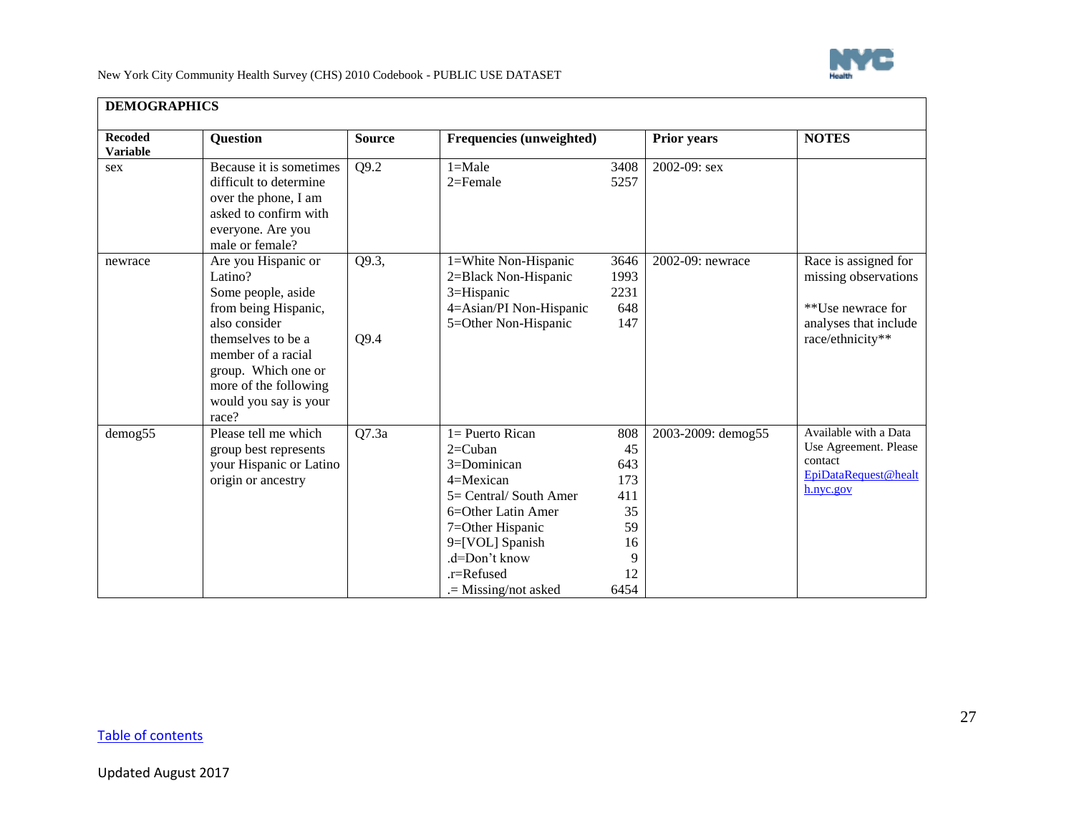

| <b>Recoded</b><br><b>Variable</b> | <b>Question</b>                                                                                                                                                                                                             | <b>Source</b> | <b>Frequencies (unweighted)</b>                                                                                                                                                                                |                                                                | <b>Prior years</b> | <b>NOTES</b>                                                                                                   |
|-----------------------------------|-----------------------------------------------------------------------------------------------------------------------------------------------------------------------------------------------------------------------------|---------------|----------------------------------------------------------------------------------------------------------------------------------------------------------------------------------------------------------------|----------------------------------------------------------------|--------------------|----------------------------------------------------------------------------------------------------------------|
| sex                               | Because it is sometimes<br>difficult to determine<br>over the phone, I am<br>asked to confirm with<br>everyone. Are you<br>male or female?                                                                                  | Q9.2          | $1 = Male$<br>$2 =$ Female                                                                                                                                                                                     | 3408<br>5257                                                   | 2002-09: sex       |                                                                                                                |
| newrace                           | Are you Hispanic or<br>Latino?<br>Some people, aside<br>from being Hispanic,<br>also consider<br>themselves to be a<br>member of a racial<br>group. Which one or<br>more of the following<br>would you say is your<br>race? | Q9.3,<br>Q9.4 | 1=White Non-Hispanic<br>2=Black Non-Hispanic<br>3=Hispanic<br>4=Asian/PI Non-Hispanic<br>5=Other Non-Hispanic                                                                                                  | 3646<br>1993<br>2231<br>648<br>147                             | 2002-09: newrace   | Race is assigned for<br>missing observations<br>**Use newrace for<br>analyses that include<br>race/ethnicity** |
| demog55                           | Please tell me which<br>group best represents<br>your Hispanic or Latino<br>origin or ancestry                                                                                                                              | Q7.3a         | $l =$ Puerto Rican<br>$2=$ Cuban<br>$3=$ Dominican<br>4=Mexican<br>5= Central/ South Amer<br>6=Other Latin Amer<br>7=Other Hispanic<br>9=[VOL] Spanish<br>.d=Don't know<br>.r=Refused<br>$=$ Missing/not asked | 808<br>45<br>643<br>173<br>411<br>35<br>59<br>16<br>12<br>6454 | 2003-2009: demog55 | Available with a Data<br>Use Agreement. Please<br>contact<br>EpiDataRequest@healt<br>h.nyc.gov                 |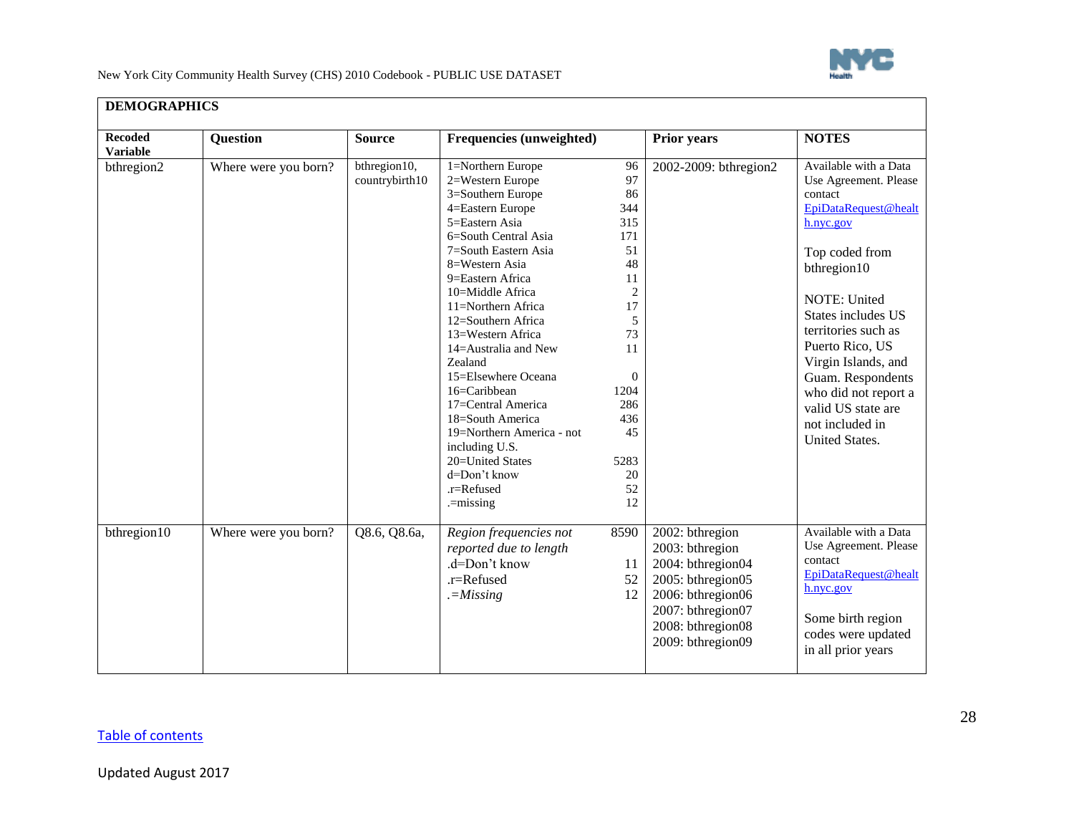

| <b>Recoded</b><br><b>Variable</b> | <b>Question</b>      | <b>Source</b>                  | <b>Frequencies (unweighted)</b>                                                                                                                                                                                                                                                                                                                                                                                                                                                    |                                                                                                                                         | <b>Prior years</b>                                                                                                                                               | <b>NOTES</b>                                                                                                                                                                                                                                                                                                                                   |
|-----------------------------------|----------------------|--------------------------------|------------------------------------------------------------------------------------------------------------------------------------------------------------------------------------------------------------------------------------------------------------------------------------------------------------------------------------------------------------------------------------------------------------------------------------------------------------------------------------|-----------------------------------------------------------------------------------------------------------------------------------------|------------------------------------------------------------------------------------------------------------------------------------------------------------------|------------------------------------------------------------------------------------------------------------------------------------------------------------------------------------------------------------------------------------------------------------------------------------------------------------------------------------------------|
| bthregion2                        | Where were you born? | bthregion10,<br>countrybirth10 | 1=Northern Europe<br>2=Western Europe<br>3=Southern Europe<br>4=Eastern Europe<br>5=Eastern Asia<br>6=South Central Asia<br>7=South Eastern Asia<br>8=Western Asia<br>9=Eastern Africa<br>10=Middle Africa<br>11=Northern Africa<br>12=Southern Africa<br>13=Western Africa<br>14=Australia and New<br>Zealand<br>15=Elsewhere Oceana<br>16=Caribbean<br>17=Central America<br>18=South America<br>19=Northern America - not<br>including U.S.<br>20=United States<br>d=Don't know | 96<br>97<br>86<br>344<br>315<br>171<br>51<br>48<br>11<br>2<br>17<br>5<br>73<br>11<br>$\theta$<br>1204<br>286<br>436<br>45<br>5283<br>20 | 2002-2009: bthregion2                                                                                                                                            | Available with a Data<br>Use Agreement. Please<br>contact<br>EpiDataRequest@healt<br>h.nyc.gov<br>Top coded from<br>bthregion10<br>NOTE: United<br>States includes US<br>territories such as<br>Puerto Rico, US<br>Virgin Islands, and<br>Guam. Respondents<br>who did not report a<br>valid US state are<br>not included in<br>United States. |
|                                   |                      |                                | .r=Refused<br>.=missing                                                                                                                                                                                                                                                                                                                                                                                                                                                            | 52<br>12                                                                                                                                |                                                                                                                                                                  |                                                                                                                                                                                                                                                                                                                                                |
| bthregion10                       | Where were you born? | Q8.6, Q8.6a,                   | Region frequencies not<br>reported due to length<br>.d=Don't know<br>$.r =$ Refused<br>$=-Missing$                                                                                                                                                                                                                                                                                                                                                                                 | 8590<br>11<br>52<br>12                                                                                                                  | 2002: bthregion<br>2003: bthregion<br>2004: bthregion04<br>2005: bthregion05<br>2006: bthregion06<br>2007: bthregion07<br>2008: bthregion08<br>2009: bthregion09 | Available with a Data<br>Use Agreement. Please<br>contact<br>EpiDataRequest@healt<br>h.nyc.gov<br>Some birth region<br>codes were updated<br>in all prior years                                                                                                                                                                                |

# **DEMOGRAPHICS**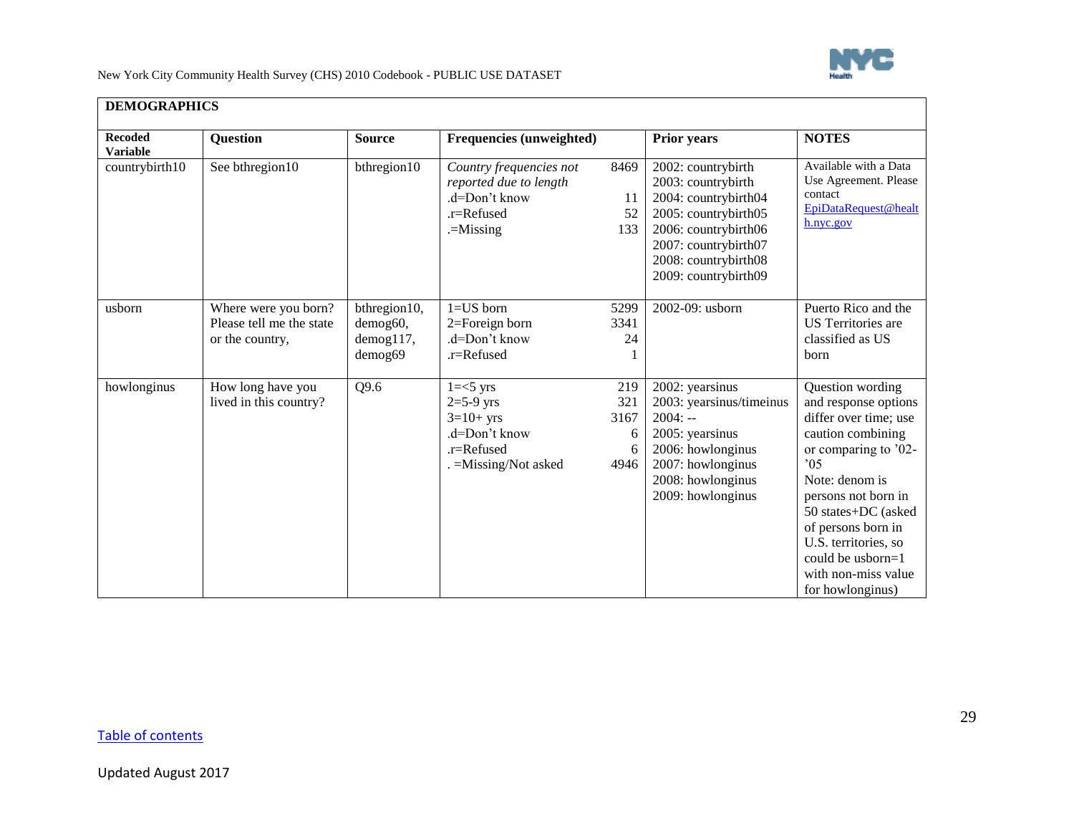

| <b>Recoded</b><br><b>Variable</b> | <b>Question</b>                                                     | <b>Source</b>                                           | Frequencies (unweighted)                                                                          |                                      | <b>Prior years</b>                                                                                                                                                                       | <b>NOTES</b>                                                                                                                                                                                                                                                                                          |
|-----------------------------------|---------------------------------------------------------------------|---------------------------------------------------------|---------------------------------------------------------------------------------------------------|--------------------------------------|------------------------------------------------------------------------------------------------------------------------------------------------------------------------------------------|-------------------------------------------------------------------------------------------------------------------------------------------------------------------------------------------------------------------------------------------------------------------------------------------------------|
| countrybirth10                    | See bthregion10                                                     | bthregion10                                             | Country frequencies not<br>reported due to length<br>.d=Don't know<br>.r=Refused<br>$=$ Missing   | 8469<br>11<br>52<br>133              | 2002: countrybirth<br>2003: countrybirth<br>2004: countrybirth04<br>2005: countrybirth05<br>2006: countrybirth06<br>2007: countrybirth07<br>2008: countrybirth08<br>2009: countrybirth09 | Available with a Data<br>Use Agreement. Please<br>contact<br>EpiDataRequest@healt<br>h.nyc.gov                                                                                                                                                                                                        |
| usborn                            | Where were you born?<br>Please tell me the state<br>or the country, | bthregion10,<br>demog60,<br>$d$ emog $117$ ,<br>demog69 | $1 = US$ born<br>2=Foreign born<br>.d=Don't know<br>$.r =$ Refused                                | 5299<br>3341<br>24                   | 2002-09: usborn                                                                                                                                                                          | Puerto Rico and the<br>US Territories are<br>classified as US<br>born                                                                                                                                                                                                                                 |
| howlonginus                       | How long have you<br>lived in this country?                         | Q9.6                                                    | $1 = 5$ yrs<br>$2=5-9$ yrs<br>$3=10+$ yrs<br>.d=Don't know<br>.r=Refused<br>. = Missing/Not asked | 219<br>321<br>3167<br>6<br>6<br>4946 | 2002: yearsinus<br>2003: yearsinus/timeinus<br>$2004: -$<br>2005: yearsinus<br>2006: howlonginus<br>2007: howlonginus<br>2008: howlonginus<br>2009: howlonginus                          | Question wording<br>and response options<br>differ over time; use<br>caution combining<br>or comparing to '02-<br>05<br>Note: denom is<br>persons not born in<br>50 states+DC (asked<br>of persons born in<br>U.S. territories, so<br>could be usborn= $1$<br>with non-miss value<br>for howlonginus) |

## **DEMOGRAPHICS**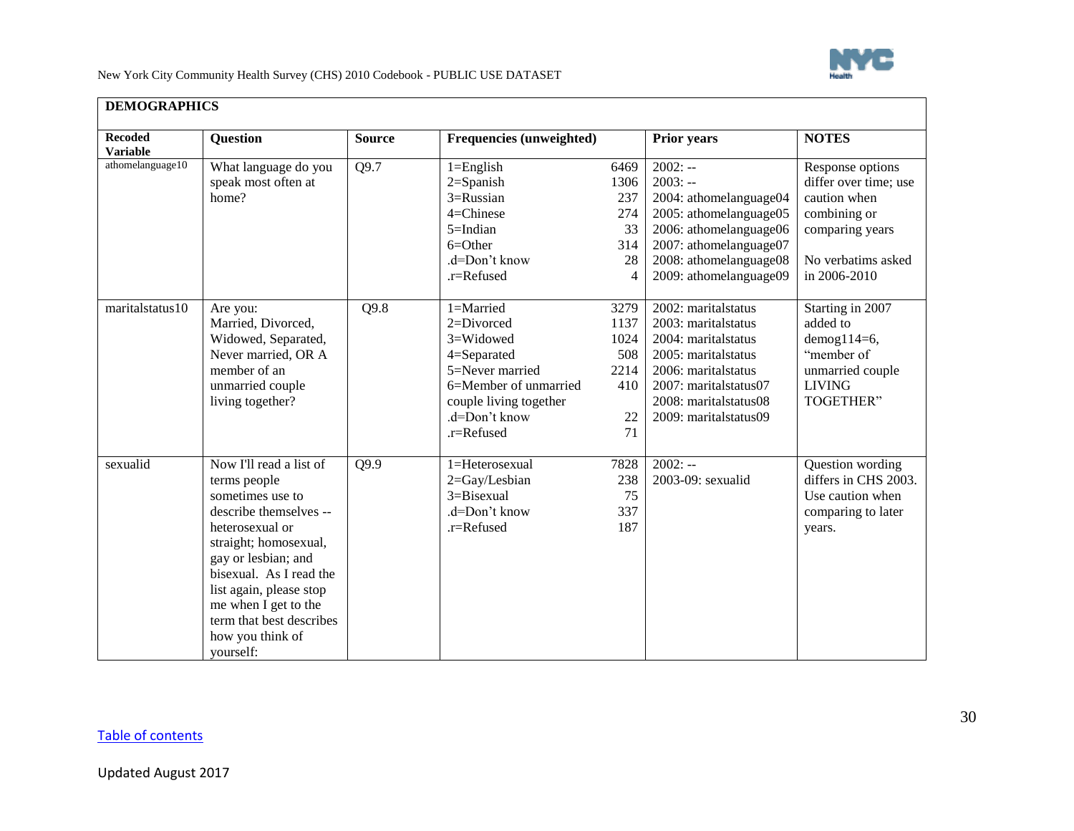

| <b>Recoded</b><br><b>Variable</b> | Question                 | <b>Source</b> | Frequencies (unweighted) |      | <b>Prior years</b>      | <b>NOTES</b>          |
|-----------------------------------|--------------------------|---------------|--------------------------|------|-------------------------|-----------------------|
| athomelanguage10                  | What language do you     | Q9.7          | $1 =$ English            | 6469 | $2002: -$               | Response options      |
|                                   | speak most often at      |               | $2 =$ Spanish            | 1306 | $2003: -$               | differ over time; use |
|                                   | home?                    |               | 3=Russian                | 237  | 2004: athomelanguage04  | caution when          |
|                                   |                          |               | $4 =$ Chinese            | 274  | 2005: athomelanguage05  | combining or          |
|                                   |                          |               | $5 = Indian$             | 33   | 2006: athomelanguage06  | comparing years       |
|                                   |                          |               | $6 = Other$              | 314  | 2007: athomelanguage07  |                       |
|                                   |                          |               | .d=Don't know            | 28   | 2008: athomelanguage08  | No verbatims asked    |
|                                   |                          |               | $.r =$ Refused           | 4    | 2009: athomelanguage09  | in 2006-2010          |
| maritalstatus10                   | Are you:                 | Q9.8          | 1=Married                | 3279 | 2002: maritalstatus     | Starting in 2007      |
|                                   | Married, Divorced,       |               | 2=Divorced               | 1137 | 2003: maritalstatus     | added to              |
|                                   | Widowed, Separated,      |               | 3=Widowed                | 1024 | 2004: maritalstatus     | demog $114=6$ ,       |
|                                   | Never married, OR A      |               | 4=Separated              | 508  | 2005: marital status    | "member of            |
|                                   | member of an             |               | 5=Never married          | 2214 | 2006: maritalstatus     | unmarried couple      |
|                                   | unmarried couple         |               | 6=Member of unmarried    | 410  | 2007: maritalstatus07   | <b>LIVING</b>         |
|                                   | living together?         |               | couple living together   |      | 2008: maritalstatus08   | <b>TOGETHER"</b>      |
|                                   |                          |               | .d=Don't know            | 22   | 2009: marital status 09 |                       |
|                                   |                          |               | $.r =$ Refused           | 71   |                         |                       |
| sexualid                          | Now I'll read a list of  | Q9.9          | 1=Heterosexual           | 7828 | $2002: -$               | Question wording      |
|                                   | terms people             |               | 2=Gay/Lesbian            | 238  | 2003-09: sexualid       | differs in CHS 2003.  |
|                                   | sometimes use to         |               | $3 = Bisexual$           | 75   |                         | Use caution when      |
|                                   | describe themselves --   |               | .d=Don't know            | 337  |                         | comparing to later    |
|                                   | heterosexual or          |               | .r=Refused               | 187  |                         | years.                |
|                                   | straight; homosexual,    |               |                          |      |                         |                       |
|                                   | gay or lesbian; and      |               |                          |      |                         |                       |
|                                   | bisexual. As I read the  |               |                          |      |                         |                       |
|                                   | list again, please stop  |               |                          |      |                         |                       |
|                                   | me when I get to the     |               |                          |      |                         |                       |
|                                   | term that best describes |               |                          |      |                         |                       |
|                                   | how you think of         |               |                          |      |                         |                       |
|                                   | yourself:                |               |                          |      |                         |                       |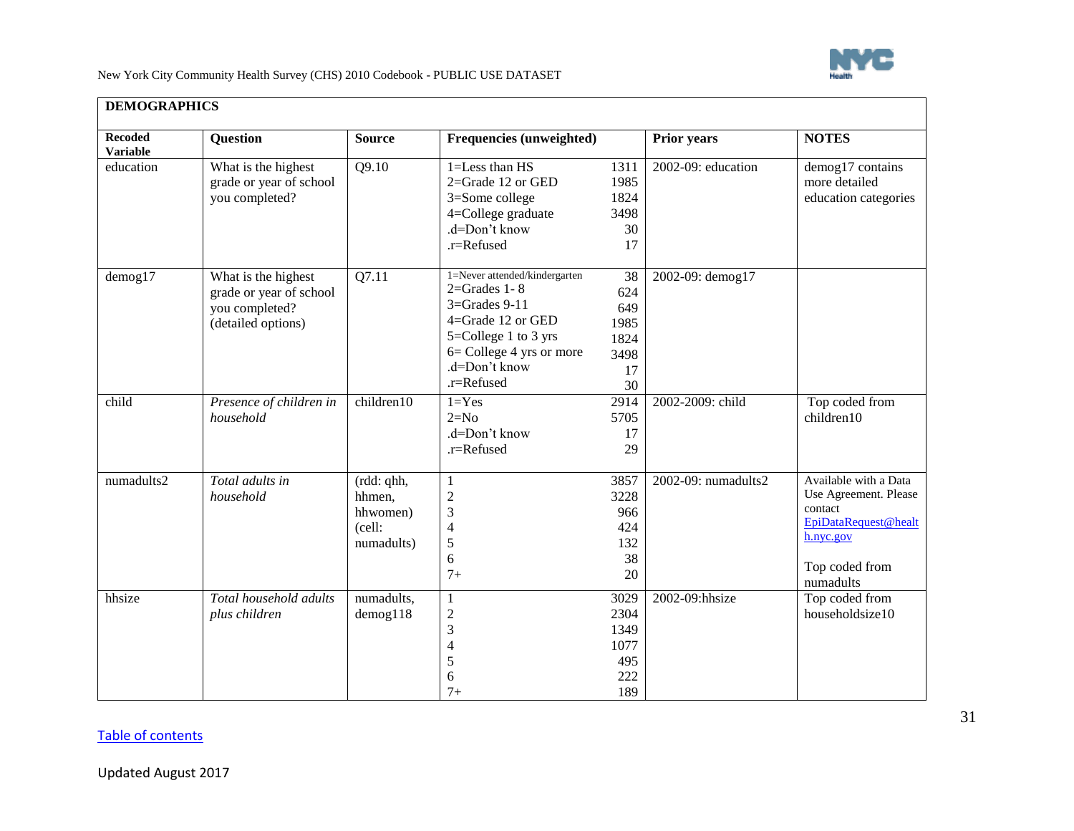

| <b>Recoded</b><br><b>Variable</b> | <b>Question</b>                                                                        | <b>Source</b>                                            | Frequencies (unweighted)                                                                                                                                                         |                                                      | <b>Prior years</b>  | <b>NOTES</b>                                                                                                                  |
|-----------------------------------|----------------------------------------------------------------------------------------|----------------------------------------------------------|----------------------------------------------------------------------------------------------------------------------------------------------------------------------------------|------------------------------------------------------|---------------------|-------------------------------------------------------------------------------------------------------------------------------|
| education                         | What is the highest<br>grade or year of school<br>you completed?                       | Q9.10                                                    | 1=Less than HS<br>$2 =$ Grade 12 or GED<br>3=Some college<br>4=College graduate<br>.d=Don't know<br>.r=Refused                                                                   | 1311<br>1985<br>1824<br>3498<br>30<br>17             | 2002-09: education  | demog17 contains<br>more detailed<br>education categories                                                                     |
| $d$ emog17                        | What is the highest<br>grade or year of school<br>you completed?<br>(detailed options) | Q7.11                                                    | 1=Never attended/kindergarten<br>$2 =$ Grades 1 - 8<br>$3 =$ Grades 9-11<br>4=Grade 12 or GED<br>5=College 1 to 3 yrs<br>6= College 4 yrs or more<br>.d=Don't know<br>.r=Refused | 38<br>624<br>649<br>1985<br>1824<br>3498<br>17<br>30 | 2002-09: demog17    |                                                                                                                               |
| child                             | Presence of children in<br>household                                                   | children10                                               | $1 = Yes$<br>$2=N0$<br>.d=Don't know<br>.r=Refused                                                                                                                               | 2914<br>5705<br>17<br>29                             | 2002-2009: child    | Top coded from<br>children10                                                                                                  |
| numadults2                        | Total adults in<br>household                                                           | (rdd: qhh,<br>hhmen,<br>hhwomen)<br>(cell:<br>numadults) | $\mathbf{1}$<br>$\overline{c}$<br>3<br>$\overline{4}$<br>$\mathfrak s$<br>6<br>$7+$                                                                                              | 3857<br>3228<br>966<br>424<br>132<br>38<br>20        | 2002-09: numadults2 | Available with a Data<br>Use Agreement. Please<br>contact<br>EpiDataRequest@healt<br>h.nyc.gov<br>Top coded from<br>numadults |
| hhsize                            | Total household adults<br>plus children                                                | numadults,<br>$d$ emog $118$                             | $\mathbf{1}$<br>$\boldsymbol{2}$<br>3<br>$\overline{4}$<br>5<br>6<br>$7+$                                                                                                        | 3029<br>2304<br>1349<br>1077<br>495<br>222<br>189    | 2002-09:hhsize      | Top coded from<br>householdsize10                                                                                             |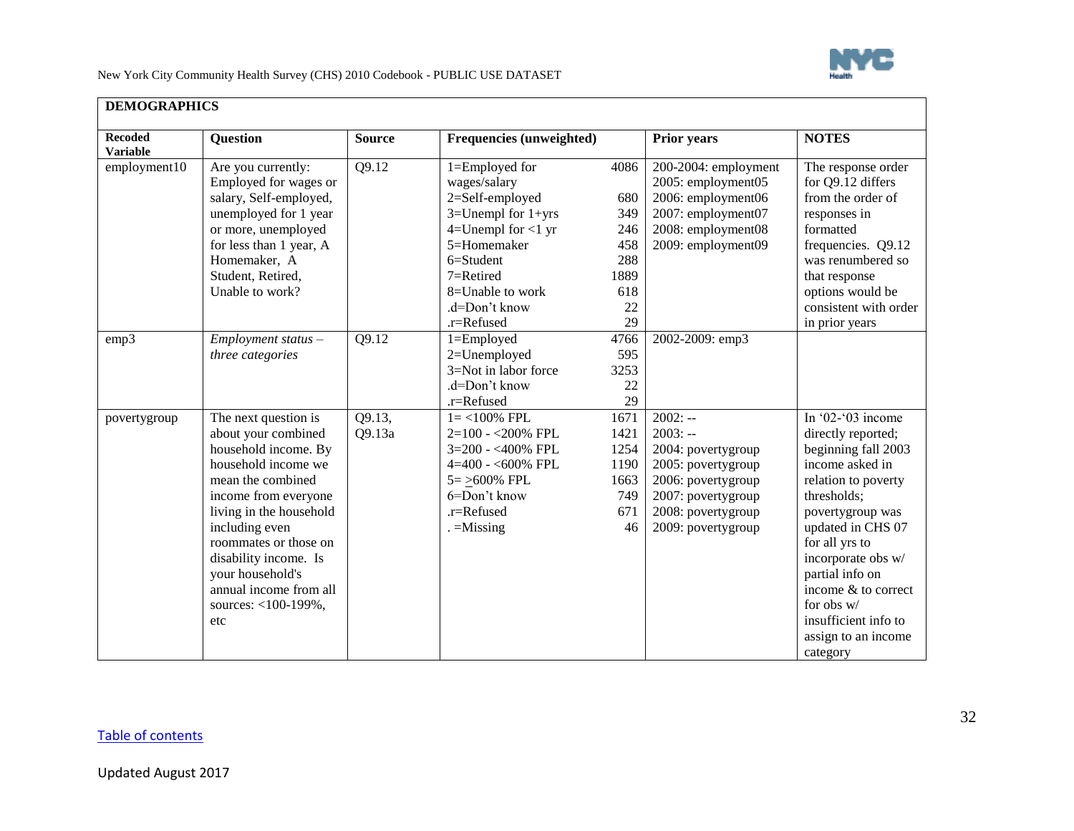

┑

New York City Community Health Survey (CHS) 2010 Codebook - PUBLIC USE DATASET

| <b>Recoded</b>                  | <b>Question</b>                                                                                                                                                                                                                                                                                                    | <b>Source</b>    | Frequencies (unweighted)                                                                                                                                                                                  |                                                                    | <b>Prior years</b>                                                                                                                                         | <b>NOTES</b>                                                                                                                                                                                                                                                                                                                |
|---------------------------------|--------------------------------------------------------------------------------------------------------------------------------------------------------------------------------------------------------------------------------------------------------------------------------------------------------------------|------------------|-----------------------------------------------------------------------------------------------------------------------------------------------------------------------------------------------------------|--------------------------------------------------------------------|------------------------------------------------------------------------------------------------------------------------------------------------------------|-----------------------------------------------------------------------------------------------------------------------------------------------------------------------------------------------------------------------------------------------------------------------------------------------------------------------------|
| <b>Variable</b><br>employment10 | Are you currently:<br>Employed for wages or<br>salary, Self-employed,<br>unemployed for 1 year<br>or more, unemployed<br>for less than 1 year, A<br>Homemaker, A<br>Student, Retired,<br>Unable to work?                                                                                                           | Q9.12            | 1=Employed for<br>wages/salary<br>2=Self-employed<br>$3=$ Unempl for $1+$ yrs<br>$4=$ Unempl for $<$ 1 yr<br>5=Homemaker<br>6=Student<br>7=Retired<br>8=Unable to work<br>.d=Don't know<br>$.r =$ Refused | 4086<br>680<br>349<br>246<br>458<br>288<br>1889<br>618<br>22<br>29 | 200-2004: employment<br>2005: employment05<br>2006: employment06<br>2007: employment07<br>2008: employment08<br>2009: employment09                         | The response order<br>for Q9.12 differs<br>from the order of<br>responses in<br>formatted<br>frequencies. Q9.12<br>was renumbered so<br>that response<br>options would be<br>consistent with order<br>in prior years                                                                                                        |
| emp3                            | $Employment$ status $-$<br>three categories                                                                                                                                                                                                                                                                        | Q9.12            | $1 =$ Employed<br>2=Unemployed<br>3=Not in labor force<br>.d=Don't know<br>.r=Refused                                                                                                                     | 4766<br>595<br>3253<br>22<br>29                                    | 2002-2009: emp3                                                                                                                                            |                                                                                                                                                                                                                                                                                                                             |
| povertygroup                    | The next question is<br>about your combined<br>household income. By<br>household income we<br>mean the combined<br>income from everyone<br>living in the household<br>including even<br>roommates or those on<br>disability income. Is<br>your household's<br>annual income from all<br>sources: <100-199%,<br>etc | Q9.13,<br>Q9.13a | $1 = < 100\%$ FPL<br>$2=100 - 200\%$ FPL<br>3=200 - <400% FPL<br>$4=400 - 600\%$ FPL<br>$5 = \geq 600\%$ FPL<br>6=Don't know<br>.r=Refused<br>$=$ Missing                                                 | 1671<br>1421<br>1254<br>1190<br>1663<br>749<br>671<br>46           | $2002: -$<br>$2003: -$<br>2004: povertygroup<br>2005: povertygroup<br>2006: povertygroup<br>2007: povertygroup<br>2008: povertygroup<br>2009: povertygroup | In '02-'03 income<br>directly reported;<br>beginning fall 2003<br>income asked in<br>relation to poverty<br>thresholds;<br>povertygroup was<br>updated in CHS 07<br>for all yrs to<br>incorporate obs w/<br>partial info on<br>income & to correct<br>for obs w/<br>insufficient info to<br>assign to an income<br>category |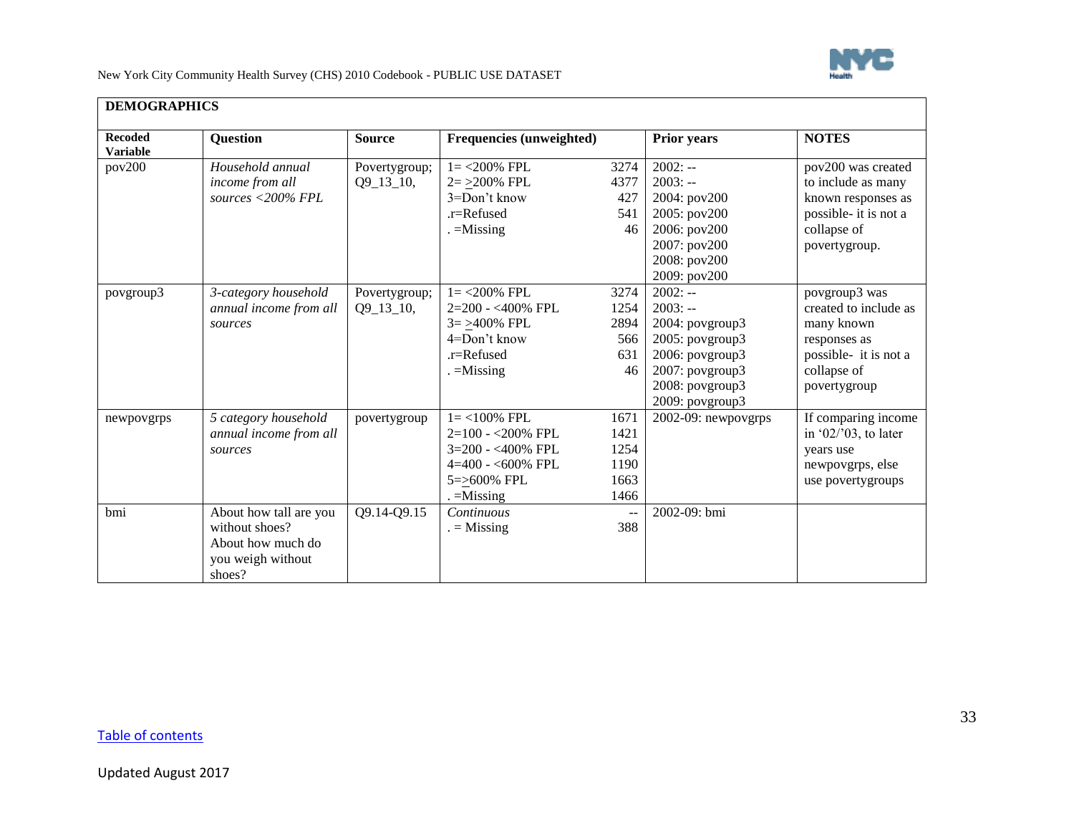

┑

New York City Community Health Survey (CHS) 2010 Codebook - PUBLIC USE DATASET

| <b>Recoded</b><br><b>Variable</b> | Question                                                                                     | <b>Source</b>                | Frequencies (unweighted)                                                                                           |                                              | <b>Prior years</b>                                                                                                                                       | <b>NOTES</b>                                                                                                                 |
|-----------------------------------|----------------------------------------------------------------------------------------------|------------------------------|--------------------------------------------------------------------------------------------------------------------|----------------------------------------------|----------------------------------------------------------------------------------------------------------------------------------------------------------|------------------------------------------------------------------------------------------------------------------------------|
| pov200                            | Household annual<br>income from all<br>sources <200% FPL                                     | Povertygroup;<br>$Q9_13_10,$ | $1 = 200\%$ FPL<br>$2 = 200\%$ FPL<br>3=Don't know<br>$.r =$ Refused<br>$=$ Missing                                | 3274<br>4377<br>427<br>541<br>46             | $2002: -$<br>$2003: -$<br>2004: pov200<br>2005: pov200<br>2006: pov200<br>2007: pov200<br>2008: pov200                                                   | pov200 was created<br>to include as many<br>known responses as<br>possible- it is not a<br>collapse of<br>povertygroup.      |
| povgroup3                         | 3-category household<br>annual income from all<br>sources                                    | Povertygroup;<br>$Q9_13_10,$ | $1 = 200\%$ FPL<br>$2=200 - <400\%$ FPL<br>$3 = >400\%$ FPL<br>4=Don't know<br>$r =$ Refused<br>$. =$ Missing      | 3274<br>1254<br>2894<br>566<br>631<br>46     | 2009: pov200<br>$2002: -$<br>$2003: -$<br>2004: povgroup3<br>2005: povgroup3<br>2006: povgroup3<br>2007: povgroup3<br>2008: povgroup3<br>2009: povgroup3 | povgroup3 was<br>created to include as<br>many known<br>responses as<br>possible- it is not a<br>collapse of<br>povertygroup |
| newpovgrps                        | 5 category household<br>annual income from all<br>sources                                    | povertygroup                 | $1 = < 100\%$ FPL<br>$2=100 - 200\%$ FPL<br>3=200 - <400% FPL<br>$4=400 - 600\%$ FPL<br>5=>600% FPL<br>$=$ Missing | 1671<br>1421<br>1254<br>1190<br>1663<br>1466 | 2002-09: newpovgrps                                                                                                                                      | If comparing income<br>in '02/'03, to later<br>years use<br>newpovgrps, else<br>use povertygroups                            |
| bmi                               | About how tall are you<br>without shoes?<br>About how much do<br>you weigh without<br>shoes? | Q9.14-Q9.15                  | Continuous<br>$=$ Missing                                                                                          | $- \, -$<br>388                              | 2002-09: bmi                                                                                                                                             |                                                                                                                              |

## **DEMOGRAPHICS**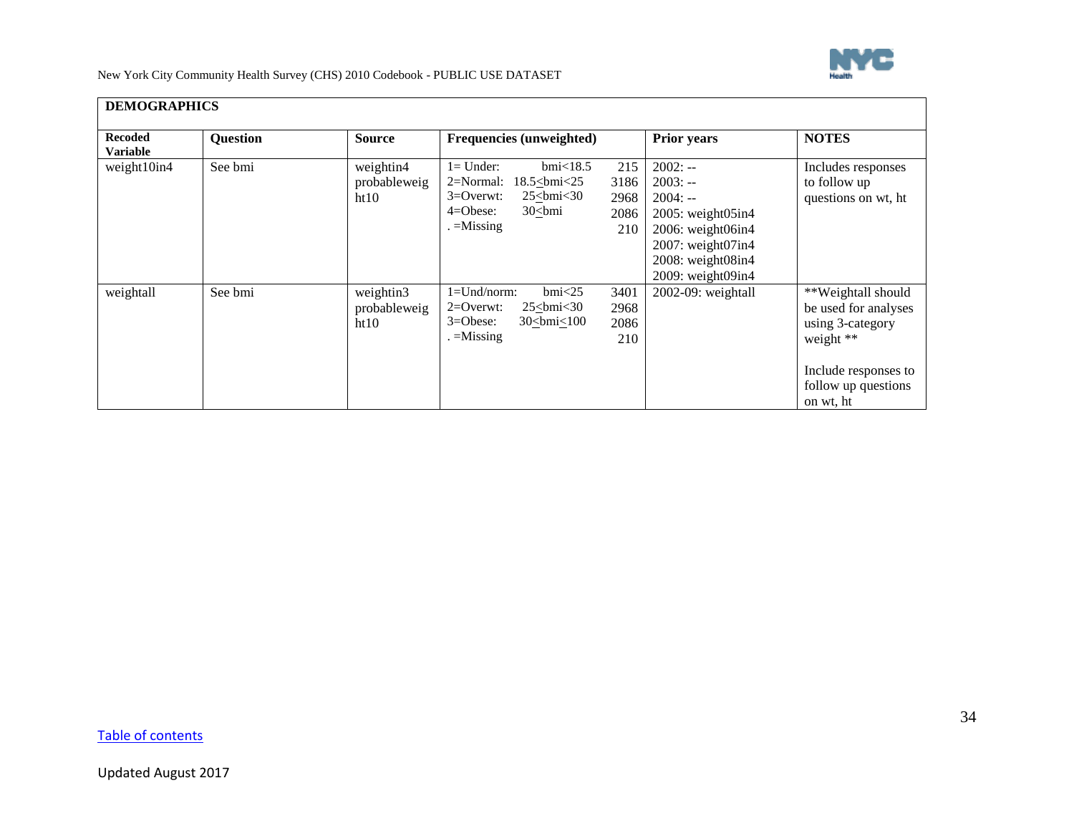

| <b>Recoded</b>                 | <b>Question</b> | <b>Source</b>                     | Frequencies (unweighted)                                                                                                                                   |                                    | <b>Prior years</b>                                                                                                                                                | <b>NOTES</b>                                                                                                                            |
|--------------------------------|-----------------|-----------------------------------|------------------------------------------------------------------------------------------------------------------------------------------------------------|------------------------------------|-------------------------------------------------------------------------------------------------------------------------------------------------------------------|-----------------------------------------------------------------------------------------------------------------------------------------|
| <b>Variable</b><br>weight10in4 | See bmi         | weightin4<br>probableweig<br>ht10 | $bmi$ <18.5<br>$l =$ Under:<br>$18.5 \leq bmi < 25$<br>$2=Normal$ :<br>$3=0$ verwt:<br>$25$ $>$ bmi $<$ 30<br>$4 = O$ bese:<br>$30$ $>$ bmi<br>$=$ Missing | 215<br>3186<br>2968<br>2086<br>210 | $2002: -$<br>$2003: -$<br>$2004: -$<br>$2005$ : weight $05$ in4<br>2006: weight06in4<br>$2007$ : weight $07$ in4<br>$2008$ : weight $08$ in4<br>2009: weight09in4 | Includes responses<br>to follow up<br>questions on wt, ht                                                                               |
| weightall                      | See bmi         | weightin3<br>probableweig<br>ht10 | $bmi$ <25<br>$1 =$ Und/norm:<br>$2=0$ verwt:<br>$25$ $>$ bmi $<$ 30<br>$3 = O$ bese:<br>$30 \leq bmi \leq 100$<br>. =Missing                               | 3401<br>2968<br>2086<br>210        | 2002-09: weightall                                                                                                                                                | **Weightall should<br>be used for analyses<br>using 3-category<br>weight **<br>Include responses to<br>follow up questions<br>on wt, ht |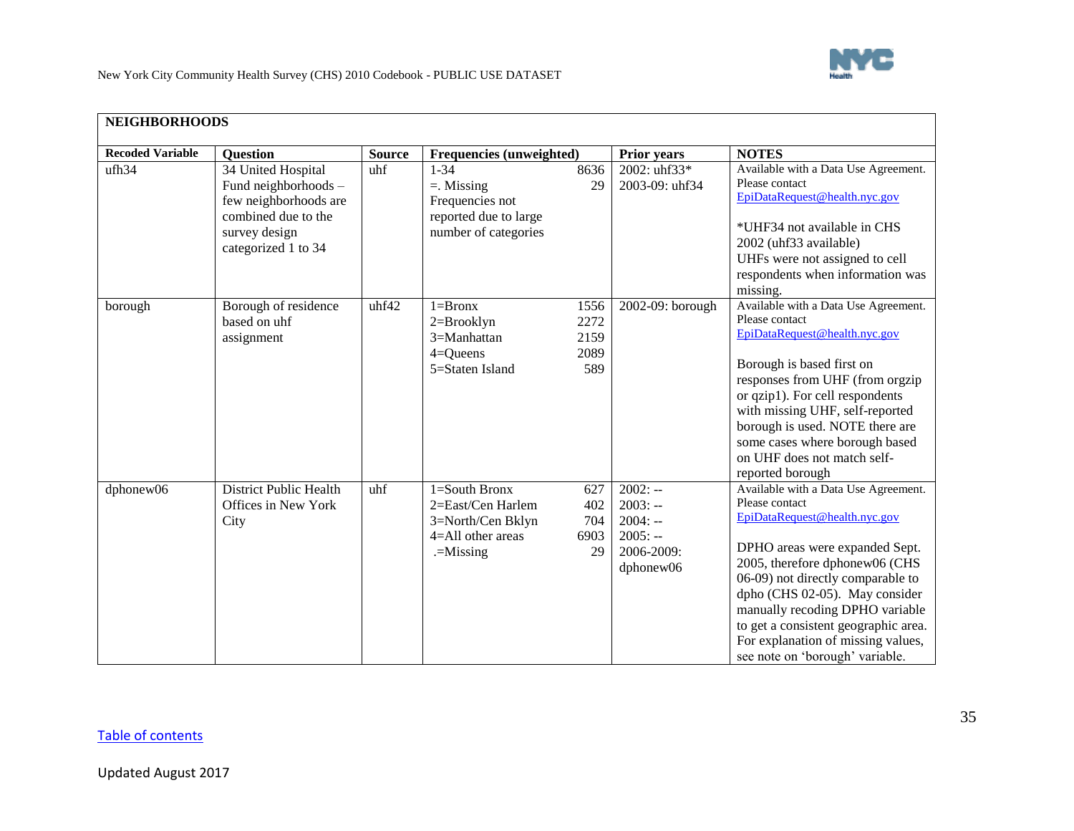

<span id="page-34-0"></span>

| <b>Recoded Variable</b> | Question                                                                                                                           | <b>Source</b> | Frequencies (unweighted)                                                                        |                                     | <b>Prior years</b>                                                          | <b>NOTES</b>                                                                                                                                                                                                                                                                                                                                                                           |
|-------------------------|------------------------------------------------------------------------------------------------------------------------------------|---------------|-------------------------------------------------------------------------------------------------|-------------------------------------|-----------------------------------------------------------------------------|----------------------------------------------------------------------------------------------------------------------------------------------------------------------------------------------------------------------------------------------------------------------------------------------------------------------------------------------------------------------------------------|
| ufh34                   | 34 United Hospital<br>Fund neighborhoods -<br>few neighborhoods are<br>combined due to the<br>survey design<br>categorized 1 to 34 | uhf           | $1 - 34$<br>$=$ . Missing<br>Frequencies not<br>reported due to large<br>number of categories   | 8636<br>29                          | 2002: uhf33*<br>2003-09: uhf34                                              | Available with a Data Use Agreement.<br>Please contact<br>EpiDataRequest@health.nyc.gov<br>*UHF34 not available in CHS<br>2002 (uhf33 available)<br>UHFs were not assigned to cell<br>respondents when information was<br>missing.                                                                                                                                                     |
| borough                 | Borough of residence<br>based on uhf<br>assignment                                                                                 | uhf42         | $1 =$ Bronx<br>2=Brooklyn<br>3=Manhattan<br>$4 =$ Queens<br>5=Staten Island                     | 1556<br>2272<br>2159<br>2089<br>589 | 2002-09: borough                                                            | Available with a Data Use Agreement.<br>Please contact<br>EpiDataRequest@health.nyc.gov<br>Borough is based first on<br>responses from UHF (from orgzip<br>or qzip1). For cell respondents<br>with missing UHF, self-reported<br>borough is used. NOTE there are<br>some cases where borough based<br>on UHF does not match self-<br>reported borough                                  |
| dphonew06               | <b>District Public Health</b><br>Offices in New York<br>City                                                                       | uhf           | $1 =$ South Bronx<br>2=East/Cen Harlem<br>3=North/Cen Bklyn<br>4=All other areas<br>$=$ Missing | 627<br>402<br>704<br>6903<br>29     | $2002: -$<br>$2003: -$<br>$2004: -$<br>$2005: -$<br>2006-2009:<br>dphonew06 | Available with a Data Use Agreement.<br>Please contact<br>EpiDataRequest@health.nyc.gov<br>DPHO areas were expanded Sept.<br>2005, therefore dphonew06 (CHS<br>06-09) not directly comparable to<br>dpho (CHS 02-05). May consider<br>manually recoding DPHO variable<br>to get a consistent geographic area.<br>For explanation of missing values,<br>see note on 'borough' variable. |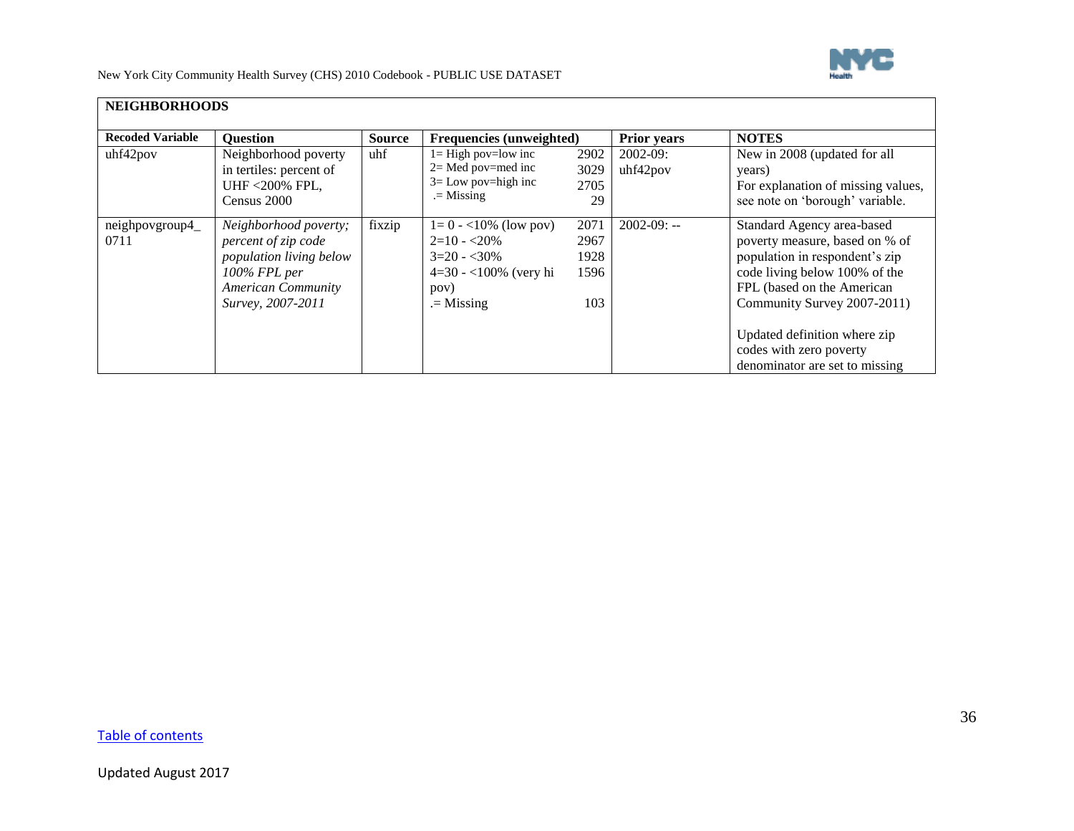

| <b>NEIGHBORHOODS</b>    |                                                                                                                                           |               |                                                                                                            |                                     |                         |                                                                                                                                                                                                                                                                                           |  |
|-------------------------|-------------------------------------------------------------------------------------------------------------------------------------------|---------------|------------------------------------------------------------------------------------------------------------|-------------------------------------|-------------------------|-------------------------------------------------------------------------------------------------------------------------------------------------------------------------------------------------------------------------------------------------------------------------------------------|--|
| <b>Recoded Variable</b> | <b>Question</b>                                                                                                                           | <b>Source</b> | Frequencies (unweighted)                                                                                   |                                     | <b>Prior years</b>      | <b>NOTES</b>                                                                                                                                                                                                                                                                              |  |
| uhf42pov                | Neighborhood poverty<br>in tertiles: percent of<br><b>UHF &lt;200% FPL.</b><br>Census 2000                                                | uhf           | $l = High$ pov=low inc<br>$2 =$ Med pov=med inc<br>$3 =$ Low pov=high inc<br>$=$ Missing                   | 2902<br>3029<br>2705<br>29          | $2002-09$ :<br>uhf42pov | New in 2008 (updated for all<br>years)<br>For explanation of missing values,<br>see note on 'borough' variable.                                                                                                                                                                           |  |
| neighpovgroup4_<br>0711 | Neighborhood poverty;<br>percent of zip code<br>population living below<br>100% FPL per<br><b>American Community</b><br>Survey, 2007-2011 | fixzip        | $1=0 - 10\%$ (low pov)<br>$2=10 - 20\%$<br>$3=20 - 30\%$<br>$4=30 - 100\%$ (very hi<br>pov)<br>$=$ Missing | 2071<br>2967<br>1928<br>1596<br>103 | $2002-09$ : --          | Standard Agency area-based<br>poverty measure, based on % of<br>population in respondent's zip<br>code living below 100% of the<br>FPL (based on the American<br>Community Survey 2007-2011)<br>Updated definition where zip<br>codes with zero poverty<br>denominator are set to missing |  |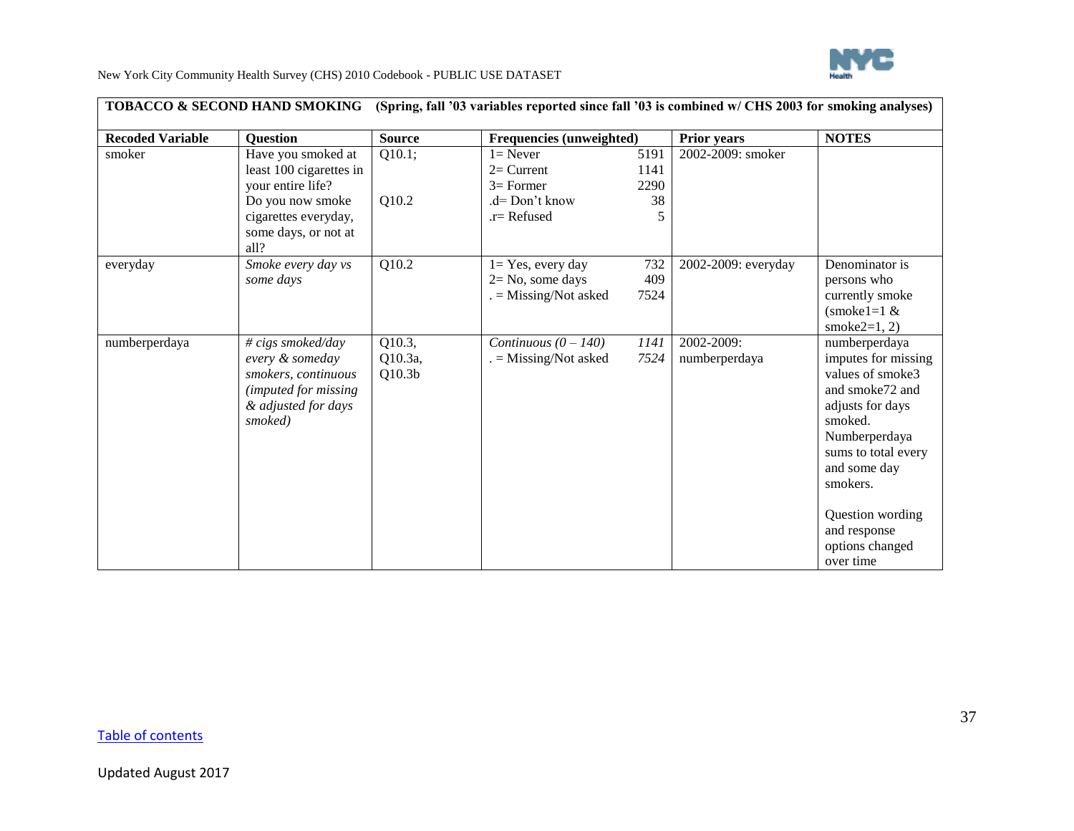

<span id="page-36-0"></span>

| <b>Recoded Variable</b> | <b>Question</b>                                                                                                                                | <b>Source</b>                           |                                                                               | Frequencies (unweighted)   |                             | <b>NOTES</b>                                                                                                                                                                   |
|-------------------------|------------------------------------------------------------------------------------------------------------------------------------------------|-----------------------------------------|-------------------------------------------------------------------------------|----------------------------|-----------------------------|--------------------------------------------------------------------------------------------------------------------------------------------------------------------------------|
| smoker                  | Have you smoked at<br>least 100 cigarettes in<br>your entire life?<br>Do you now smoke<br>cigarettes everyday,<br>some days, or not at<br>all? | Q10.1;<br>Q10.2                         | $l =$ Never<br>$2=$ Current<br>$3=$ Former<br>.d= Don't know<br>$r =$ Refused | 5191<br>1141<br>2290<br>38 | 2002-2009: smoker           |                                                                                                                                                                                |
| everyday                | Smoke every day vs<br>some days                                                                                                                | Q10.2                                   | $1 = Yes$ , every day<br>$2 = No$ , some days<br>$=$ Missing/Not asked        | 732<br>409<br>7524         | 2002-2009: everyday         | Denominator is<br>persons who<br>currently smoke<br>$(smoke1=1 \&$<br>smoke $2=1, 2$ )                                                                                         |
| numberperdaya           | $\# \text{ cigs smoked/day}$<br>every & someday<br>smokers, continuous<br>(imputed for missing)<br>& adjusted for days<br>smoked)              | Q10.3,<br>Q10.3a,<br>Q10.3 <sub>b</sub> | Continuous $(0 - 140)$<br>$=$ Missing/Not asked                               | 1141<br>7524               | 2002-2009:<br>numberperdaya | numberperdaya<br>imputes for missing<br>values of smoke3<br>and smoke72 and<br>adjusts for days<br>smoked.<br>Numberperdaya<br>sums to total every<br>and some day<br>smokers. |
|                         |                                                                                                                                                |                                         |                                                                               |                            |                             | Question wording<br>and response<br>options changed<br>over time                                                                                                               |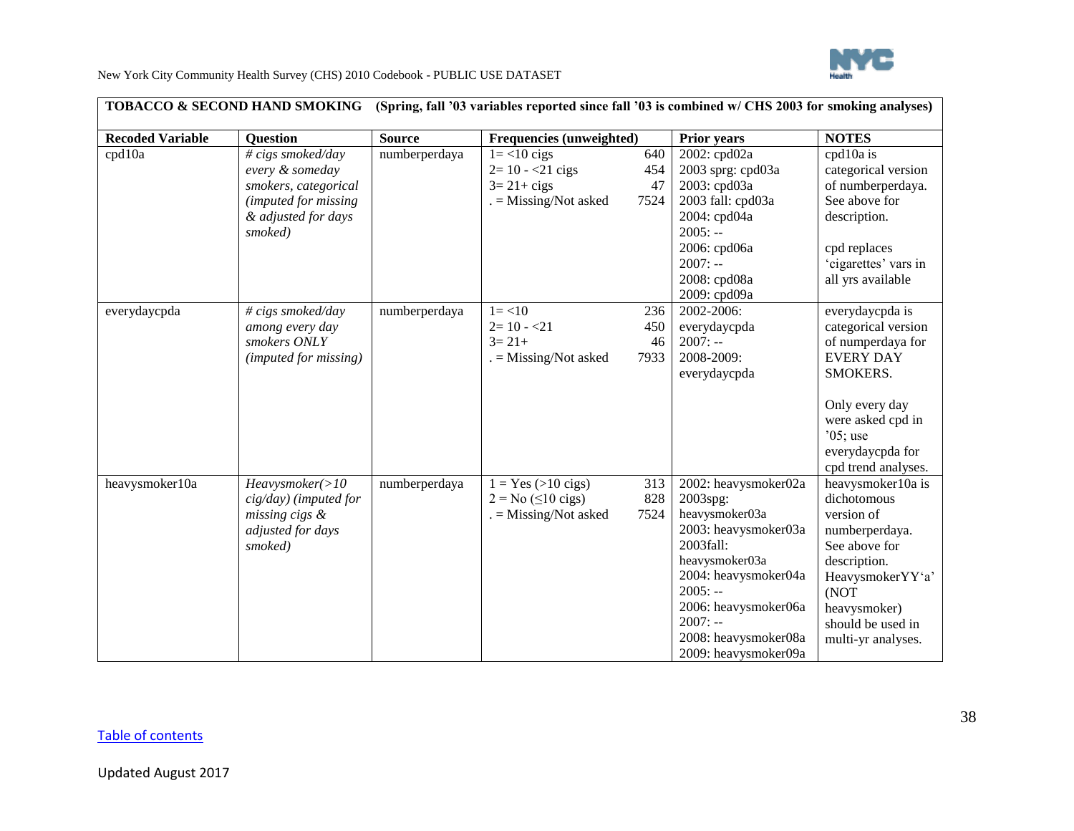

| TOBACCO & SECOND HAND SMOKING<br>(Spring, fall '03 variables reported since fall '03 is combined w/ CHS 2003 for smoking analyses) |                                                                                                                        |               |                                                                                               |                          |                                                                                                                                                                                                                                     |                                                                                                                                                                                             |  |
|------------------------------------------------------------------------------------------------------------------------------------|------------------------------------------------------------------------------------------------------------------------|---------------|-----------------------------------------------------------------------------------------------|--------------------------|-------------------------------------------------------------------------------------------------------------------------------------------------------------------------------------------------------------------------------------|---------------------------------------------------------------------------------------------------------------------------------------------------------------------------------------------|--|
| <b>Recoded Variable</b>                                                                                                            | <b>Question</b>                                                                                                        | <b>Source</b> | Frequencies (unweighted)                                                                      |                          | <b>Prior years</b>                                                                                                                                                                                                                  | <b>NOTES</b>                                                                                                                                                                                |  |
| cpd10a                                                                                                                             | # cigs smoked/day<br>every & someday<br>smokers, categorical<br>(imputed for missing<br>& adjusted for days<br>smoked) | numberperdaya | $1 = < 10$ cigs<br>$2=10 - 21$ cigs<br>$3 = 21 + cigs$<br>$=$ Missing/Not asked               | 640<br>454<br>47<br>7524 | 2002: cpd02a<br>2003 sprg: cpd03a<br>2003: cpd03a<br>2003 fall: cpd03a<br>2004: cpd04a<br>$2005: -$<br>2006: cpd06a<br>$2007: -$<br>2008: cpd08a<br>2009: cpd09a                                                                    | cpd10a is<br>categorical version<br>of numberperdaya.<br>See above for<br>description.<br>cpd replaces<br>'cigarettes' vars in<br>all yrs available                                         |  |
| everydaycpda                                                                                                                       | # cigs smoked/day<br>among every day<br>smokers ONLY<br>(imputed for missing)                                          | numberperdaya | $1 = 10$<br>$2=10 - 21$<br>$3=21+$<br>$=$ Missing/Not asked                                   | 236<br>450<br>46<br>7933 | 2002-2006:<br>everydaycpda<br>$2007: -$<br>2008-2009:<br>everydaycpda                                                                                                                                                               | everydaycpda is<br>categorical version<br>of numperdaya for<br><b>EVERY DAY</b><br>SMOKERS.<br>Only every day<br>were asked cpd in<br>$05$ ; use<br>everydaycpda for<br>cpd trend analyses. |  |
| heavysmoker10a                                                                                                                     | Heavysmoker(>10<br>cig/day) (imputed for<br>missing cigs &<br>adjusted for days<br>smoked)                             | numberperdaya | $1 = Yes (>10 cigs)$<br>$2 = No \left( \leq 10 \text{ cigs} \right)$<br>$=$ Missing/Not asked | 313<br>828<br>7524       | 2002: heavysmoker02a<br>2003spg:<br>heavysmoker03a<br>2003: heavysmoker03a<br>2003fall:<br>heavysmoker03a<br>2004: heavysmoker04a<br>$2005: -$<br>2006: heavysmoker06a<br>$2007: -$<br>2008: heavysmoker08a<br>2009: heavysmoker09a | heavysmoker10a is<br>dichotomous<br>version of<br>numberperdaya.<br>See above for<br>description.<br>HeavysmokerYY'a'<br>(NOT<br>heavysmoker)<br>should be used in<br>multi-yr analyses.    |  |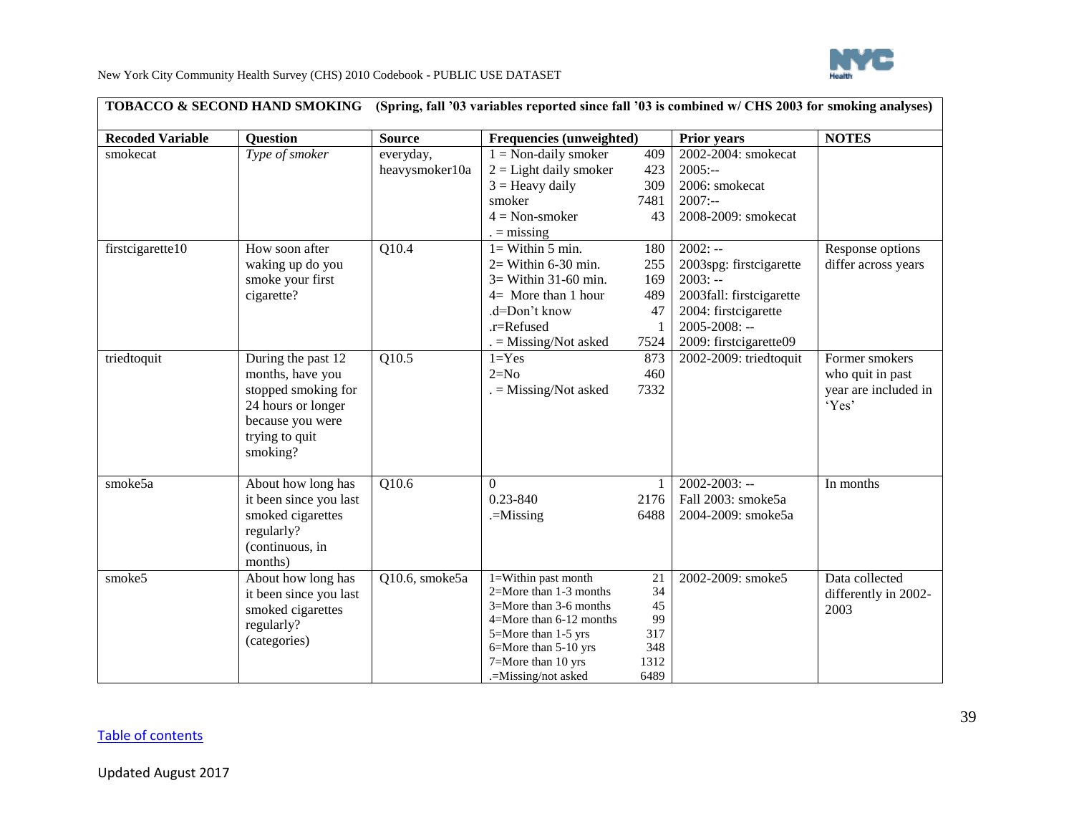

| <b>Recoded Variable</b> | <b>Question</b>        | <b>Source</b>      | Frequencies (unweighted)    |              | <b>Prior years</b>       | <b>NOTES</b>         |
|-------------------------|------------------------|--------------------|-----------------------------|--------------|--------------------------|----------------------|
| smokecat                | Type of smoker         | everyday,          | $1 = Non-daily smoker$      | 409          | 2002-2004: smokecat      |                      |
|                         |                        | heavysmoker10a     | $2 =$ Light daily smoker    | 423          | $2005:-$                 |                      |
|                         |                        |                    | $3 =$ Heavy daily           | 309          | 2006: smokecat           |                      |
|                         |                        |                    | smoker                      | 7481         | $2007: -$                |                      |
|                         |                        |                    | $4 = Non-smoker$            | 43           | 2008-2009: smokecat      |                      |
|                         |                        |                    | $=$ missing                 |              |                          |                      |
| firstcigarette10        | How soon after         | $\overline{Q10.4}$ | $l =$ Within 5 min.         | 180          | $2002: -$                | Response options     |
|                         | waking up do you       |                    | $2 =$ Within 6-30 min.      | 255          | 2003spg: firstcigarette  | differ across years  |
|                         | smoke your first       |                    | $3 =$ Within 31-60 min.     | 169          | $2003: -$                |                      |
|                         | cigarette?             |                    | $4=$ More than 1 hour       | 489          | 2003fall: firstcigarette |                      |
|                         |                        |                    | .d=Don't know               | 47           | 2004: firstcigarette     |                      |
|                         |                        |                    | .r=Refused                  |              | $2005 - 2008$ : --       |                      |
|                         |                        |                    | . = Missing/Not asked       | 7524         | 2009: firstcigarette09   |                      |
| triedtoquit             | During the past 12     | Q10.5              | $1 = Yes$                   | 873          | 2002-2009: triedtoquit   | Former smokers       |
|                         | months, have you       |                    | $2=N0$                      | 460          |                          | who quit in past     |
|                         | stopped smoking for    |                    | $. =$ Missing/Not asked     | 7332         |                          | year are included in |
|                         | 24 hours or longer     |                    |                             |              |                          | 'Yes'                |
|                         | because you were       |                    |                             |              |                          |                      |
|                         | trying to quit         |                    |                             |              |                          |                      |
|                         | smoking?               |                    |                             |              |                          |                      |
|                         |                        |                    |                             |              |                          |                      |
| smoke5a                 | About how long has     | $\overline{Q10.6}$ | $\Omega$                    |              | $2002 - 2003$ : --       | In months            |
|                         | it been since you last |                    | $0.23 - 840$                | 2176         | Fall 2003: smoke5a       |                      |
|                         | smoked cigarettes      |                    | .=Missing                   | 6488         | 2004-2009: smoke5a       |                      |
|                         | regularly?             |                    |                             |              |                          |                      |
|                         | (continuous, in        |                    |                             |              |                          |                      |
|                         | months)                |                    |                             |              |                          |                      |
| smoke5                  | About how long has     | Q10.6, smoke5a     | 1=Within past month         | 21           | 2002-2009: smoke5        | Data collected       |
|                         | it been since you last |                    | 2=More than 1-3 months      | 34           |                          | differently in 2002- |
|                         | smoked cigarettes      |                    | $3=$ More than 3-6 months   | 45           |                          | 2003                 |
|                         | regularly?             |                    | $4 =$ More than 6-12 months | 99           |                          |                      |
|                         | (categories)           |                    | 5=More than 1-5 yrs         | 317          |                          |                      |
|                         |                        |                    | 6=More than 5-10 yrs        | 348          |                          |                      |
|                         |                        |                    | 7=More than 10 yrs          | 1312<br>6489 |                          |                      |
|                         |                        |                    | .=Missing/not asked         |              |                          |                      |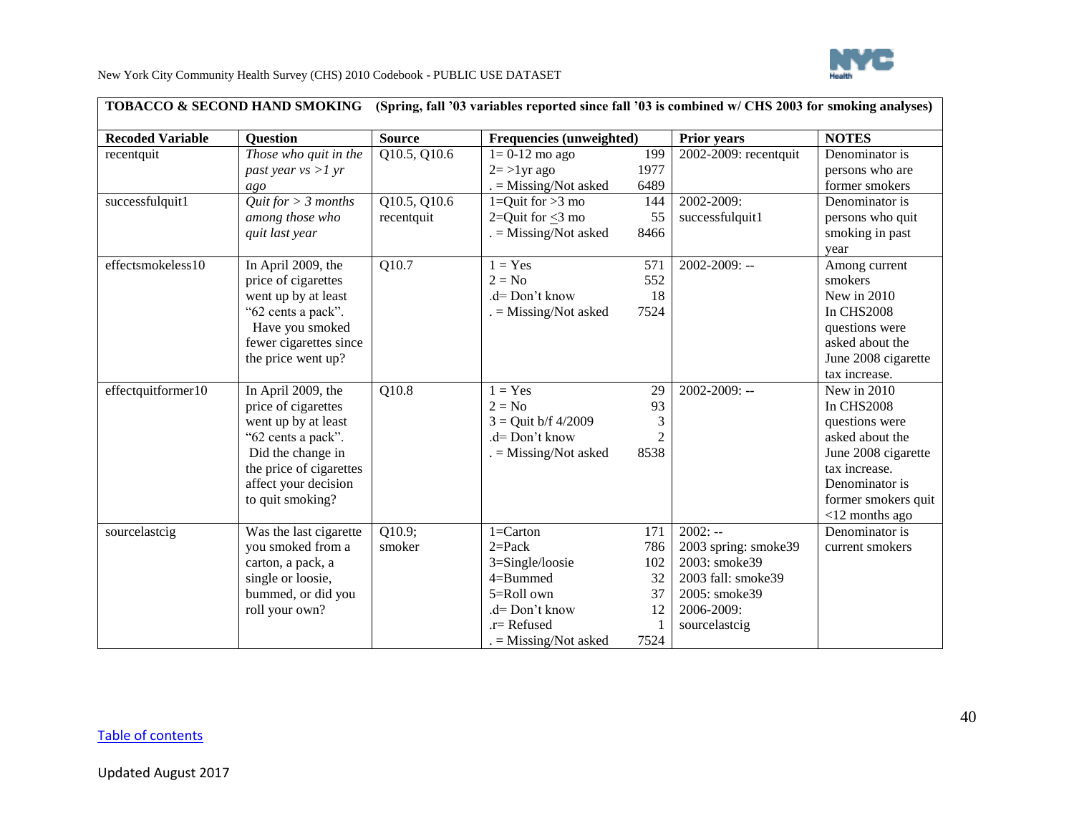

| <b>Recoded Variable</b> | <b>Question</b>                                                                                                                                                                    | <b>Source</b>                  | Frequencies (unweighted)                                                                                                                 |                                             | <b>Prior years</b>                                                                                                       | <b>NOTES</b>                                                                                                                                                                |
|-------------------------|------------------------------------------------------------------------------------------------------------------------------------------------------------------------------------|--------------------------------|------------------------------------------------------------------------------------------------------------------------------------------|---------------------------------------------|--------------------------------------------------------------------------------------------------------------------------|-----------------------------------------------------------------------------------------------------------------------------------------------------------------------------|
| recentquit              | Those who quit in the<br>past year $vs >l yr$<br>ago                                                                                                                               | Q10.5, Q10.6                   | $1=0-12$ mo ago<br>$2 = >1$ yr ago<br>$=$ Missing/Not asked                                                                              | 199<br>1977<br>6489                         | 2002-2009: recentquit                                                                                                    | Denominator is<br>persons who are<br>former smokers                                                                                                                         |
| successfulquit1         | Quit for $> 3$ months<br>among those who<br>quit last year                                                                                                                         | Q10.5, Q10.6<br>recentquit     | 1=Quit for $>3$ mo<br>2=Quit for $\leq$ 3 mo<br>$=$ Missing/Not asked                                                                    | 144<br>55<br>8466                           | 2002-2009:<br>successfulquit1                                                                                            | Denominator is<br>persons who quit<br>smoking in past<br>year                                                                                                               |
| effectsmokeless10       | In April 2009, the<br>price of cigarettes<br>went up by at least<br>"62 cents a pack".<br>Have you smoked<br>fewer cigarettes since<br>the price went up?                          | $\overline{Q10.7}$             | $1 = Yes$<br>$2 = No$<br>.d= Don't know<br>$=$ Missing/Not asked                                                                         | 571<br>552<br>18<br>7524                    | $2002 - 2009$ : --                                                                                                       | Among current<br>smokers<br>New in 2010<br><b>In CHS2008</b><br>questions were<br>asked about the<br>June 2008 cigarette<br>tax increase.                                   |
| effectquitformer10      | In April 2009, the<br>price of cigarettes<br>went up by at least<br>"62 cents a pack".<br>Did the change in<br>the price of cigarettes<br>affect your decision<br>to quit smoking? | $\overline{Q10.8}$             | $1 = Yes$<br>$2 = No$<br>$3 =$ Quit b/f 4/2009<br>.d= Don't know<br>$=$ Missing/Not asked                                                | 29<br>93<br>3<br>$\mathfrak{D}$<br>8538     | $2002 - 2009$ : --                                                                                                       | New in 2010<br><b>In CHS2008</b><br>questions were<br>asked about the<br>June 2008 cigarette<br>tax increase.<br>Denominator is<br>former smokers quit<br>$<$ 12 months ago |
| sourcelastcig           | Was the last cigarette<br>you smoked from a<br>carton, a pack, a<br>single or loosie,<br>bummed, or did you<br>roll your own?                                                      | $\overline{Q10.9}$ ;<br>smoker | $1 =$ Carton<br>$2 = Pack$<br>3=Single/loosie<br>$4 = B$ ummed<br>5=Roll own<br>.d= Don't know<br>.r= Refused<br>$. =$ Missing/Not asked | 171<br>786<br>102<br>32<br>37<br>12<br>7524 | $2002: -$<br>2003 spring: smoke39<br>2003: smoke39<br>2003 fall: smoke39<br>2005: smoke39<br>2006-2009:<br>sourcelastcig | Denominator is<br>current smokers                                                                                                                                           |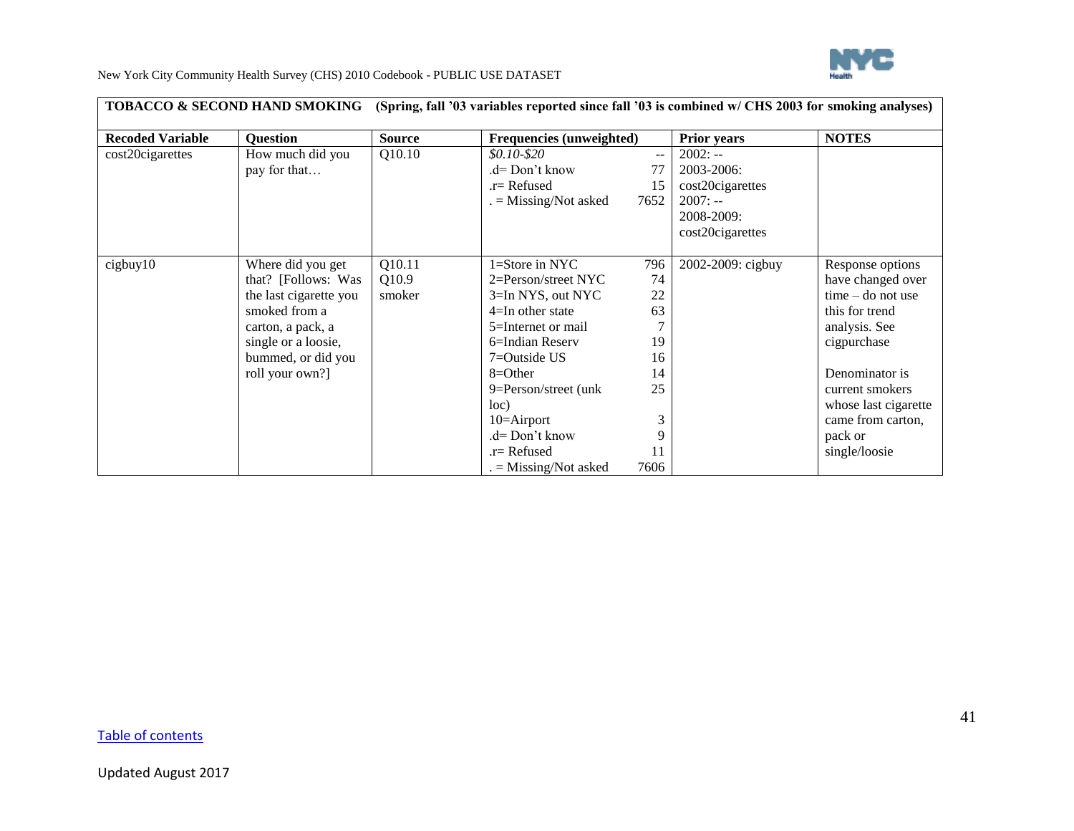

|                         | <b>TOBACCO &amp; SECOND HAND SMOKING</b>                                                                                                                                 |                           | (Spring, fall '03 variables reported since fall '03 is combined w/ CHS 2003 for smoking analyses)                                                                                                                                                                                     |                                                       |                                                                                            |                                                                                                                                                                                                                              |
|-------------------------|--------------------------------------------------------------------------------------------------------------------------------------------------------------------------|---------------------------|---------------------------------------------------------------------------------------------------------------------------------------------------------------------------------------------------------------------------------------------------------------------------------------|-------------------------------------------------------|--------------------------------------------------------------------------------------------|------------------------------------------------------------------------------------------------------------------------------------------------------------------------------------------------------------------------------|
| <b>Recoded Variable</b> | <b>Question</b>                                                                                                                                                          | <b>Source</b>             | Frequencies (unweighted)                                                                                                                                                                                                                                                              |                                                       | <b>Prior years</b>                                                                         | <b>NOTES</b>                                                                                                                                                                                                                 |
| cost20cigarettes        | How much did you<br>pay for that                                                                                                                                         | Q10.10                    | $$0.10 - $20$<br>.d= Don't know<br>.r= Refused<br>$=$ Missing/Not asked                                                                                                                                                                                                               | 77<br>15<br>7652                                      | $2002: -$<br>2003-2006:<br>cost20cigarettes<br>$2007: -$<br>2008-2009:<br>cost20cigarettes |                                                                                                                                                                                                                              |
| cigbuy10                | Where did you get<br>that? [Follows: Was<br>the last cigarette you<br>smoked from a<br>carton, a pack, a<br>single or a loosie,<br>bummed, or did you<br>roll your own?] | Q10.11<br>Q10.9<br>smoker | $1 =$ Store in NYC<br>$2 = Person/street NYC$<br>$3=In NYS$ , out NYC<br>$4=$ In other state<br>5=Internet or mail<br>6=Indian Reserv<br>$7 =$ Outside US<br>$8 = Other$<br>9=Person/street (unk)<br>loc)<br>$10 =$ Airport<br>.d= Don't know<br>.r= Refused<br>$=$ Missing/Not asked | 796<br>74<br>22<br>63<br>19<br>16<br>14<br>25<br>7606 | 2002-2009: cigbuy                                                                          | Response options<br>have changed over<br>$time - do not use$<br>this for trend<br>analysis. See<br>cigpurchase<br>Denominator is<br>current smokers<br>whose last cigarette<br>came from carton,<br>pack or<br>single/loosie |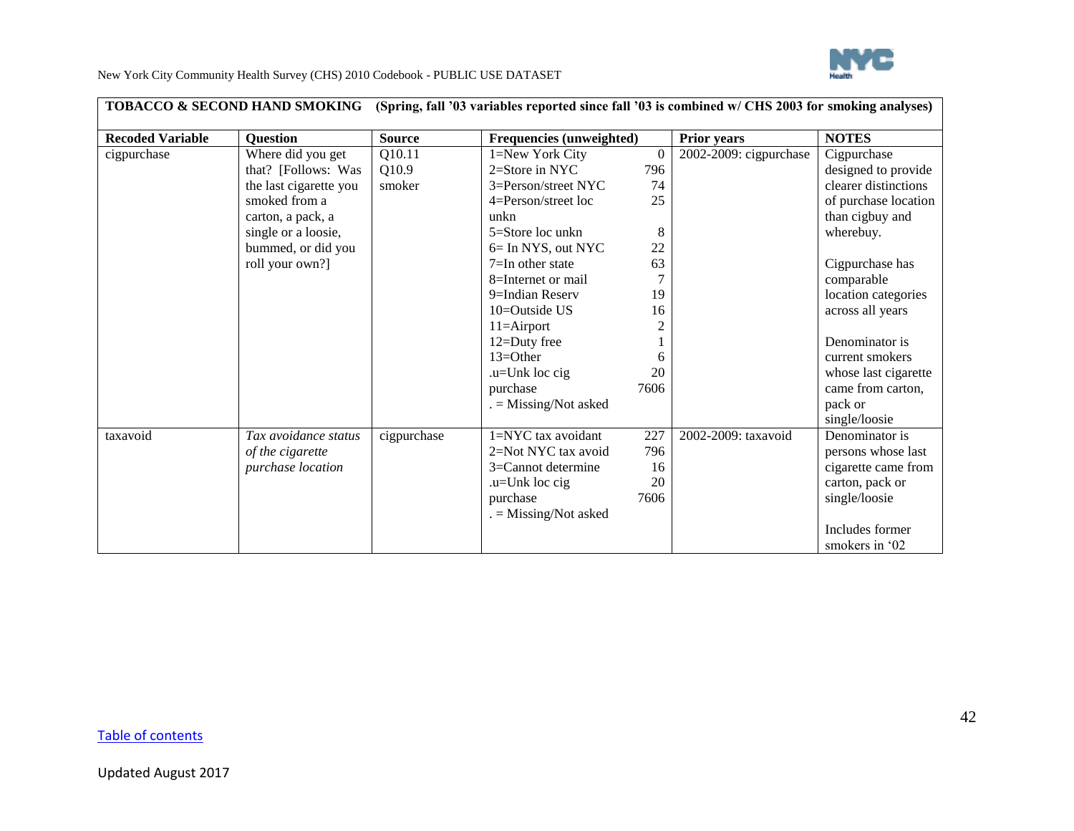

|                         | <b>TOBACCO &amp; SECOND HAND SMOKING</b> |               | (Spring, fall '03 variables reported since fall '03 is combined w/ CHS 2003 for smoking analyses) |                |                        |                      |
|-------------------------|------------------------------------------|---------------|---------------------------------------------------------------------------------------------------|----------------|------------------------|----------------------|
| <b>Recoded Variable</b> | <b>Ouestion</b>                          | <b>Source</b> | <b>Frequencies (unweighted)</b>                                                                   |                | <b>Prior years</b>     | <b>NOTES</b>         |
| cigpurchase             | Where did you get                        | Q10.11        | 1=New York City                                                                                   | $\theta$       | 2002-2009: cigpurchase | Cigpurchase          |
|                         | that? [Follows: Was                      | Q10.9         | $2=$ Store in NYC                                                                                 | 796            |                        | designed to provide  |
|                         | the last cigarette you                   | smoker        | 3=Person/street NYC                                                                               | 74             |                        | clearer distinctions |
|                         | smoked from a                            |               | $4 =$ Person/street loc                                                                           | 25             |                        | of purchase location |
|                         | carton, a pack, a                        |               | unkn                                                                                              |                |                        | than cigbuy and      |
|                         | single or a loosie,                      |               | $5 =$ Store loc unkn                                                                              | 8              |                        | wherebuy.            |
|                         | bummed, or did you                       |               | 6= In NYS, out NYC                                                                                | 22             |                        |                      |
|                         | roll your own?]                          |               | $7=$ In other state                                                                               | 63             |                        | Cigpurchase has      |
|                         |                                          |               | 8=Internet or mail                                                                                |                |                        | comparable           |
|                         |                                          |               | 9=Indian Reserv                                                                                   | 19             |                        | location categories  |
|                         |                                          |               | $10 =$ Outside US                                                                                 | 16             |                        | across all years     |
|                         |                                          |               | $11 =$ Airport                                                                                    | $\mathfrak{2}$ |                        |                      |
|                         |                                          |               | 12=Duty free                                                                                      |                |                        | Denominator is       |
|                         |                                          |               | $13 = Other$                                                                                      | 6              |                        | current smokers      |
|                         |                                          |               | .u=Unk loc cig                                                                                    | 20             |                        | whose last cigarette |
|                         |                                          |               | purchase                                                                                          | 7606           |                        | came from carton,    |
|                         |                                          |               | $=$ Missing/Not asked                                                                             |                |                        | pack or              |
|                         |                                          |               |                                                                                                   |                |                        | single/loosie        |
| taxavoid                | Tax avoidance status                     | cigpurchase   | 1=NYC tax avoidant                                                                                | 227            | 2002-2009: taxavoid    | Denominator is       |
|                         | of the cigarette                         |               | 2=Not NYC tax avoid                                                                               | 796            |                        | persons whose last   |
|                         | purchase location                        |               | 3=Cannot determine                                                                                | 16             |                        | cigarette came from  |
|                         |                                          |               | .u=Unk loc cig                                                                                    | 20             |                        | carton, pack or      |
|                         |                                          |               | purchase                                                                                          | 7606           |                        | single/loosie        |
|                         |                                          |               | $=$ Missing/Not asked                                                                             |                |                        |                      |
|                         |                                          |               |                                                                                                   |                |                        | Includes former      |
|                         |                                          |               |                                                                                                   |                |                        | smokers in '02       |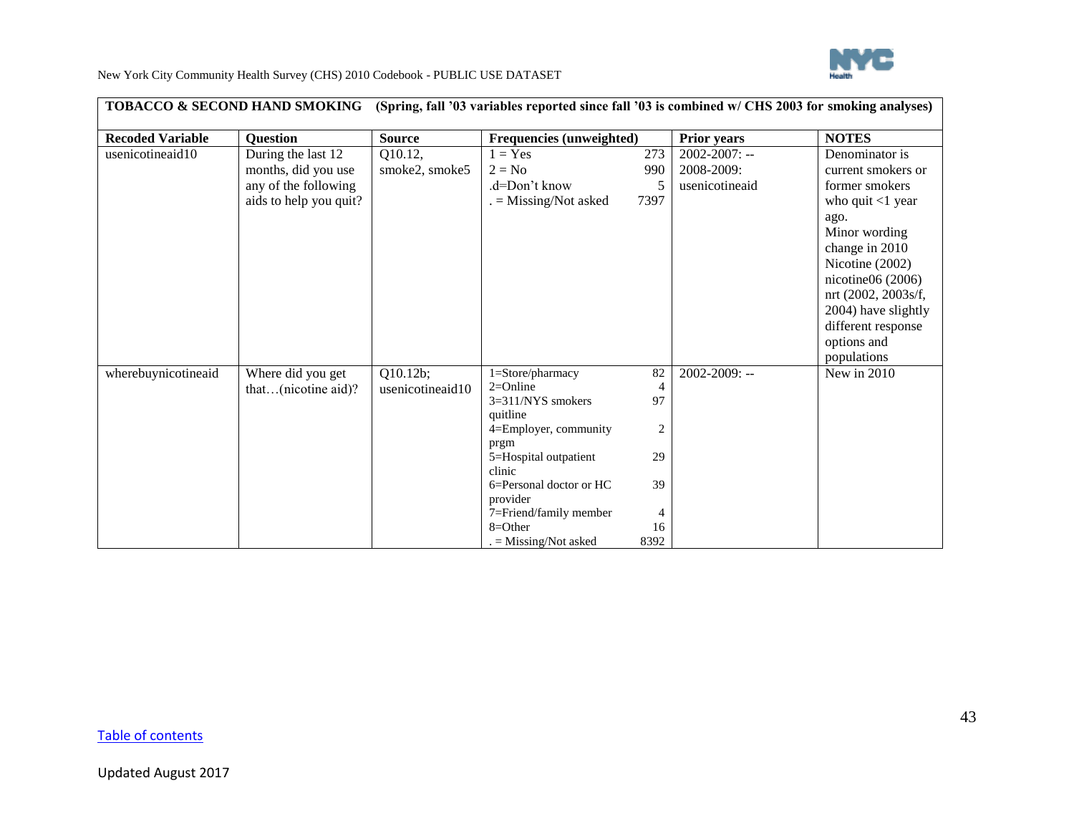

|                         | TOBACCO & SECOND HAND SMOKING                                                               |                              | (Spring, fall '03 variables reported since fall '03 is combined w/ CHS 2003 for smoking analyses)                                                                                                                                              |                                                                |                                                    |                                                                                                                                                                                                                                                                      |
|-------------------------|---------------------------------------------------------------------------------------------|------------------------------|------------------------------------------------------------------------------------------------------------------------------------------------------------------------------------------------------------------------------------------------|----------------------------------------------------------------|----------------------------------------------------|----------------------------------------------------------------------------------------------------------------------------------------------------------------------------------------------------------------------------------------------------------------------|
| <b>Recoded Variable</b> | <b>Ouestion</b>                                                                             | <b>Source</b>                | Frequencies (unweighted)                                                                                                                                                                                                                       |                                                                | <b>Prior years</b>                                 | <b>NOTES</b>                                                                                                                                                                                                                                                         |
| usenicotineaid10        | During the last 12<br>months, did you use<br>any of the following<br>aids to help you quit? | Q10.12,<br>smoke2, smoke5    | $1 = Yes$<br>$2 = No$<br>.d=Don't know<br>$=$ Missing/Not asked                                                                                                                                                                                | 273<br>990<br>7397                                             | $2002 - 2007$ : --<br>2008-2009:<br>usenicotineaid | Denominator is<br>current smokers or<br>former smokers<br>who quit $<$ 1 year<br>ago.<br>Minor wording<br>change in 2010<br>Nicotine (2002)<br>nicotine $06(2006)$<br>nrt (2002, 2003s/f,<br>2004) have slightly<br>different response<br>options and<br>populations |
| wherebuynicotineaid     | Where did you get<br>that $(nicotine aid)$ ?                                                | Q10.12b;<br>usenicotineaid10 | 1=Store/pharmacy<br>$2=Online$<br>$3=311/NYS$ smokers<br>quitline<br>4=Employer, community<br>prgm<br>5=Hospital outpatient<br>clinic<br>6=Personal doctor or HC<br>provider<br>7=Friend/family member<br>$8 = Other$<br>$=$ Missing/Not asked | 82<br>$\overline{4}$<br>97<br>2<br>29<br>39<br>4<br>16<br>8392 | 2002-2009: --                                      | New in 2010                                                                                                                                                                                                                                                          |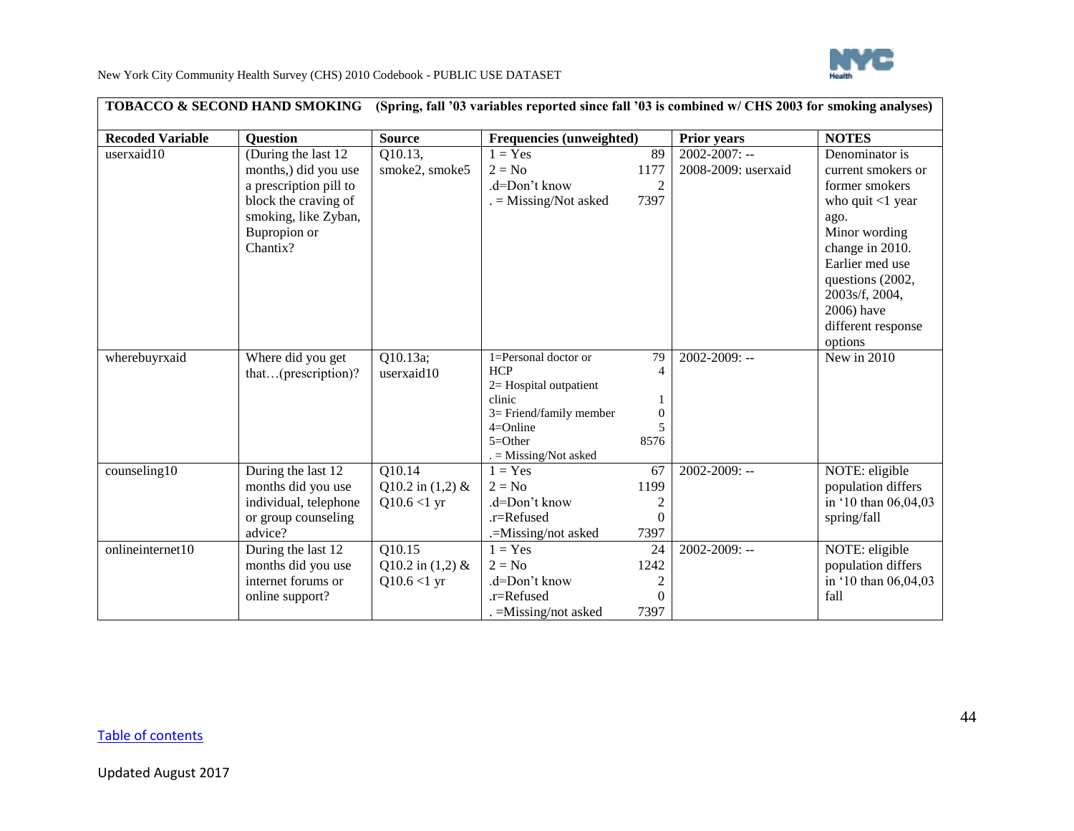

|                         | <b>TOBACCO &amp; SECOND HAND SMOKING</b>                                                                                                           |                                                        | (Spring, fall '03 variables reported since fall '03 is combined w/ CHS 2003 for smoking analyses)                                                     |                                      |                                           |                                                                                                                                                                                                                                   |
|-------------------------|----------------------------------------------------------------------------------------------------------------------------------------------------|--------------------------------------------------------|-------------------------------------------------------------------------------------------------------------------------------------------------------|--------------------------------------|-------------------------------------------|-----------------------------------------------------------------------------------------------------------------------------------------------------------------------------------------------------------------------------------|
| <b>Recoded Variable</b> | <b>Question</b>                                                                                                                                    | <b>Source</b>                                          | Frequencies (unweighted)                                                                                                                              |                                      | <b>Prior years</b>                        | <b>NOTES</b>                                                                                                                                                                                                                      |
| userxaid10              | (During the last 12)<br>months,) did you use<br>a prescription pill to<br>block the craving of<br>smoking, like Zyban,<br>Bupropion or<br>Chantix? | Q10.13,<br>smoke2, smoke5                              | $1 = Yes$<br>$2 = No$<br>.d=Don't know<br>$=$ Missing/Not asked                                                                                       | 89<br>1177<br>$\overline{c}$<br>7397 | $2002 - 2007$ : --<br>2008-2009: userxaid | Denominator is<br>current smokers or<br>former smokers<br>who quit $<$ 1 year<br>ago.<br>Minor wording<br>change in 2010.<br>Earlier med use<br>questions (2002,<br>2003s/f, 2004,<br>2006) have<br>different response<br>options |
| wherebuyrxaid           | Where did you get<br>that(prescription)?                                                                                                           | Q10.13a;<br>userxaid10                                 | 1=Personal doctor or<br><b>HCP</b><br>2= Hospital outpatient<br>clinic<br>3= Friend/family member<br>$4=Online$<br>$5=Other$<br>$=$ Missing/Not asked | 79<br>$\Omega$<br>8576               | 2002-2009: --                             | New in 2010                                                                                                                                                                                                                       |
| counseling10            | During the last 12<br>months did you use<br>individual, telephone<br>or group counseling<br>advice?                                                | Q10.14<br>Q10.2 in $(1,2)$ &<br>$Q10.6 < 1 \text{ yr}$ | $1 = Yes$<br>$2 = No$<br>.d=Don't know<br>.r=Refused<br>.=Missing/not asked                                                                           | 67<br>1199<br>2<br>$\Omega$<br>7397  | $2002 - 2009$ : --                        | NOTE: eligible<br>population differs<br>in '10 than 06,04,03<br>spring/fall                                                                                                                                                       |
| onlineinternet10        | During the last 12<br>months did you use<br>internet forums or<br>online support?                                                                  | Q10.15<br>Q10.2 in $(1,2)$ &<br>$Q10.6 < 1$ yr         | $1 = Yes$<br>$2 = No$<br>.d=Don't know<br>.r=Refused<br>$. =$ Missing/not asked                                                                       | 24<br>1242<br>2<br>$\Omega$<br>7397  | $2002 - 2009$ : --                        | NOTE: eligible<br>population differs<br>in '10 than 06,04,03<br>fall                                                                                                                                                              |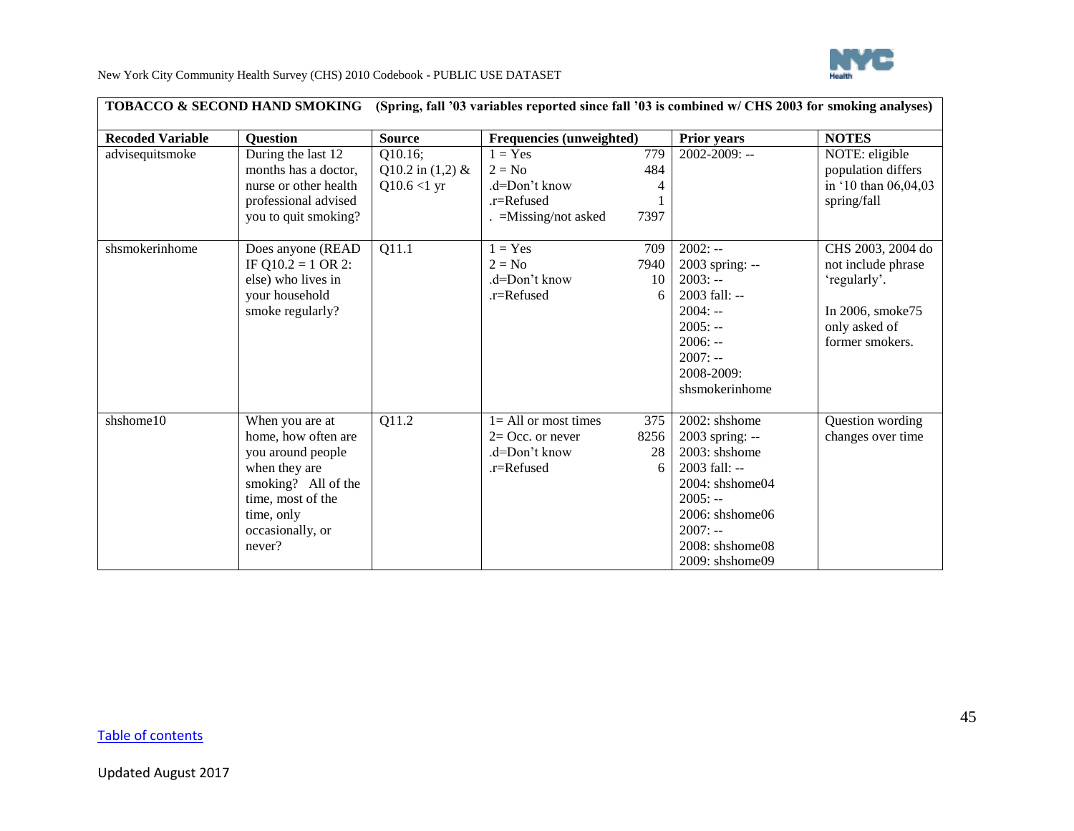

|                         | <b>TOBACCO &amp; SECOND HAND SMOKING</b>                                                                                                                             | (Spring, fall '03 variables reported since fall '03 is combined w/ CHS 2003 for smoking analyses) |                                                                                  |                         |                                                                                                                                                                                                    |                                                                                                                 |
|-------------------------|----------------------------------------------------------------------------------------------------------------------------------------------------------------------|---------------------------------------------------------------------------------------------------|----------------------------------------------------------------------------------|-------------------------|----------------------------------------------------------------------------------------------------------------------------------------------------------------------------------------------------|-----------------------------------------------------------------------------------------------------------------|
| <b>Recoded Variable</b> | <b>Ouestion</b>                                                                                                                                                      | <b>Source</b>                                                                                     | Frequencies (unweighted)                                                         |                         | <b>Prior years</b>                                                                                                                                                                                 | <b>NOTES</b>                                                                                                    |
| advisequitsmoke         | During the last 12<br>months has a doctor,<br>nurse or other health<br>professional advised<br>you to quit smoking?                                                  | Q10.16;<br>Q10.2 in $(1,2)$ &<br>$Q10.6 < 1$ yr                                                   | $1 = Yes$<br>$2 = No$<br>.d=Don't know<br>$r =$ Refused<br>$=$ Missing/not asked | 779<br>484<br>4<br>7397 | 2002-2009: --                                                                                                                                                                                      | NOTE: eligible<br>population differs<br>in '10 than 06,04,03<br>spring/fall                                     |
| shsmokerinhome          | Does anyone (READ<br>IF Q10.2 = 1 OR 2:<br>else) who lives in<br>your household<br>smoke regularly?                                                                  | $\overline{Q11.1}$                                                                                | $1 = Yes$<br>$2 = No$<br>$d=Don't know$<br>.r=Refused                            | 709<br>7940<br>10<br>6  | $2002: -$<br>2003 spring: --<br>$2003: -$<br>$2003$ fall: --<br>$2004: -$<br>$2005: -$<br>$2006: -$<br>$2007: -$<br>2008-2009:<br>shsmokerinhome                                                   | CHS 2003, 2004 do<br>not include phrase<br>'regularly'.<br>In 2006, smoke75<br>only asked of<br>former smokers. |
| shshome10               | When you are at<br>home, how often are<br>you around people<br>when they are<br>smoking? All of the<br>time, most of the<br>time, only<br>occasionally, or<br>never? | Q11.2                                                                                             | $l = All or most times$<br>$2=$ Occ. or never<br>.d=Don't know<br>.r=Refused     | 375<br>8256<br>28<br>6  | $2002$ : shshome<br>2003 spring: --<br>2003: shshome<br>2003 fall: --<br>$2004$ : shshome $04$<br>$2005: -$<br>$2006$ : shshome $06$<br>$2007: -$<br>$2008$ : shshome $08$<br>$2009:$ shshome $09$ | Question wording<br>changes over time                                                                           |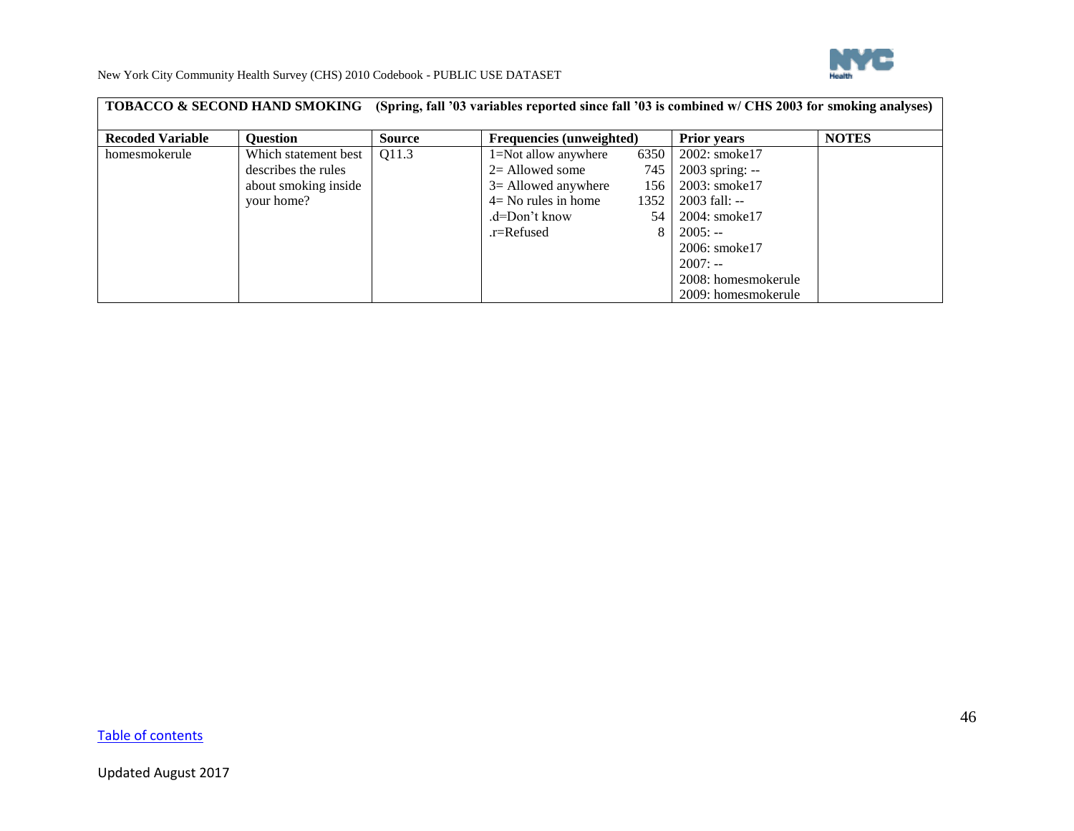

|                         | <b>TOBACCO &amp; SECOND HAND SMOKING</b> | (Spring, fall '03 variables reported since fall '03 is combined w/ CHS 2003 for smoking analyses) |                                 |       |                     |              |
|-------------------------|------------------------------------------|---------------------------------------------------------------------------------------------------|---------------------------------|-------|---------------------|--------------|
| <b>Recoded Variable</b> | <b>Ouestion</b>                          | <b>Source</b>                                                                                     | <b>Frequencies (unweighted)</b> |       | <b>Prior years</b>  | <b>NOTES</b> |
| homesmokerule           | Which statement best                     | Q11.3                                                                                             | 1=Not allow anywhere            | 6350  | 2002: smoke17       |              |
|                         | describes the rules                      |                                                                                                   | $2=$ Allowed some               | 745 I | $2003$ spring: $-$  |              |
|                         | about smoking inside                     |                                                                                                   | $3 =$ Allowed anywhere          | 156   | 2003: smoke17       |              |
|                         | your home?                               |                                                                                                   | $4 = No$ rules in home          | 1352  | $2003$ fall: --     |              |
|                         |                                          |                                                                                                   | .d=Don't know                   | 54 l  | 2004: smoke17       |              |
|                         |                                          |                                                                                                   | $r =$ Refused                   |       | $2005: -$           |              |
|                         |                                          |                                                                                                   |                                 |       | 2006: smoke17       |              |
|                         |                                          |                                                                                                   |                                 |       | $2007: -$           |              |
|                         |                                          |                                                                                                   |                                 |       | 2008: homesmokerule |              |
|                         |                                          |                                                                                                   |                                 |       | 2009: homesmokerule |              |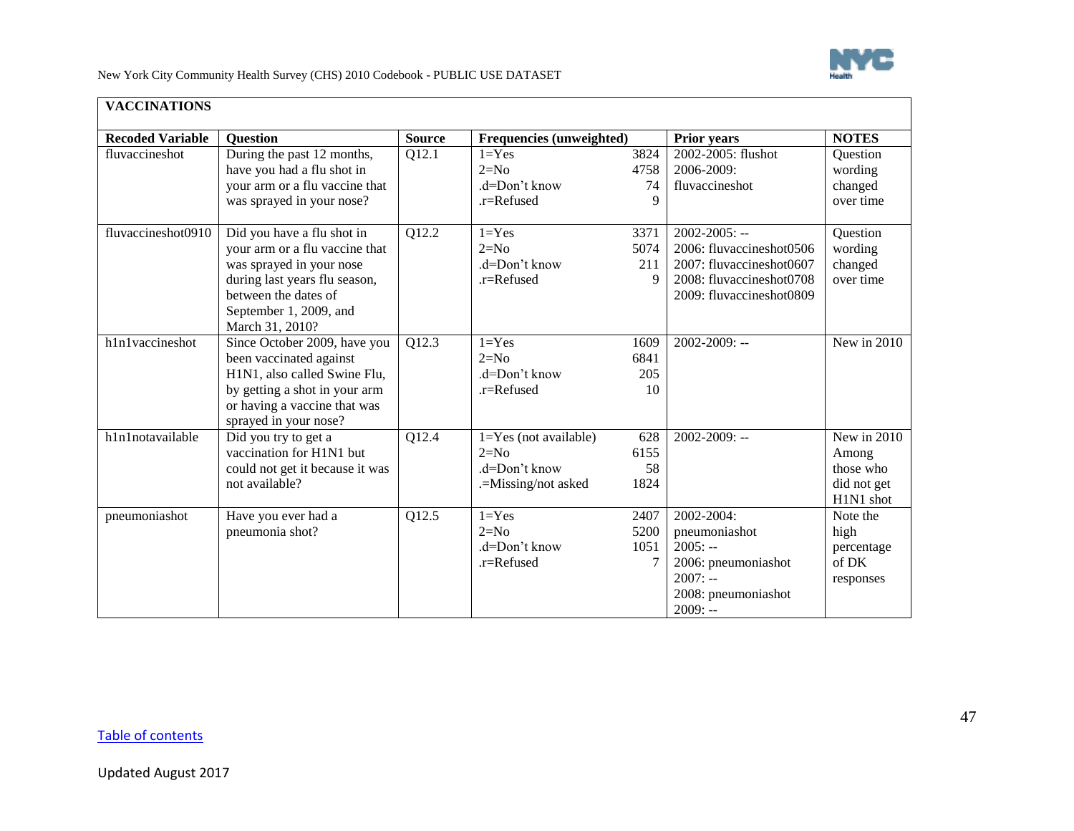

<span id="page-46-0"></span>

| <b>VACCINATIONS</b>     |                                                                                                                                                                                                |               |                                                                             |                                    |                                                                                                                                    |                                                                 |
|-------------------------|------------------------------------------------------------------------------------------------------------------------------------------------------------------------------------------------|---------------|-----------------------------------------------------------------------------|------------------------------------|------------------------------------------------------------------------------------------------------------------------------------|-----------------------------------------------------------------|
| <b>Recoded Variable</b> | <b>Question</b>                                                                                                                                                                                | <b>Source</b> | <b>Frequencies (unweighted)</b>                                             |                                    | <b>Prior years</b>                                                                                                                 | <b>NOTES</b>                                                    |
| fluvaccineshot          | During the past 12 months,<br>have you had a flu shot in<br>your arm or a flu vaccine that<br>was sprayed in your nose?                                                                        | Q12.1         | $1 = Yes$<br>$2=N0$<br>.d=Don't know<br>.r=Refused                          | 3824<br>4758<br>74<br>9            | 2002-2005: flushot<br>2006-2009:<br>fluvaccineshot                                                                                 | Question<br>wording<br>changed<br>over time                     |
| fluvaccineshot0910      | Did you have a flu shot in<br>your arm or a flu vaccine that<br>was sprayed in your nose<br>during last years flu season,<br>between the dates of<br>September 1, 2009, and<br>March 31, 2010? | Q12.2         | $1 = Yes$<br>$2=N0$<br>.d=Don't know<br>.r=Refused                          | 3371<br>5074<br>211<br>$\mathbf Q$ | $2002 - 2005$ : --<br>2006: fluvaccineshot0506<br>2007: fluvaccineshot0607<br>2008: fluvaccineshot0708<br>2009: fluvaccineshot0809 | Question<br>wording<br>changed<br>over time                     |
| h1n1vaccineshot         | Since October 2009, have you<br>been vaccinated against<br>H1N1, also called Swine Flu,<br>by getting a shot in your arm<br>or having a vaccine that was<br>sprayed in your nose?              | Q12.3         | $1 = Yes$<br>$2=N0$<br>.d=Don't know<br>.r=Refused                          | 1609<br>6841<br>205<br>10          | 2002-2009: --                                                                                                                      | New in 2010                                                     |
| h1n1notavailable        | Did you try to get a<br>vaccination for H1N1 but<br>could not get it because it was<br>not available?                                                                                          | Q12.4         | $1 = Yes$ (not available)<br>$2=N0$<br>.d=Don't know<br>.=Missing/not asked | 628<br>6155<br>58<br>1824          | $2002 - 2009$ : --                                                                                                                 | New in $2010$<br>Among<br>those who<br>did not get<br>H1N1 shot |
| pneumoniashot           | Have you ever had a<br>pneumonia shot?                                                                                                                                                         | Q12.5         | $1 = Yes$<br>$2=N0$<br>.d=Don't know<br>.r=Refused                          | 2407<br>5200<br>1051               | 2002-2004:<br>pneumoniashot<br>$2005: -$<br>2006: pneumoniashot<br>$2007: -$<br>2008: pneumoniashot<br>$2009: -$                   | Note the<br>high<br>percentage<br>of DK<br>responses            |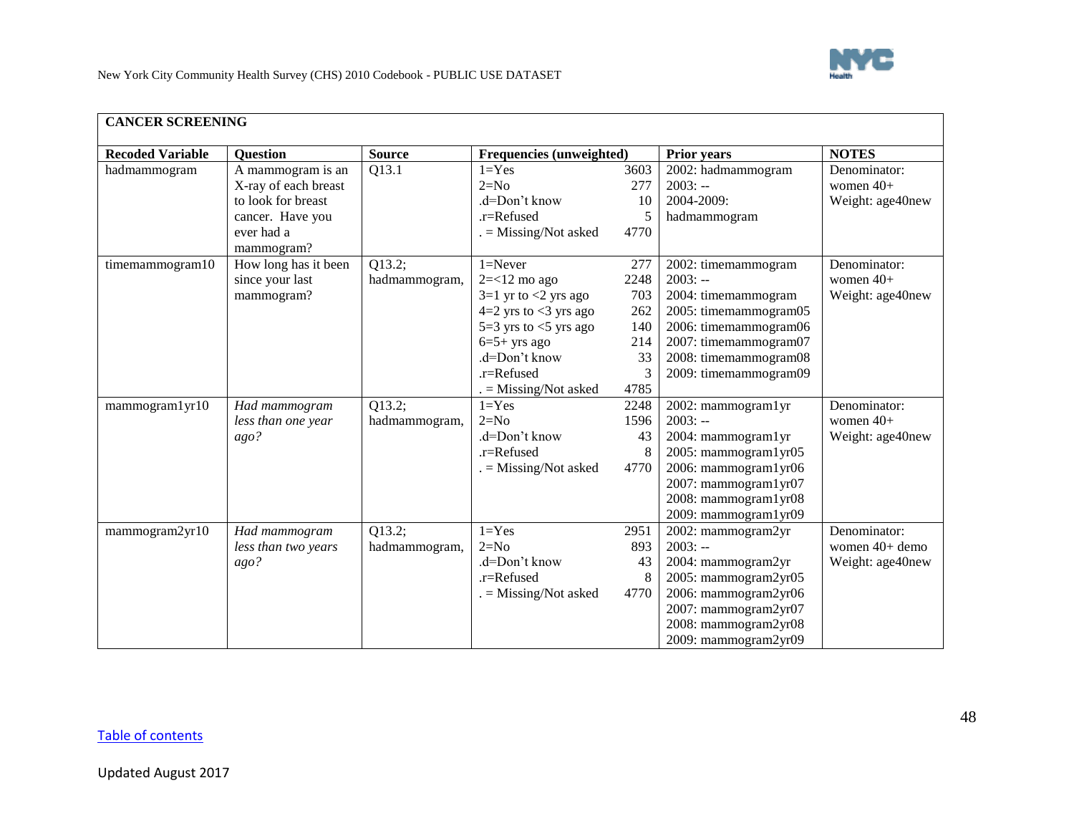

<span id="page-47-0"></span>

| <b>CANCER SCREENING</b> |                                                                                                   |                         |                                                                                                                                                                                               |                                                            |                                                                                                                                                                                      |                                                    |
|-------------------------|---------------------------------------------------------------------------------------------------|-------------------------|-----------------------------------------------------------------------------------------------------------------------------------------------------------------------------------------------|------------------------------------------------------------|--------------------------------------------------------------------------------------------------------------------------------------------------------------------------------------|----------------------------------------------------|
| <b>Recoded Variable</b> | <b>Question</b>                                                                                   | <b>Source</b>           | Frequencies (unweighted)                                                                                                                                                                      |                                                            | <b>Prior years</b>                                                                                                                                                                   | <b>NOTES</b>                                       |
| hadmammogram            | A mammogram is an<br>X-ray of each breast<br>to look for breast<br>cancer. Have you<br>ever had a | Q13.1                   | $1 = Yes$<br>$2=N0$<br>.d=Don't know<br>.r=Refused<br>$=$ Missing/Not asked                                                                                                                   | 3603<br>277<br>10<br>5<br>4770                             | 2002: hadmammogram<br>$2003: -$<br>2004-2009:<br>hadmammogram                                                                                                                        | Denominator:<br>women $40+$<br>Weight: age40new    |
| timemammogram10         | mammogram?<br>How long has it been<br>since your last<br>mammogram?                               | Q13.2;<br>hadmammogram, | $1 =$ Never<br>$2 = < 12$ mo ago<br>$3=1$ yr to $<2$ yrs ago<br>$4=2$ yrs to <3 yrs ago<br>5=3 yrs to $<$ 5 yrs ago<br>$6=5+$ yrs ago<br>.d=Don't know<br>.r=Refused<br>$=$ Missing/Not asked | 277<br>2248<br>703<br>262<br>140<br>214<br>33<br>3<br>4785 | 2002: timemammogram<br>$2003: -$<br>2004: timemammogram<br>2005: timemammogram05<br>2006: timemammogram06<br>2007: timemammogram07<br>2008: timemammogram08<br>2009: timemammogram09 | Denominator:<br>women $40+$<br>Weight: age40new    |
| mammogram1yr10          | Had mammogram<br>less than one year<br>ago?                                                       | Q13.2;<br>hadmammogram, | $1 = Yes$<br>$2=N0$<br>.d=Don't know<br>.r=Refused<br>$=$ Missing/Not asked                                                                                                                   | 2248<br>1596<br>43<br>4770                                 | 2002: mammogram1yr<br>$2003: -$<br>2004: mammogram1yr<br>2005: mammogram1yr05<br>2006: mammogram1yr06<br>2007: mammogram1yr07<br>2008: mammogram1yr08<br>2009: mammogram1yr09        | Denominator:<br>women $40+$<br>Weight: age40new    |
| mammogram2yr10          | Had mammogram<br>less than two years<br>ago?                                                      | Q13.2;<br>hadmammogram, | $1 = Yes$<br>$2=N0$<br>.d=Don't know<br>$r =$ Refused<br>$=$ Missing/Not asked                                                                                                                | 2951<br>893<br>43<br>8<br>4770                             | 2002: mammogram2yr<br>$2003: -$<br>2004: mammogram2yr<br>2005: mammogram2yr05<br>2006: mammogram2yr06<br>2007: mammogram2yr07<br>2008: mammogram2yr08<br>2009: mammogram2yr09        | Denominator:<br>women 40+ demo<br>Weight: age40new |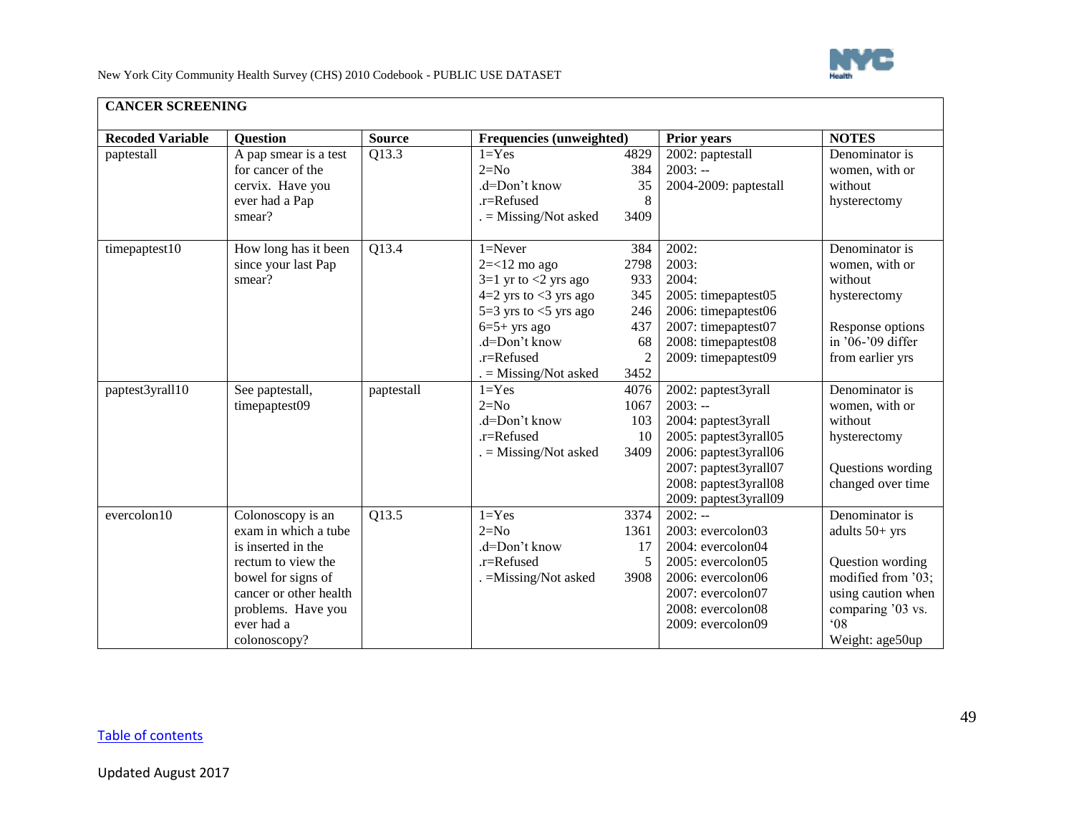

| <b>CANCER SCREENING</b> |                                                                                                                                                                                           |                    |                                                                                                                                                                                                  |                                                                         |                                                                                                                                                                                      |                                                                                                                                                            |
|-------------------------|-------------------------------------------------------------------------------------------------------------------------------------------------------------------------------------------|--------------------|--------------------------------------------------------------------------------------------------------------------------------------------------------------------------------------------------|-------------------------------------------------------------------------|--------------------------------------------------------------------------------------------------------------------------------------------------------------------------------------|------------------------------------------------------------------------------------------------------------------------------------------------------------|
| <b>Recoded Variable</b> | <b>Question</b>                                                                                                                                                                           | <b>Source</b>      | Frequencies (unweighted)                                                                                                                                                                         |                                                                         | <b>Prior years</b>                                                                                                                                                                   | <b>NOTES</b>                                                                                                                                               |
| paptestall              | A pap smear is a test<br>for cancer of the<br>cervix. Have you<br>ever had a Pap<br>smear?                                                                                                | $Q1\overline{3.3}$ | $1 = Yes$<br>$2=N0$<br>.d=Don't know<br>.r=Refused<br>$=$ Missing/Not asked                                                                                                                      | 4829<br>384<br>35<br>8<br>3409                                          | 2002: paptestall<br>$2003: -$<br>2004-2009: paptestall                                                                                                                               | Denominator is<br>women, with or<br>without<br>hysterectomy                                                                                                |
| timepaptest10           | How long has it been<br>since your last Pap<br>smear?                                                                                                                                     | $\overline{Q13.4}$ | $1 =$ Never<br>$2 = < 12$ mo ago<br>$3=1$ yr to $<2$ yrs ago<br>$4=2$ yrs to $<$ 3 yrs ago<br>5=3 yrs to $<$ 5 yrs ago<br>$6=5+$ yrs ago<br>.d=Don't know<br>.r=Refused<br>$=$ Missing/Not asked | 384<br>2798<br>933<br>345<br>246<br>437<br>68<br>$\overline{2}$<br>3452 | 2002:<br>2003:<br>2004:<br>2005: timepaptest05<br>2006: timepaptest06<br>2007: timepaptest07<br>2008: timepaptest08<br>2009: timepaptest09                                           | Denominator is<br>women, with or<br>without<br>hysterectomy<br>Response options<br>in '06-'09 differ<br>from earlier yrs                                   |
| paptest3yrall10         | See paptestall,<br>timepaptest09                                                                                                                                                          | paptestall         | $1 = Yes$<br>$2=N0$<br>.d=Don't know<br>.r=Refused<br>$=$ Missing/Not asked                                                                                                                      | 4076<br>1067<br>103<br>10<br>3409                                       | 2002: paptest3yrall<br>$2003: -$<br>2004: paptest3yrall<br>2005: paptest3yrall05<br>2006: paptest3yrall06<br>2007: paptest3yrall07<br>2008: paptest3yrall08<br>2009: paptest3yrall09 | Denominator is<br>women, with or<br>without<br>hysterectomy<br>Questions wording<br>changed over time                                                      |
| evercolon10             | Colonoscopy is an<br>exam in which a tube<br>is inserted in the<br>rectum to view the<br>bowel for signs of<br>cancer or other health<br>problems. Have you<br>ever had a<br>colonoscopy? | Q13.5              | $1 = Yes$<br>$2=N0$<br>.d=Don't know<br>$r =$ Refused<br>. = Missing/Not asked                                                                                                                   | 3374<br>1361<br>17<br>5<br>3908                                         | $2002: -$<br>2003: evercolon03<br>2004: evercolon04<br>2005: evercolon05<br>2006: evercolon06<br>2007: evercolon07<br>2008: evercolon08<br>2009: evercolon09                         | Denominator is<br>adults $50+$ yrs<br>Question wording<br>modified from '03;<br>using caution when<br>comparing '03 vs.<br>$^{\circ}08$<br>Weight: age50up |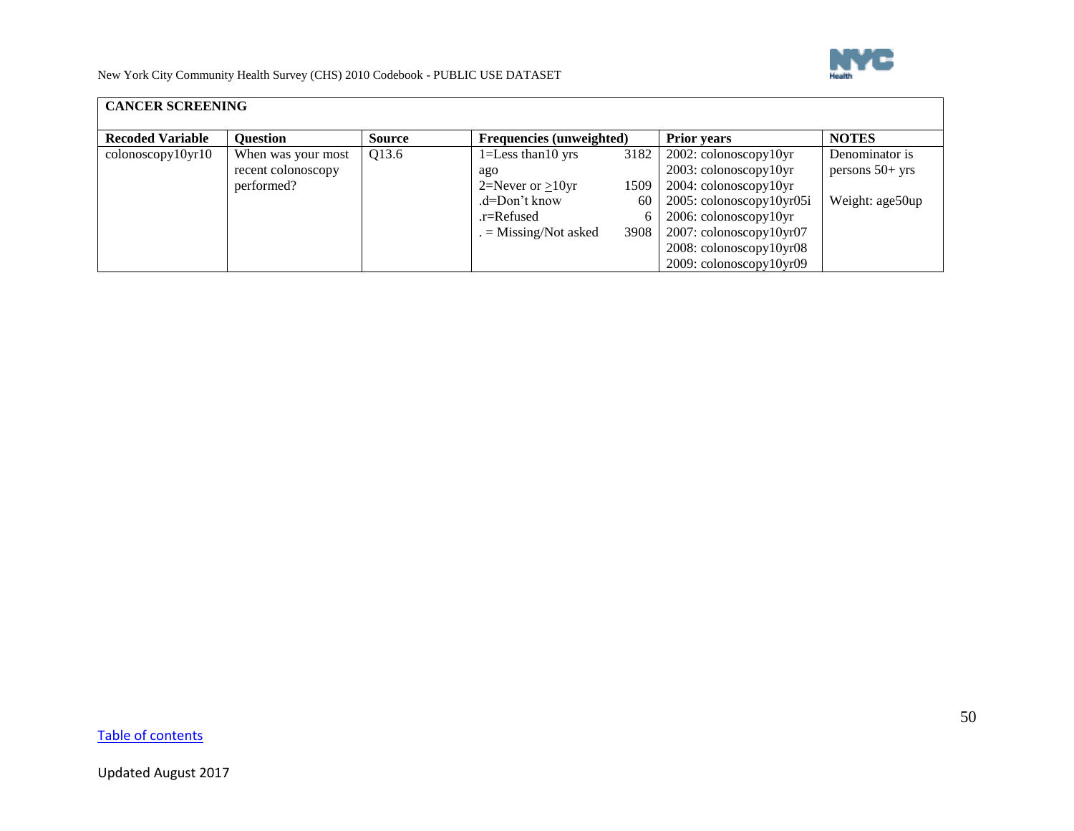

| <b>CANCER SCREENING</b> |                    |               |                                 |      |                                   |                   |
|-------------------------|--------------------|---------------|---------------------------------|------|-----------------------------------|-------------------|
| <b>Recoded Variable</b> | <b>Question</b>    | <b>Source</b> | <b>Frequencies (unweighted)</b> |      | <b>Prior years</b>                | <b>NOTES</b>      |
| colonoscopy10yr10       | When was your most | Q13.6         | $1 =$ Less than 10 yrs          | 3182 | $2002$ : colonoscopy $10yr$       | Denominator is    |
|                         | recent colonoscopy |               | ago                             |      | 2003: colonoscopy10yr             | persons $50+$ yrs |
|                         | performed?         |               | 2=Never or $>10$ yr             | 1509 | 2004: colonoscopy10yr             |                   |
|                         |                    |               | $d=Don't know$                  | 60   | 2005: colonoscopy10yr05i          | Weight: age50up   |
|                         |                    |               | $r =$ Refused                   | 6    | 2006: colonoscopy10yr             |                   |
|                         |                    |               | $=$ Missing/Not asked           | 3908 | $2007$ : colonoscopy $10$ yr $07$ |                   |
|                         |                    |               |                                 |      | 2008: colonoscopy10yr08           |                   |
|                         |                    |               |                                 |      | 2009: colonoscopy10yr09           |                   |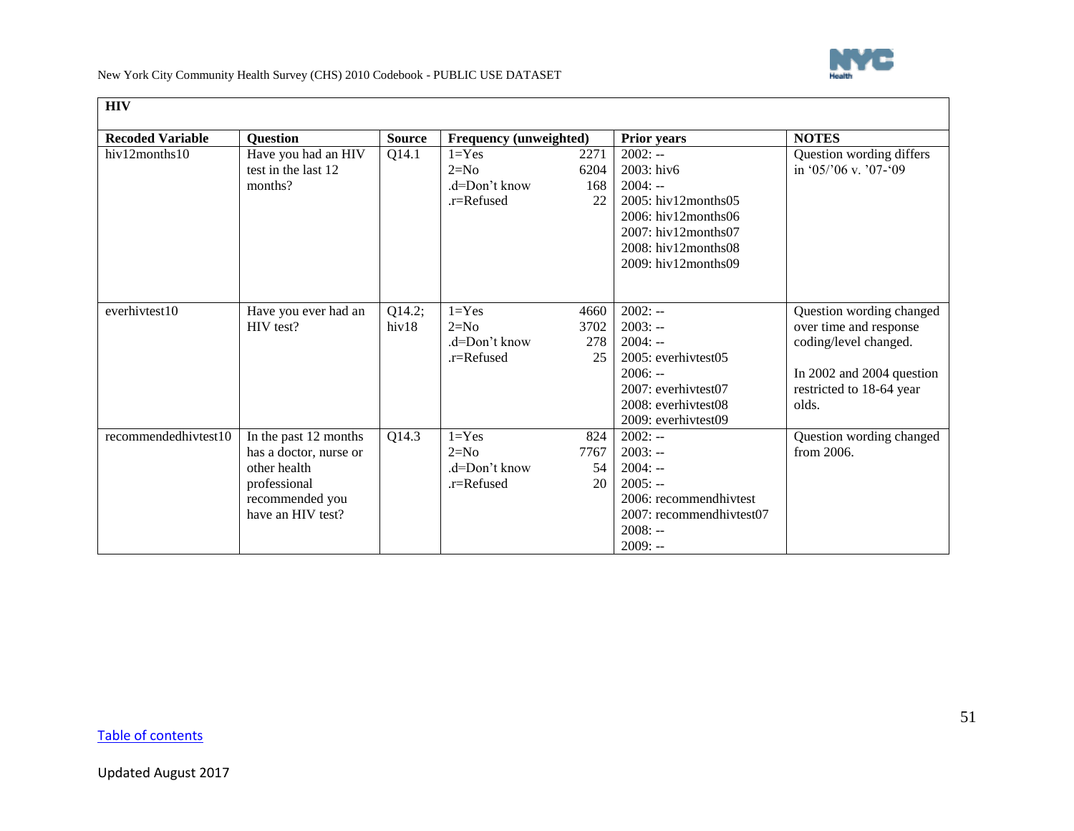

<span id="page-50-0"></span>

| <b>HIV</b>              |                        |               |                        |      |                          |                           |
|-------------------------|------------------------|---------------|------------------------|------|--------------------------|---------------------------|
| <b>Recoded Variable</b> | <b>Question</b>        | <b>Source</b> | Frequency (unweighted) |      | <b>Prior years</b>       | <b>NOTES</b>              |
| hiv12months10           | Have you had an HIV    | Q14.1         | $1 = Yes$              | 2271 | $2002: -$                | Question wording differs  |
|                         | test in the last 12    |               | $2=N0$                 | 6204 | 2003: hiv6               | in '05/'06 v. '07-'09     |
|                         | months?                |               | $d=Don't know$         | 168  | $2004: -$                |                           |
|                         |                        |               | .r=Refused             | 22   | 2005: hiv12months05      |                           |
|                         |                        |               |                        |      | $2006$ : hiv12months06   |                           |
|                         |                        |               |                        |      | 2007: hiv12months07      |                           |
|                         |                        |               |                        |      | 2008: hiv12months08      |                           |
|                         |                        |               |                        |      | $2009$ : hiv12months09   |                           |
|                         |                        |               |                        |      |                          |                           |
|                         |                        |               |                        |      |                          |                           |
| everhivtest10           | Have you ever had an   | Q14.2;        | $1 = Yes$              | 4660 | $2002: -$                | Question wording changed  |
|                         | HIV test?              | hiv18         | $2=N0$                 | 3702 | $2003: -$                | over time and response    |
|                         |                        |               | $d=Don't know$         | 278  | $2004: -$                | coding/level changed.     |
|                         |                        |               | .r=Refused             | 25   | 2005: everhivtest05      |                           |
|                         |                        |               |                        |      | $2006: -$                | In 2002 and 2004 question |
|                         |                        |               |                        |      | 2007: everhivtest07      | restricted to 18-64 year  |
|                         |                        |               |                        |      | 2008: everhivtest08      | olds.                     |
|                         |                        |               |                        |      | 2009: everhivtest09      |                           |
| recommendedhivtest10    | In the past 12 months  | Q14.3         | $1 = Yes$              | 824  | $2002: -$                | Question wording changed  |
|                         | has a doctor, nurse or |               | $2=N0$                 | 7767 | $2003: -$                | from 2006.                |
|                         | other health           |               | $d=Don't know$         | 54   | $2004: -$                |                           |
|                         | professional           |               | $r =$ Refused          | 20   | $2005: -$                |                           |
|                         | recommended you        |               |                        |      | 2006: recommendhivtest   |                           |
|                         | have an HIV test?      |               |                        |      | 2007: recommendhivtest07 |                           |
|                         |                        |               |                        |      | $2008: -$                |                           |
|                         |                        |               |                        |      | $2009: -$                |                           |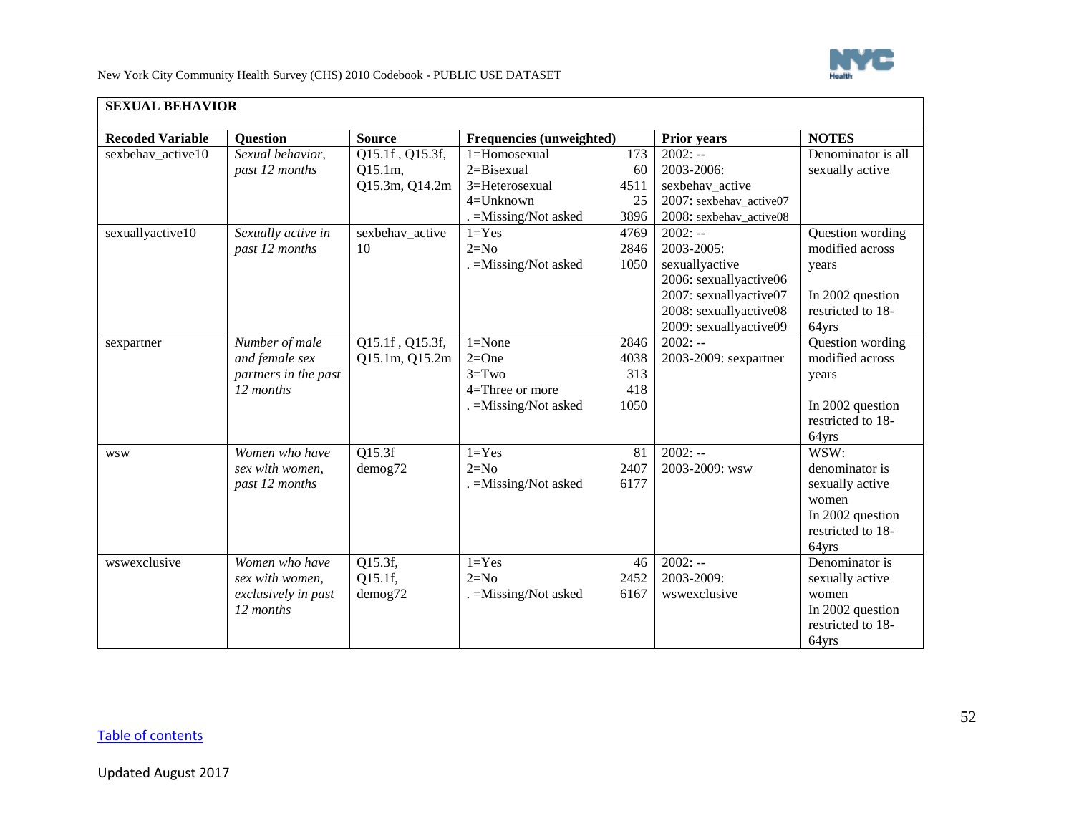

<span id="page-51-0"></span>

| <b>SEXUAL BEHAVIOR</b>  |                                                                       |                                              |                                                                                |                                    |                                                                                                                                                   |                                                                                                      |
|-------------------------|-----------------------------------------------------------------------|----------------------------------------------|--------------------------------------------------------------------------------|------------------------------------|---------------------------------------------------------------------------------------------------------------------------------------------------|------------------------------------------------------------------------------------------------------|
| <b>Recoded Variable</b> | <b>Question</b>                                                       | <b>Source</b>                                | <b>Frequencies (unweighted)</b>                                                |                                    | <b>Prior years</b>                                                                                                                                | <b>NOTES</b>                                                                                         |
| sexbehav active10       | Sexual behavior,<br>past 12 months                                    | Q15.1f, Q15.3f,<br>Q15.1m,<br>Q15.3m, Q14.2m | 1=Homosexual<br>$2 = Bisexual$<br>3=Heterosexual                               | 173<br>60<br>4511                  | $2002: -$<br>2003-2006:<br>sexbehav_active                                                                                                        | Denominator is all<br>sexually active                                                                |
|                         |                                                                       |                                              | $4 =$ Unknown<br>. = Missing/Not asked                                         | 25<br>3896                         | 2007: sexbehav_active07<br>2008: sexbehav_active08                                                                                                |                                                                                                      |
| sexuallyactive10        | Sexually active in<br>past 12 months                                  | sexbehav_active<br>10                        | $1 = Yes$<br>$2=N0$<br>. = Missing/Not asked                                   | 4769<br>2846<br>1050               | $2002: -$<br>2003-2005:<br>sexuallyactive<br>2006: sexuallyactive06<br>2007: sexuallyactive07<br>2008: sexuallyactive08<br>2009: sexuallyactive09 | Question wording<br>modified across<br>years<br>In 2002 question<br>restricted to 18-<br>64yrs       |
| sexpartner              | Number of male<br>and female sex<br>partners in the past<br>12 months | Q15.1f, Q15.3f,<br>Q15.1m, Q15.2m            | $1 = None$<br>$2=One$<br>$3 = Two$<br>4=Three or more<br>. = Missing/Not asked | 2846<br>4038<br>313<br>418<br>1050 | $2002: -$<br>2003-2009: sexpartner                                                                                                                | Question wording<br>modified across<br>years<br>In 2002 question<br>restricted to 18-<br>64yrs       |
| <b>WSW</b>              | Women who have<br>sex with women,<br>past 12 months                   | Q15.3f<br>demog72                            | $1 = Yes$<br>$2=N0$<br>$. =$ Missing/Not asked                                 | 81<br>2407<br>6177                 | $2002: -$<br>2003-2009: wsw                                                                                                                       | WSW:<br>denominator is<br>sexually active<br>women<br>In 2002 question<br>restricted to 18-<br>64yrs |
| wswexclusive            | Women who have<br>sex with women,<br>exclusively in past<br>12 months | Q15.3f,<br>Q15.1f,<br>demog72                | $1 = Yes$<br>$2=N0$<br>. = Missing/Not asked                                   | 46<br>2452<br>6167                 | $2002: -$<br>2003-2009:<br>wswexclusive                                                                                                           | Denominator is<br>sexually active<br>women<br>In 2002 question<br>restricted to 18-<br>64yrs         |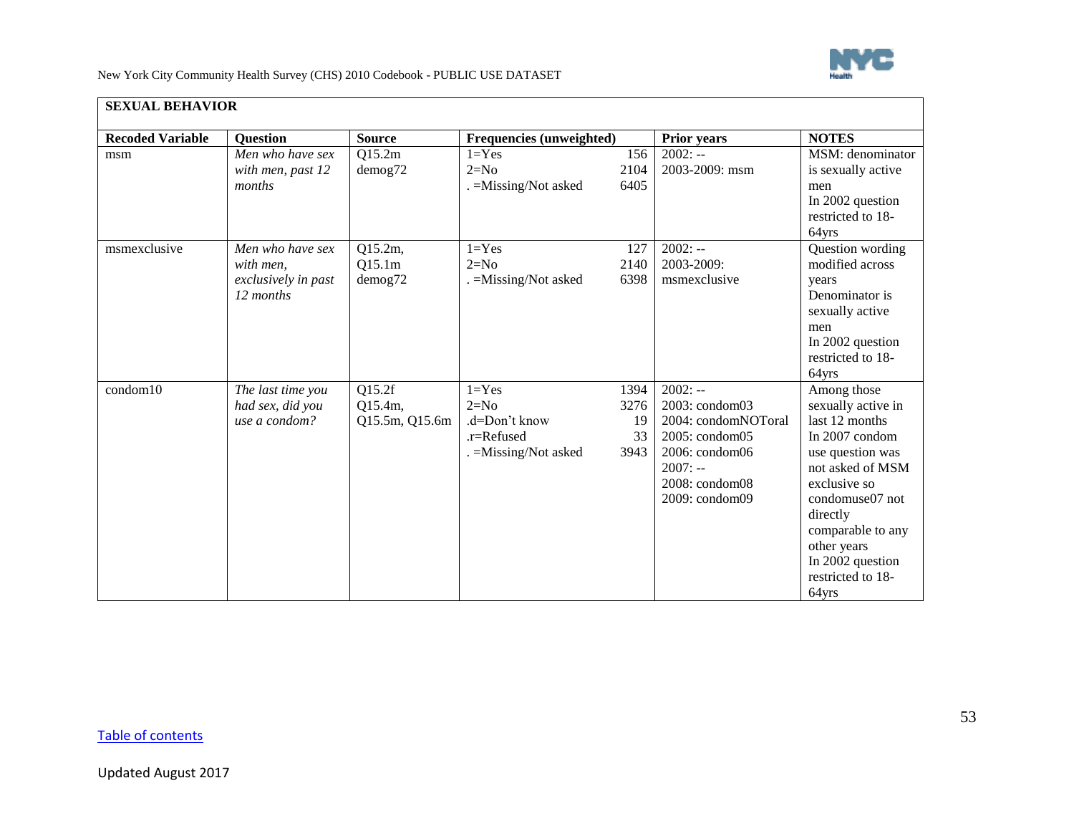

| <b>SEXUAL BEHAVIOR</b>  |                                                                   |                                     |                                                                                |                                  |                                                                                                                                                    |                                                                                                                                                                                                                                                    |
|-------------------------|-------------------------------------------------------------------|-------------------------------------|--------------------------------------------------------------------------------|----------------------------------|----------------------------------------------------------------------------------------------------------------------------------------------------|----------------------------------------------------------------------------------------------------------------------------------------------------------------------------------------------------------------------------------------------------|
| <b>Recoded Variable</b> | <b>Question</b>                                                   | <b>Source</b>                       | Frequencies (unweighted)                                                       |                                  | <b>Prior years</b>                                                                                                                                 | <b>NOTES</b>                                                                                                                                                                                                                                       |
| msm                     | Men who have sex<br>with men, past 12<br>months                   | Q15.2m<br>$d$ emog $72$             | $1 = Yes$<br>$2=N0$<br>. = Missing/Not asked                                   | 156<br>2104<br>6405              | $2002: -$<br>2003-2009: msm                                                                                                                        | MSM: denominator<br>is sexually active<br>men<br>In 2002 question<br>restricted to 18-<br>64yrs                                                                                                                                                    |
| msmexclusive            | Men who have sex<br>with men.<br>exclusively in past<br>12 months | Q15.2m,<br>Q15.1m<br>$d$ emog $72$  | $1 = Yes$<br>$2=N0$<br>$. =$ Missing/Not asked                                 | 127<br>2140<br>6398              | $2002: -$<br>2003-2009:<br>msmexclusive                                                                                                            | Question wording<br>modified across<br>years<br>Denominator is<br>sexually active<br>men<br>In 2002 question<br>restricted to 18-<br>64yrs                                                                                                         |
| condom10                | The last time you<br>had sex, did you<br>use a condom?            | Q15.2f<br>Q15.4m,<br>Q15.5m, Q15.6m | $1 = Yes$<br>$2=N0$<br>.d=Don't know<br>$r =$ Refused<br>. = Missing/Not asked | 1394<br>3276<br>19<br>33<br>3943 | $2002: -$<br>$2003$ : condom $03$<br>2004: condomNOToral<br>$2005:$ condom $05$<br>2006: condom06<br>$2007: -$<br>2008: condom08<br>2009: condom09 | Among those<br>sexually active in<br>last 12 months<br>In 2007 condom<br>use question was<br>not asked of MSM<br>exclusive so<br>condomuse07 not<br>directly<br>comparable to any<br>other years<br>In 2002 question<br>restricted to 18-<br>64yrs |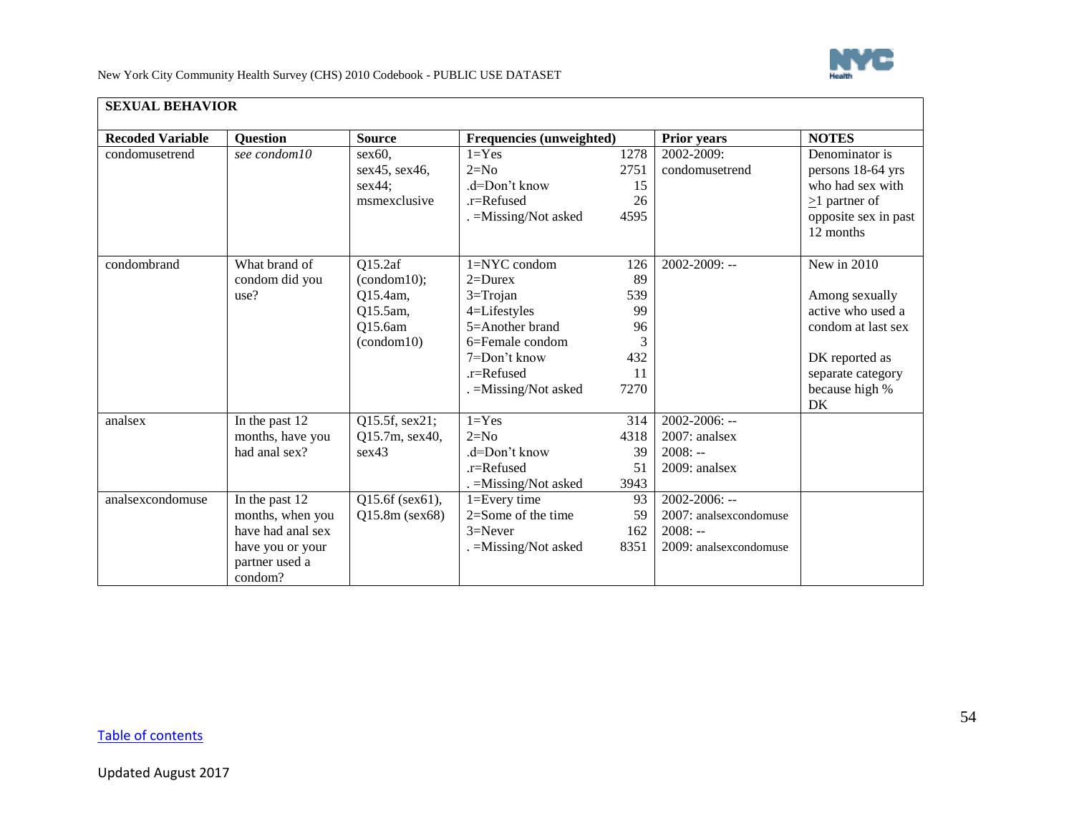

| <b>Recoded Variable</b> | Question                                                                                                 | <b>Source</b>                                                           | Frequencies (unweighted)                                                                                                                                     |                                                   | <b>Prior years</b>                                                                  | <b>NOTES</b>                                                                                                                            |
|-------------------------|----------------------------------------------------------------------------------------------------------|-------------------------------------------------------------------------|--------------------------------------------------------------------------------------------------------------------------------------------------------------|---------------------------------------------------|-------------------------------------------------------------------------------------|-----------------------------------------------------------------------------------------------------------------------------------------|
| condomusetrend          | see condom10                                                                                             | sex60,<br>$sex45$ , $sex46$ ,<br>sex44;<br>msmexclusive                 | $1 = Yes$<br>$2=N0$<br>$d=Don't know$<br>.r=Refused<br>. = Missing/Not asked                                                                                 | 1278<br>2751<br>15<br>26<br>4595                  | 2002-2009:<br>condomusetrend                                                        | Denominator is<br>persons 18-64 yrs<br>who had sex with<br>$\geq$ 1 partner of<br>opposite sex in past<br>12 months                     |
| condombrand             | What brand of<br>condom did you<br>use?                                                                  | Q15.2af<br>(condom10);<br>Q15.4am,<br>Q15.5am,<br>Q15.6am<br>(condom10) | 1=NYC condom<br>$2 = Durex$<br>$3 = Trojan$<br>4=Lifestyles<br>5=Another brand<br>6=Female condom<br>7=Don't know<br>$.r =$ Refused<br>. = Missing/Not asked | 126<br>89<br>539<br>99<br>96<br>432<br>11<br>7270 | 2002-2009: --                                                                       | New in 2010<br>Among sexually<br>active who used a<br>condom at last sex<br>DK reported as<br>separate category<br>because high %<br>DK |
| analsex                 | In the past 12<br>months, have you<br>had anal sex?                                                      | Q15.5f, sex21;<br>Q15.7m, sex40,<br>sex <sub>43</sub>                   | $1 = Yes$<br>$2=N0$<br>.d=Don't know<br>.r=Refused<br>. = Missing/Not asked                                                                                  | 314<br>4318<br>39<br>51<br>3943                   | 2002-2006: --<br>2007: analsex<br>$2008: -$<br>2009: analsex                        |                                                                                                                                         |
| analsexcondomuse        | In the past 12<br>months, when you<br>have had anal sex<br>have you or your<br>partner used a<br>condom? | $Q15.6f$ (sex61),<br>$Q15.8m$ (sex68)                                   | 1=Every time<br>2=Some of the time<br>$3 =$ Never<br>. = Missing/Not asked                                                                                   | 93<br>59<br>162<br>8351                           | $2002 - 2006$ : --<br>2007: analsexcondomuse<br>$2008: -$<br>2009: analsexcondomuse |                                                                                                                                         |

### **SEXUAL BEHAVIOR**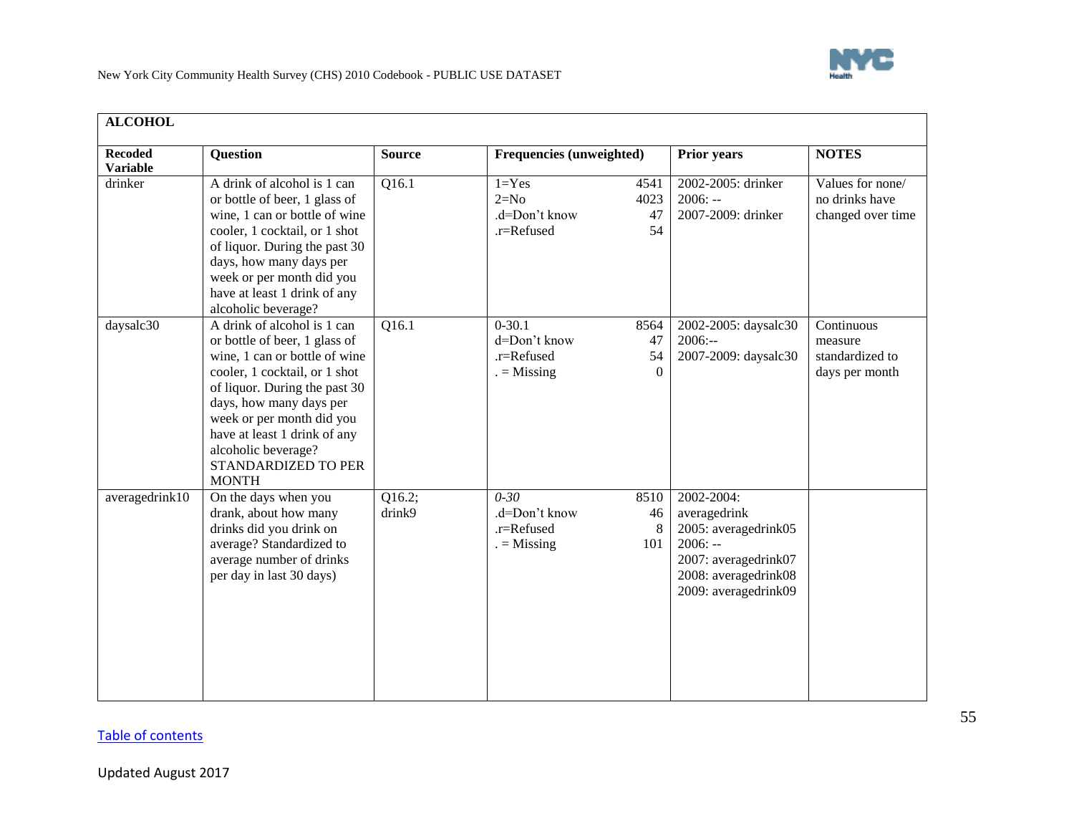

<span id="page-54-0"></span>

| <b>ALCOHOL</b>                    |                                                                                                                                                                                                                                                                                                                       |                    |                                                                                         |                                                                                                                                         |                                                            |
|-----------------------------------|-----------------------------------------------------------------------------------------------------------------------------------------------------------------------------------------------------------------------------------------------------------------------------------------------------------------------|--------------------|-----------------------------------------------------------------------------------------|-----------------------------------------------------------------------------------------------------------------------------------------|------------------------------------------------------------|
| <b>Recoded</b><br><b>Variable</b> | <b>Question</b>                                                                                                                                                                                                                                                                                                       | <b>Source</b>      | <b>Frequencies (unweighted)</b>                                                         | Prior years                                                                                                                             | <b>NOTES</b>                                               |
| drinker                           | A drink of alcohol is 1 can<br>or bottle of beer, 1 glass of<br>wine, 1 can or bottle of wine<br>cooler, 1 cocktail, or 1 shot<br>of liquor. During the past 30<br>days, how many days per<br>week or per month did you<br>have at least 1 drink of any<br>alcoholic beverage?                                        | $\overline{Q16.1}$ | $1 = Yes$<br>4541<br>$2=N0$<br>4023<br>.d=Don't know<br>47<br>.r=Refused<br>54          | 2002-2005: drinker<br>$2006: -$<br>2007-2009: drinker                                                                                   | Values for none/<br>no drinks have<br>changed over time    |
| daysalc30                         | A drink of alcohol is 1 can<br>or bottle of beer, 1 glass of<br>wine, 1 can or bottle of wine<br>cooler, 1 cocktail, or 1 shot<br>of liquor. During the past 30<br>days, how many days per<br>week or per month did you<br>have at least 1 drink of any<br>alcoholic beverage?<br>STANDARDIZED TO PER<br><b>MONTH</b> | Q16.1              | $0 - 30.1$<br>8564<br>d=Don't know<br>47<br>54<br>.r=Refused<br>$=$ Missing<br>$\Omega$ | 2002-2005: daysalc30<br>$2006: -$<br>2007-2009: daysalc30                                                                               | Continuous<br>measure<br>standardized to<br>days per month |
| averagedrink10                    | On the days when you<br>drank, about how many<br>drinks did you drink on<br>average? Standardized to<br>average number of drinks<br>per day in last 30 days)                                                                                                                                                          | Q16.2;<br>drink9   | $0 - 30$<br>8510<br>.d=Don't know<br>46<br>.r=Refused<br>8<br>$=$ Missing<br>101        | 2002-2004:<br>averagedrink<br>2005: averagedrink05<br>$2006: -$<br>2007: averagedrink07<br>2008: averagedrink08<br>2009: averagedrink09 |                                                            |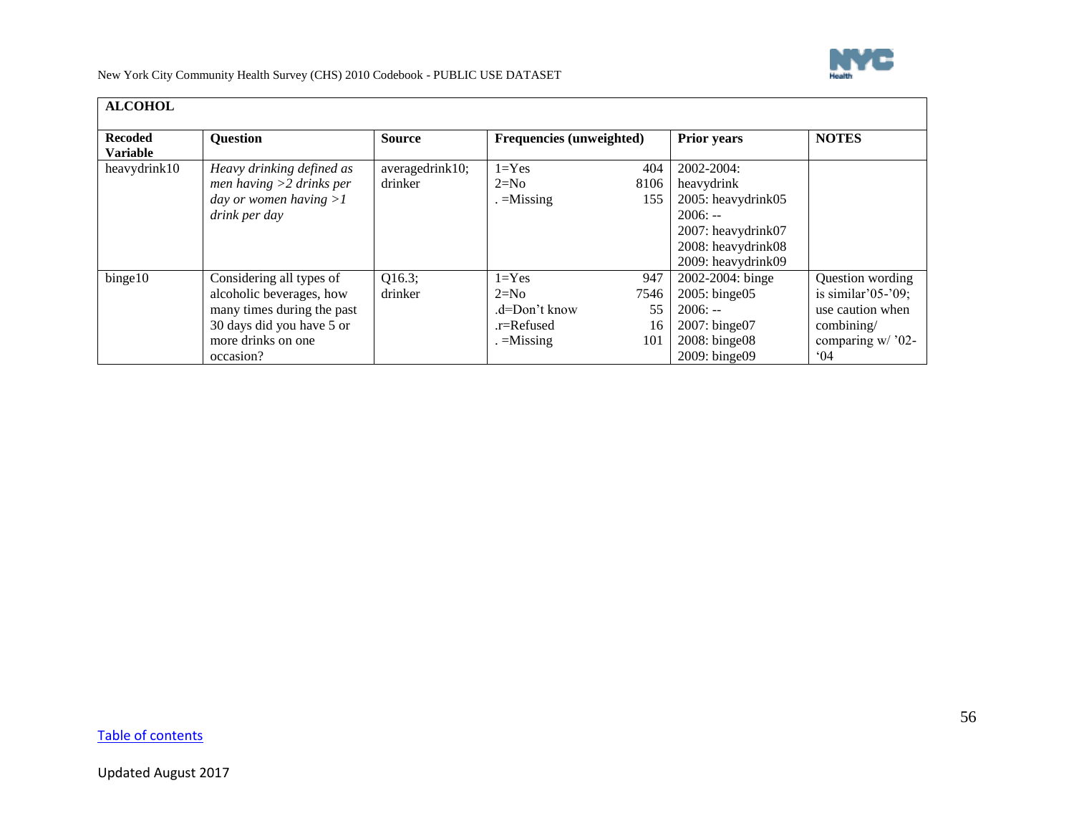

| <b>ALCOHOL</b>                    |                                                                                                                                                    |                            |                                                                   |                                |                                                                                                                               |                                                                                                                       |
|-----------------------------------|----------------------------------------------------------------------------------------------------------------------------------------------------|----------------------------|-------------------------------------------------------------------|--------------------------------|-------------------------------------------------------------------------------------------------------------------------------|-----------------------------------------------------------------------------------------------------------------------|
| <b>Recoded</b><br><b>Variable</b> | <b>Question</b>                                                                                                                                    | <b>Source</b>              | <b>Frequencies (unweighted)</b>                                   |                                | <b>Prior years</b>                                                                                                            | <b>NOTES</b>                                                                                                          |
| heavydrink10                      | Heavy drinking defined as<br>men having $>2$ drinks per<br>day or women having $>1$<br>drink per day                                               | averagedrink10;<br>drinker | $1 = Yes$<br>$2=N0$<br>$=$ Missing                                | 404<br>8106<br>155             | 2002-2004:<br>heavydrink<br>2005: heavydrink05<br>$2006: -$<br>2007: heavydrink07<br>2008: heavydrink08<br>2009: heavydrink09 |                                                                                                                       |
| binge10                           | Considering all types of<br>alcoholic beverages, how<br>many times during the past<br>30 days did you have 5 or<br>more drinks on one<br>occasion? | Q16.3;<br>drinker          | $1 = Yes$<br>$2=N0$<br>.d=Don't know<br>.r=Refused<br>$=$ Missing | 947<br>7546<br>55<br>16<br>101 | 2002-2004: binge<br>$2005$ : binge $05$<br>$2006: -$<br>2007: binge07<br>2008: binge08<br>2009: binge09                       | Question wording<br>is similar' $05$ -' $09$ ;<br>use caution when<br>combining/<br>comparing w/ '02-<br>$^{\circ}04$ |